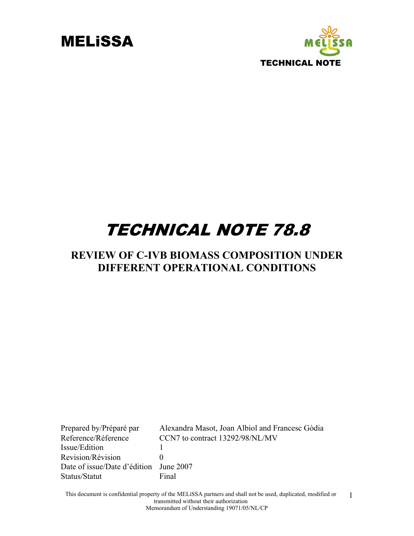



## TECHNICAL NOTE 78.8

#### **REVIEW OF C-IVB BIOMASS COMPOSITION UNDER DIFFERENT OPERATIONAL CONDITIONS**

Prepared by/Préparé par Alexandra Masot, Joan Albiol and Francesc Gòdia Reference/Réference CCN7 to contract 13292/98/NL/MV Issue/Edition 1 Revision/Révision 0 Date of issue/Date d'édition June 2007 Status/Statut Final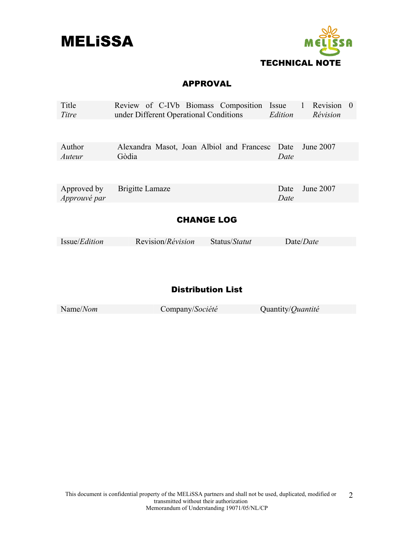



#### APPROVAL

| Title<br>Titre              | Review of C-IVb Biomass Composition Issue<br>under Different Operational Conditions | Edition      | Revision 0<br>$\mathbf{1}$<br>Révision |
|-----------------------------|-------------------------------------------------------------------------------------|--------------|----------------------------------------|
|                             |                                                                                     |              |                                        |
| Author                      | Alexandra Masot, Joan Albiol and Francesc Date                                      |              | June 2007                              |
| Auteur                      | Gòdia                                                                               | Date         |                                        |
| Approved by<br>Approuvé par | Brigitte Lamaze                                                                     | Date<br>Date | June 2007                              |
|                             | <b>CHANGE LOG</b>                                                                   |              |                                        |

| <i>Issue/Edition</i> | Revision/ <i>Révision</i> | Status/ <i>Statut</i> | Date/ <i>Date</i> |
|----------------------|---------------------------|-----------------------|-------------------|
|                      |                           |                       |                   |

#### Distribution List

| Name/Nom | Company/Société | Quantity/ <i>Quantité</i> |
|----------|-----------------|---------------------------|
|          |                 |                           |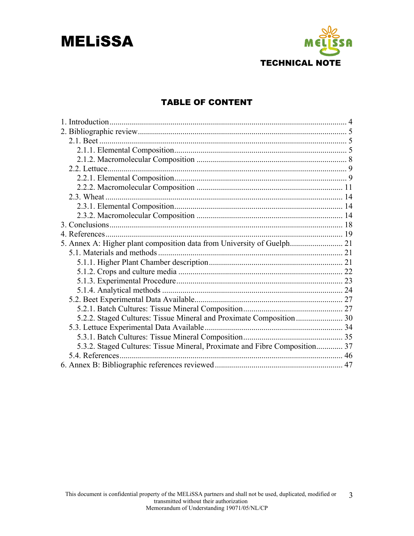## **MELISSA**



#### **TABLE OF CONTENT**

| 2.3. Wheat                                                                 |  |
|----------------------------------------------------------------------------|--|
|                                                                            |  |
|                                                                            |  |
|                                                                            |  |
|                                                                            |  |
|                                                                            |  |
|                                                                            |  |
|                                                                            |  |
|                                                                            |  |
|                                                                            |  |
|                                                                            |  |
|                                                                            |  |
|                                                                            |  |
|                                                                            |  |
|                                                                            |  |
|                                                                            |  |
| 5.3.2. Staged Cultures: Tissue Mineral, Proximate and Fibre Composition 37 |  |
| 5.4. References                                                            |  |
|                                                                            |  |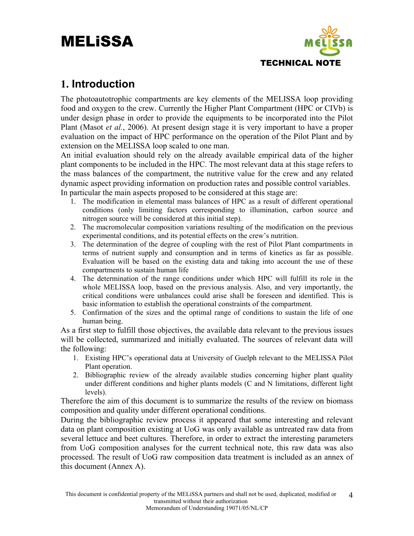

#### **1. Introduction**

The photoautotrophic compartments are key elements of the MELISSA loop providing food and oxygen to the crew. Currently the Higher Plant Compartment (HPC or CIVb) is under design phase in order to provide the equipments to be incorporated into the Pilot Plant (Masot *et al.*, 2006). At present design stage it is very important to have a proper evaluation on the impact of HPC performance on the operation of the Pilot Plant and by extension on the MELISSA loop scaled to one man.

An initial evaluation should rely on the already available empirical data of the higher plant components to be included in the HPC. The most relevant data at this stage refers to the mass balances of the compartment, the nutritive value for the crew and any related dynamic aspect providing information on production rates and possible control variables. In particular the main aspects proposed to be considered at this stage are:

- 1. The modification in elemental mass balances of HPC as a result of different operational conditions (only limiting factors corresponding to illumination, carbon source and nitrogen source will be considered at this initial step).
- 2. The macromolecular composition variations resulting of the modification on the previous experimental conditions, and its potential effects on the crew's nutrition.
- 3. The determination of the degree of coupling with the rest of Pilot Plant compartments in terms of nutrient supply and consumption and in terms of kinetics as far as possible. Evaluation will be based on the existing data and taking into account the use of these compartments to sustain human life
- 4. The determination of the range conditions under which HPC will fulfill its role in the whole MELISSA loop, based on the previous analysis. Also, and very importantly, the critical conditions were unbalances could arise shall be foreseen and identified. This is basic information to establish the operational constraints of the compartment.
- 5. Confirmation of the sizes and the optimal range of conditions to sustain the life of one human being.

As a first step to fulfill those objectives, the available data relevant to the previous issues will be collected, summarized and initially evaluated. The sources of relevant data will the following:

- 1. Existing HPC's operational data at University of Guelph relevant to the MELISSA Pilot Plant operation.
- 2. Bibliographic review of the already available studies concerning higher plant quality under different conditions and higher plants models (C and N limitations, different light levels).

Therefore the aim of this document is to summarize the results of the review on biomass composition and quality under different operational conditions.

During the bibliographic review process it appeared that some interesting and relevant data on plant composition existing at UoG was only available as untreated raw data from several lettuce and beet cultures. Therefore, in order to extract the interesting parameters from UoG composition analyses for the current technical note, this raw data was also processed. The result of UoG raw composition data treatment is included as an annex of this document (Annex A).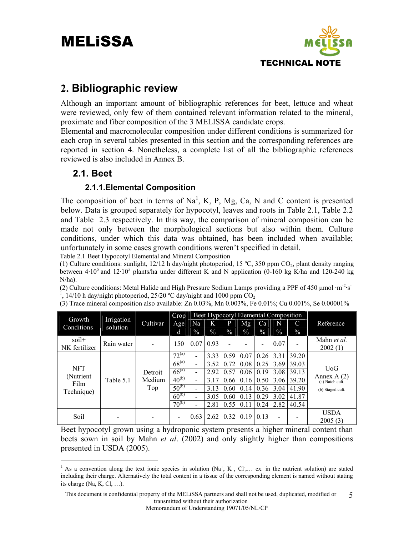

#### **2. Bibliographic review**

Although an important amount of bibliographic references for beet, lettuce and wheat were reviewed, only few of them contained relevant information related to the mineral, proximate and fiber composition of the 3 MELISSA candidate crops.

Elemental and macromolecular composition under different conditions is summarized for each crop in several tables presented in this section and the corresponding references are reported in section 4. Nonetheless, a complete list of all the bibliographic references reviewed is also included in Annex B.

#### **2.1. Beet**

 $\overline{a}$ 

#### **2.1.1.Elemental Composition**

The composition of beet in terms of  $Na<sup>1</sup>$ , K, P, Mg, Ca, N and C content is presented below. Data is grouped separately for hypocotyl, leaves and roots in Table 2.1, Table 2.2 and Table 2.3 respectively. In this way, the comparison of mineral composition can be made not only between the morphological sections but also within them. Culture conditions, under which this data was obtained, has been included when available; unfortunately in some cases growth conditions weren't specified in detail.

Table 2.1 Beet Hypocotyl Elemental and Mineral Composition

(1) Culture conditions: sunlight,  $12/12$  h day/night photoperiod, 15 °C, 350 ppm  $CO_2$ , plant density ranging between  $4.10^5$  and  $12.10^5$  plants/ha under different K and N application (0-160 kg K/ha and 120-240 kg N/ha).

(2) Culture conditions: Metal Halide and High Pressure Sodium Lamps providing a PPF of 450  $\mu$ mol ·m<sup>-2</sup>·s<sup>-</sup>  $1, 14/10$  h day/night photoperiod, 25/20 °C day/night and 1000 ppm  $CO_2$ 

| Growth                   |                        |          | Crop                     |                          |               |               |               | Beet Hypocotyl Elemental Composition |                          |       |                                  |
|--------------------------|------------------------|----------|--------------------------|--------------------------|---------------|---------------|---------------|--------------------------------------|--------------------------|-------|----------------------------------|
| Conditions               | Irrigation<br>solution | Cultivar | Age                      | Na                       | K             | p             | <b>Mg</b>     | Ca                                   | N                        | C     | Reference                        |
|                          |                        |          | d                        | $\%$                     | $\frac{0}{0}$ | $\frac{0}{0}$ | $\frac{0}{0}$ | $\frac{0}{0}$                        | $\frac{0}{0}$            | $\%$  |                                  |
| $soil+$<br>NK fertilizer | Rain water             |          | 150                      | 0.07 <sub>1</sub>        | 0.93          |               |               |                                      | 0.07                     |       | Mahn et al.<br>2002(1)           |
|                          |                        |          | $72^{(a)}$               | -                        | 3.33          | 0.59          | 0.07          | 0.26                                 | 3.31                     | 39.20 |                                  |
| <b>NFT</b>               |                        |          | $68^{(a)}$               | $\overline{\phantom{0}}$ | 3.52          | 0.72          | 0.08          | 0.25                                 | 3.69                     | 39.03 |                                  |
| (Nutrient)               |                        | Detroit  | $66^{(a)}$               | -                        | 2.92          | 0.57          | 0.06          | 0.19                                 | 3.08                     | 39.13 | U <sub>o</sub> G<br>Annex $A(2)$ |
| Film                     | Table 5.1              | Medium   | $40^{(b)}$               |                          | 3.17          | 0.66          | 0.16          | 0.50                                 | 3.06                     | 39.20 | (a) Batch cult.                  |
| Technique)               |                        | Top      | $50^{(b)}$               | -                        | 3.13          | 0.60          | 0.14          | 0.36                                 | 3.04                     | 41.90 | (b) Staged cult.                 |
|                          |                        |          | $60^{(b)}$               |                          | 3.05          | 0.60          | 0.13          | 0.29                                 | 3.02                     | 41.87 |                                  |
|                          |                        |          | $70^{(b)}$               |                          | 2.81          | 0.55          | 0.11          | 0.24                                 | 2.82                     | 40.54 |                                  |
| Soil                     |                        |          | $\overline{\phantom{a}}$ | 0.63                     |               | $2.62$   0.32 | 0.19          | 0.13                                 | $\overline{\phantom{a}}$ |       | <b>USDA</b><br>2005(3)           |

(3) Trace mineral composition also available: Zn 0.03%, Mn 0.003%, Fe 0.01%; Cu 0.001%, Se 0.00001%

Beet hypocotyl grown using a hydroponic system presents a higher mineral content than beets sown in soil by Mahn *et al*. (2002) and only slightly higher than compositions presented in USDA (2005).

Memorandum of Understanding 19071/05/NL/CP

<sup>&</sup>lt;sup>1</sup> As a convention along the text ionic species in solution (Na<sup>+</sup>, K<sup>+</sup>, Cl,... ex. in the nutrient solution) are stated including their charge. Alternatively the total content in a tissue of the corresponding element is named without stating its charge  $(Na, K, Cl, ...)$ .

This document is confidential property of the MELiSSA partners and shall not be used, duplicated, modified or transmitted without their authorization 5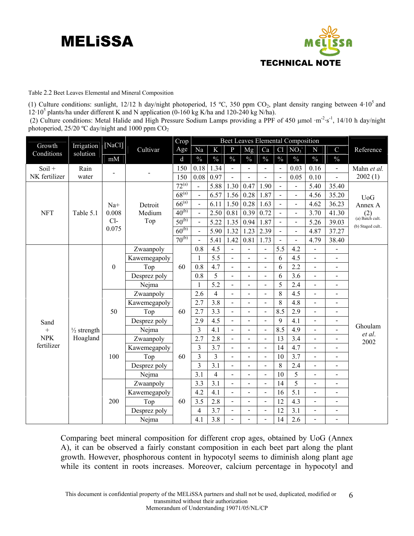

Table 2.2 Beet Leaves Elemental and Mineral Composition

(1) Culture conditions: sunlight, 12/12 h day/night photoperiod, 15 °C, 350 ppm CO<sub>2</sub>, plant density ranging between  $4.10<sup>5</sup>$  and  $12 \cdot 10^5$  plants/ha under different K and N application (0-160 kg K/ha and 120-240 kg N/ha).

(2) Culture conditions: Metal Halide and High Pressure Sodium Lamps providing a PPF of 450 µmol ·m<sup>-2</sup>·s<sup>-1</sup>, 14/10 h day/night photoperiod,  $25/20$  °C day/night and 1000 ppm  $CO<sub>2</sub>$ 

|                      |                        | [NaCl]           |              | Crop        |                          |                         |                          |                |                              |                          | Beet Leaves Elemental Composition |                          |                              |                          |
|----------------------|------------------------|------------------|--------------|-------------|--------------------------|-------------------------|--------------------------|----------------|------------------------------|--------------------------|-----------------------------------|--------------------------|------------------------------|--------------------------|
| Growth<br>Conditions | Irrigation<br>solution |                  | Cultivar     | Age         | Na                       | $\bf K$                 | $\mathbf{P}$             | Mg             | Ca                           | Cl                       | NO <sub>3</sub>                   | ${\bf N}$                | $\mathcal{C}$                | Reference                |
|                      |                        | mM               |              | $\mathbf d$ | $\frac{0}{0}$            | $\frac{0}{0}$           | $\frac{0}{0}$            | $\frac{0}{0}$  | $\frac{0}{0}$                | $\frac{0}{0}$            | $\frac{0}{0}$                     | $\frac{0}{0}$            | $\frac{0}{0}$                |                          |
| $Soil +$             | Rain                   |                  |              | 150         | 0.18                     | 1.34                    | $\blacksquare$           | $\overline{a}$ | $\overline{a}$               | $\overline{a}$           | 0.03                              | 0.16                     | $\blacksquare$               | Mahn et al.              |
| NK fertilizer        | water                  |                  |              | 150         | 0.08                     | 0.97                    | $\overline{\phantom{a}}$ | $\overline{a}$ | $\overline{a}$               | $\overline{a}$           | 0.05                              | 0.10                     | $\overline{a}$               | 2002(1)                  |
|                      |                        |                  |              | $72^{(a)}$  |                          | 5.88                    | 1.30                     | 0.47           | 1.90                         | $\blacksquare$           | $\blacksquare$                    | 5.40                     | 35.40                        |                          |
|                      |                        |                  |              | $68^{(a)}$  | $\blacksquare$           | 6.57                    | 1.56                     | 0.28           | 1.87                         | $\blacksquare$           | $\blacksquare$                    | 4.56                     | 35.20                        | <b>UoG</b>               |
|                      |                        | $Na+$            | Detroit      | $66^{(a)}$  | $\overline{\phantom{a}}$ | 6.11                    | 1.50                     | 0.28           | 1.63                         | $\overline{a}$           | $\overline{\phantom{a}}$          | 4.62                     | 36.23                        | Annex A                  |
| <b>NFT</b>           | Table 5.1              | 0.008            | Medium       | $40^{(b)}$  | $\blacksquare$           | 2.50                    | 0.81                     | 0.39           | 0.72                         | $\overline{a}$           | $\blacksquare$                    | 3.70                     | 41.30                        | $(2)$<br>(a) Batch cult. |
|                      |                        | $Cl-$            | Top          | $50^{(b)}$  | $\overline{\phantom{a}}$ | 5.22                    | 1.35                     | 0.94           | 1.87                         | $\blacksquare$           | $\overline{\phantom{a}}$          | 5.26                     | 39.03                        | (b) Staged cult          |
|                      |                        | 0.075            |              | $60^{(b)}$  | $\overline{a}$           | 5.90                    | 1.32                     | 1.23           | 2.39                         | $\overline{\phantom{a}}$ | $\blacksquare$                    | 4.87                     | 37.27                        |                          |
|                      |                        |                  |              | $70^{(b)}$  |                          | 5.41                    | 1.42                     | 0.81           | 1.73                         | $\overline{a}$           | $\blacksquare$                    | 4.79                     | 38.40                        |                          |
|                      |                        |                  | Zwaanpoly    |             | 0.8                      | 4.5                     | $\blacksquare$           | $\frac{1}{2}$  | $\overline{a}$               | 5.5                      | 4.2                               | $\frac{1}{2}$            | $\overline{a}$               |                          |
|                      |                        |                  | Kawemegapoly |             | $\mathbf{1}$             | 5.5                     | $\frac{1}{2}$            | $\blacksquare$ | $\overline{a}$               | 6                        | 4.5                               | $\blacksquare$           | $\overline{\phantom{a}}$     |                          |
|                      |                        | $\boldsymbol{0}$ | Top          | 60          | 0.8                      | 4.7                     | $\blacksquare$           | $\blacksquare$ | L,                           | 6                        | 2.2                               |                          | $\overline{\phantom{0}}$     |                          |
|                      |                        |                  | Desprez poly |             | 0.8                      | 5                       | $\overline{\phantom{a}}$ | $\overline{a}$ | $\overline{a}$               | 6                        | 3.6                               | $\overline{\phantom{0}}$ | $\overline{\phantom{0}}$     |                          |
|                      |                        |                  | Nejma        |             | $\mathbf{1}$             | 5.2                     | $\overline{\phantom{a}}$ | $\blacksquare$ | $\overline{a}$               | 5                        | 2.4                               | $\overline{\phantom{0}}$ | $\overline{\phantom{0}}$     |                          |
|                      |                        |                  | Zwaanpoly    |             | 2.6                      | $\overline{4}$          | $\overline{a}$           | $\overline{a}$ | $\overline{\phantom{0}}$     | 8                        | 4.5                               |                          | $\overline{a}$               |                          |
|                      |                        |                  | Kawemegapoly |             | 2.7                      | 3.8                     | $\overline{a}$           | $\overline{a}$ | $\overline{a}$               | 8                        | 4.8                               | $\overline{a}$           | $\blacksquare$               |                          |
|                      |                        | 50               | Top          | 60          | 2.7                      | 3.3                     | $\blacksquare$           | $\overline{a}$ | $\overline{a}$               | 8.5                      | 2.9                               | $\overline{\phantom{0}}$ | $\overline{\phantom{0}}$     |                          |
| Sand                 |                        |                  | Desprez poly |             | 2.9                      | 4.5                     | $\overline{a}$           | $\overline{a}$ | $\overline{a}$               | 9                        | 4.1                               | $\overline{a}$           | $\overline{\phantom{0}}$     |                          |
| $^{+}$               | $\frac{1}{2}$ strength |                  | Nejma        |             | $\overline{3}$           | 4.1                     | $\frac{1}{2}$            | $\overline{a}$ | $\overline{a}$               | 8.5                      | 4.9                               | $\overline{\phantom{a}}$ | $\blacksquare$               | Ghoulam                  |
| <b>NPK</b>           | Hoagland               |                  | Zwaanpoly    |             | 2.7                      | 2.8                     | $\overline{a}$           | $\overline{a}$ | $\overline{a}$               | 13                       | 3.4                               | $\overline{\phantom{0}}$ | $\overline{a}$               | et al.<br>2002           |
| fertilizer           |                        |                  | Kawemegapoly |             | 3                        | 3.7                     | $\blacksquare$           | $\blacksquare$ | $\overline{a}$               | 14                       | 4.7                               |                          | $\overline{a}$               |                          |
|                      |                        | 100              | Top          | 60          | 3                        | 3                       | $\blacksquare$           | $\frac{1}{2}$  | $\qquad \qquad \blacksquare$ | 10                       | 3.7                               | $\overline{\phantom{0}}$ | $\qquad \qquad \blacksquare$ |                          |
|                      |                        |                  | Desprez poly |             | $\overline{3}$           | 3.1                     | $\frac{1}{2}$            | $\overline{a}$ | $\overline{a}$               | 8                        | 2.4                               | $\overline{\phantom{0}}$ | $\overline{a}$               |                          |
|                      |                        |                  | Nejma        |             | 3.1                      | $\overline{\mathbf{4}}$ | $\blacksquare$           | $\overline{a}$ | $\overline{a}$               | 10                       | 5                                 |                          | $\overline{a}$               |                          |
|                      |                        |                  | Zwaanpoly    |             | 3.3                      | 3.1                     | $\blacksquare$           | $\frac{1}{2}$  | $\qquad \qquad \blacksquare$ | 14                       | $\overline{5}$                    | $\overline{\phantom{0}}$ | $\qquad \qquad \blacksquare$ |                          |
|                      |                        |                  | Kawemegapoly |             | 4.2                      | 4.1                     | $\blacksquare$           | $\overline{a}$ | $\overline{a}$               | 16                       | 5.1                               | $\overline{\phantom{0}}$ | $\blacksquare$               |                          |
|                      |                        | 200              | Top          | 60          | 3.5                      | 2.8                     | $\blacksquare$           | $\overline{a}$ | $\overline{a}$               | 12                       | 4.3                               |                          | $\overline{a}$               |                          |
|                      |                        |                  | Desprez poly |             | $\overline{4}$           | 3.7                     | $\blacksquare$           | $\frac{1}{2}$  | $\qquad \qquad \blacksquare$ | 12                       | 3.1                               | $\overline{\phantom{0}}$ | $\qquad \qquad \blacksquare$ |                          |
|                      |                        |                  | Nejma        |             | 4.1                      | 3.8                     | $\frac{1}{2}$            | $\blacksquare$ |                              | 14                       | 2.6                               | $\overline{a}$           | $\overline{a}$               |                          |

Comparing beet mineral composition for different crop ages, obtained by UoG (Annex A), it can be observed a fairly constant composition in each beet part along the plant growth. However, phosphorous content in hypocotyl seems to diminish along plant age while its content in roots increases. Moreover, calcium percentage in hypocotyl and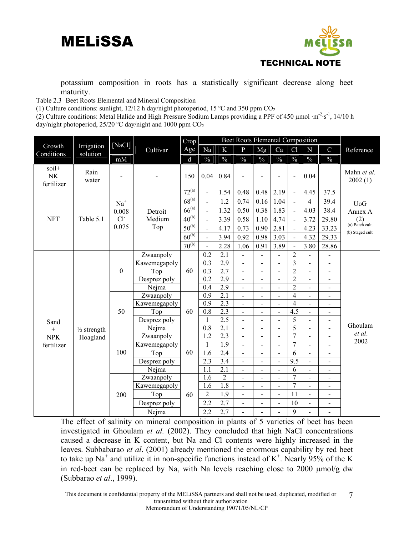

potassium composition in roots has a statistically significant decrease along beet maturity.

Table 2.3Beet Roots Elemental and Mineral Composition

(1) Culture conditions: sunlight, 12/12 h day/night photoperiod, 15 °C and 350 ppm  $CO<sub>2</sub>$ 

(2) Culture conditions: Metal Halide and High Pressure Sodium Lamps providing a PPF of 450 μmol ·m-2·s-1, 14/10 h day/night photoperiod,  $25/20$  °C day/night and 1000 ppm  $CO<sub>2</sub>$ 

|                           |                        |                  |              | Crop        |                  |                  | Beet Roots Elemental Composition |                          |                              |                          |                              |                          |                          |
|---------------------------|------------------------|------------------|--------------|-------------|------------------|------------------|----------------------------------|--------------------------|------------------------------|--------------------------|------------------------------|--------------------------|--------------------------|
| Growth                    | Irrigation             | [NaCl]           | Cultivar     | Age         | Na               | K                | $\mathbf{P}$                     | Mg                       | Ca                           | Cl                       | N                            | $\mathbf C$              | Reference                |
| Conditions                | solution               | mM               |              | $\mathbf d$ | $\frac{0}{0}$    | $\frac{0}{0}$    | $\frac{0}{0}$                    | $\frac{0}{0}$            | $\frac{0}{0}$                | $\frac{0}{0}$            | $\frac{0}{0}$                | $\frac{0}{0}$            |                          |
| soil+<br>NK<br>fertilizer | Rain<br>water          |                  |              | 150         | 0.04             | 0.84             |                                  |                          |                              | $\overline{a}$           | 0.04                         |                          | Mahn et al.<br>2002(1)   |
|                           |                        |                  |              | $72^{(a)}$  | $\blacksquare$   | 1.54             | 0.48                             | 0.48                     | 2.19                         | $\blacksquare$           | 4.45                         | 37.5                     |                          |
|                           |                        | $Na+$            |              | $68^{(a)}$  | $\overline{a}$   | 1.2              | 0.74                             | 0.16                     | 1.04                         | $\overline{a}$           | $\overline{4}$               | 39.4                     | <b>UoG</b>               |
|                           |                        | 0.008            | Detroit      | $66^{(a)}$  | $\overline{a}$   | 1.32             | 0.50                             | 0.38                     | 1.83                         | $\blacksquare$           | 4.03                         | 38.4                     | Annex A                  |
| <b>NFT</b>                | Table 5.1              | Cl <sup>2</sup>  | Medium       | $40^{(b)}$  | $\overline{a}$   | 3.39             | 0.58                             | 1.10                     | 4.74                         | $\overline{\phantom{a}}$ | 3.72                         | 29.80                    | $(2)$<br>(a) Batch cult. |
|                           |                        | 0.075            | Top          | $50^{(b)}$  | $\overline{a}$   | 4.17             | 0.73                             | 0.90                     | 2.81                         | $\overline{a}$           | 4.23                         | 33.23                    |                          |
|                           |                        |                  |              | $60^{(b)}$  | $\blacksquare$   | 3.94             | 0.92                             | 0.98                     | 3.03                         | $\blacksquare$           | 4.32                         | 29.33                    | (b) Staged cult.         |
|                           |                        |                  |              | $70^{(b)}$  | $\overline{a}$   | 2.28             | 1.06                             | 0.91                     | 3.89                         | $\overline{a}$           | 3.80                         | 28.86                    |                          |
|                           |                        |                  | Zwaanpoly    |             | 0.2              | 2.1              | $\overline{a}$                   | $\overline{a}$           | $\overline{a}$               | $\overline{2}$           |                              |                          |                          |
|                           |                        |                  | Kawemegapoly |             | 0.3              | 2.9              | $\overline{a}$                   | L.                       | $\overline{a}$               | $\overline{3}$           |                              |                          |                          |
|                           |                        | $\boldsymbol{0}$ | Top          | 60          | 0.3              | 2.7              | $\blacksquare$                   | $\blacksquare$           | $\qquad \qquad \blacksquare$ | $\overline{2}$           | $\qquad \qquad \blacksquare$ | $\blacksquare$           |                          |
|                           |                        |                  | Desprez poly |             | 0.2              | 2.9              | $\overline{\phantom{0}}$         | $\overline{a}$           | $\overline{a}$               | $\overline{2}$           | $\overline{a}$               | $\blacksquare$           |                          |
|                           |                        |                  | Nejma        |             | $\overline{0.4}$ | $\overline{2.9}$ | $\overline{a}$                   | $\overline{\phantom{0}}$ | $\overline{a}$               | $\overline{2}$           | $\overline{a}$               | $\overline{\phantom{0}}$ |                          |
|                           |                        |                  | Zwaanpoly    |             | 0.9              | $\overline{2.1}$ | $\overline{\phantom{a}}$         | $\overline{\phantom{0}}$ | $\overline{a}$               | 4                        | $\blacksquare$               | $\overline{\phantom{0}}$ |                          |
|                           |                        |                  | Kawemegapoly |             | $\overline{0.9}$ | $\overline{2.3}$ | $\overline{a}$                   | $\blacksquare$           | $\overline{a}$               | $\overline{4}$           | $\overline{a}$               | $\blacksquare$           |                          |
|                           |                        | 50               | Top          | 60          | 0.8              | $\overline{2.3}$ | $\overline{a}$                   | $\overline{\phantom{0}}$ | $\overline{a}$               | 4.5                      | $\overline{a}$               |                          |                          |
| Sand                      |                        |                  | Desprez poly |             | $\mathbf{1}$     | $\overline{2.5}$ |                                  | $\overline{a}$           | $\overline{a}$               | 5                        |                              |                          | Ghoulam                  |
| $\boldsymbol{+}$          | $\frac{1}{2}$ strength |                  | Nejma        |             | 0.8              | 2.1              | $\overline{\phantom{0}}$         | $\overline{\phantom{a}}$ | $\overline{\phantom{0}}$     | $\overline{5}$           | $\qquad \qquad \blacksquare$ | $\blacksquare$           | et al.                   |
| <b>NPK</b>                | Hoagland               |                  | Zwaanpoly    |             | 1.2              | $\overline{2.3}$ | $\overline{a}$                   | $\overline{a}$           | $\overline{a}$               | $\overline{7}$           | $\overline{a}$               | ÷.                       | 2002                     |
| fertilizer                |                        |                  | Kawemegapoly |             | 1                | 1.9              | $\blacksquare$                   | $\overline{\phantom{a}}$ | $\overline{a}$               | $\overline{7}$           | $\overline{a}$               | $\overline{\phantom{0}}$ |                          |
|                           |                        | 100              | Top          | 60          | 1.6              | 2.4              | $\overline{a}$                   | $\overline{a}$           | $\overline{a}$               | 6                        |                              |                          |                          |
|                           |                        |                  | Desprez poly |             | 2.3              | 3.4              |                                  | $\blacksquare$           | $\overline{\phantom{0}}$     | 9.5                      | $\qquad \qquad \blacksquare$ | $\overline{\phantom{0}}$ |                          |
|                           |                        |                  | Nejma        |             | 1.1              | 2.1              | $\overline{\phantom{0}}$         | $\blacksquare$           | $\blacksquare$               | 6                        | $\qquad \qquad \blacksquare$ | $\blacksquare$           |                          |
|                           |                        |                  | Zwaanpoly    |             | 1.6              | $\overline{2}$   | $\overline{a}$                   | $\overline{a}$           | $\overline{a}$               | $\overline{7}$           | $\overline{a}$               | $\overline{\phantom{0}}$ |                          |
|                           |                        |                  | Kawemegapoly |             | 1.6              | $\overline{1.8}$ | $\overline{\phantom{0}}$         | $\overline{\phantom{0}}$ | $\overline{\phantom{0}}$     | $\overline{7}$           | $\overline{\phantom{0}}$     |                          |                          |
|                           |                        | 200              | Top          | 60          | $\overline{2}$   | 1.9              | $\overline{a}$                   | $\overline{a}$           | $\overline{a}$               | 11                       | $\overline{a}$               |                          |                          |
|                           |                        |                  | Desprez poly |             | 2.2              | 2.7              | $\overline{\phantom{0}}$         | $\overline{a}$           | $\overline{a}$               | 10                       | $\blacksquare$               | $\blacksquare$           |                          |
|                           |                        |                  | Nejma        |             | 2.2              | 2.7              | $\overline{\phantom{0}}$         | $\overline{a}$           | $\overline{a}$               | 9                        | L,                           | $\overline{\phantom{0}}$ |                          |

The effect of salinity on mineral composition in plants of 5 varieties of beet has been investigated in Ghoulam *et al.* (2002). They concluded that high NaCl concentrations caused a decrease in K content, but Na and Cl contents were highly increased in the leaves. Subbabarao *et al*. (2001) already mentioned the enormous capability by red beet to take up Na<sup>+</sup> and utilize it in non-specific functions instead of K<sup>+</sup>. Nearly 95% of the K in red-beet can be replaced by Na, with Na levels reaching close to 2000 μmol/g dw (Subbarao *et al*., 1999).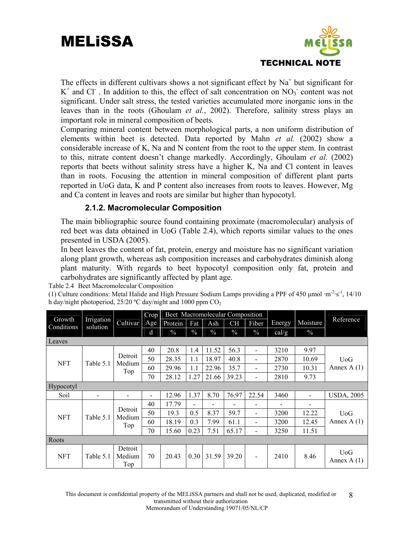

The effects in different cultivars shows a not significant effect by  $Na<sup>+</sup>$  but significant for  $K^+$  and Cl<sup>-</sup>. In addition to this, the effect of salt concentration on  $NO_3$ <sup>-</sup> content was not significant. Under salt stress, the tested varieties accumulated more inorganic ions in the leaves than in the roots (Ghoulam *et al.*, 2002). Therefore, salinity stress plays an important role in mineral composition of beets.

Comparing mineral content between morphological parts, a non uniform distribution of elements within beet is detected. Data reported by Mahn *et al.* (2002) show a considerable increase of K, Na and N content from the root to the upper stem. In contrast to this, nitrate content doesn't change markedly. Accordingly, Ghoulam *et al.* (2002) reports that beets without salinity stress have a higher K, Na and Cl content in leaves than in roots. Focusing the attention in mineral composition of different plant parts reported in UoG data, K and P content also increases from roots to leaves. However, Mg and Ca content in leaves and roots are similar but higher than hypocotyl.

#### **2.1.2. Macromolecular Composition**

The main bibliographic source found containing proximate (macromolecular) analysis of red beet was data obtained in UoG (Table 2.4), which reports similar values to the ones presented in USDA (2005).

In beet leaves the content of fat, protein, energy and moisture has no significant variation along plant growth, whereas ash composition increases and carbohydrates diminish along plant maturity. With regards to beet hypocotyl composition only fat, protein and carbohydrates are significantly affected by plant age.

Table 2.4Beet Macromolecular Composition

(1) Culture conditions: Metal Halide and High Pressure Sodium Lamps providing a PPF of 450  $\mu$ mol ·m<sup>-2</sup>·s<sup>-1</sup>, 14/10 h day/night photoperiod,  $25/20$  °C day/night and 1000 ppm  $CO<sub>2</sub>$ 

|                      |                        |                          | Crop                         | Beet Macromolecular Composition |               |               |               |                          |        |               |                                  |
|----------------------|------------------------|--------------------------|------------------------------|---------------------------------|---------------|---------------|---------------|--------------------------|--------|---------------|----------------------------------|
| Growth<br>Conditions | Irrigation<br>solution | Cultivar                 | Age                          | Protein                         | Fat           | Ash           | <b>CH</b>     | Fiber                    | Energy | Moisture      | Reference                        |
|                      |                        |                          | d                            | $\frac{0}{0}$                   | $\frac{0}{0}$ | $\frac{0}{0}$ | $\frac{0}{0}$ | $\frac{0}{0}$            | cal/g  | $\frac{0}{0}$ |                                  |
| Leaves               |                        |                          |                              |                                 |               |               |               |                          |        |               |                                  |
|                      |                        |                          | 40                           | 20.8                            | 1.4           | 11.52         | 56.3          | $\overline{\phantom{0}}$ | 3210   | 9.97          |                                  |
| <b>NFT</b>           | Table 5.1              | Detroit<br>Medium        | 50                           | 28.35                           | 1.1           | 18.97         | 40.8          | -                        | 2870   | 10.69         | U <sub>0</sub> G                 |
|                      |                        | Top                      | 60                           | 29.96                           | 1.1           | 22.96         | 35.7          |                          | 2730   | 10.31         | Annex $A(1)$                     |
|                      |                        |                          | 70                           | 28.12                           | 1.27          | 21.66         | 39.23         |                          | 2810   | 9.73          |                                  |
| <b>Hypocotyl</b>     |                        |                          |                              |                                 |               |               |               |                          |        |               |                                  |
| Soil                 |                        |                          | $\qquad \qquad \blacksquare$ | 12.96                           | 1.37          | 8.70          | 76.97         | 22.54                    | 3460   | Ξ.            | <b>USDA, 2005</b>                |
|                      |                        |                          | 40                           | 17.79                           | ٠             |               |               | -                        |        |               |                                  |
| <b>NFT</b>           | Table 5.1              | Detroit<br>Medium        | 50                           | 19.3                            | 0.5           | 8.37          | 59.7          | -                        | 3200   | 12.22         | U <sub>0</sub> G                 |
|                      |                        | Top                      | 60                           | 18.19                           | 0.3           | 7.99          | 61.1          | -                        | 3200   | 12.45         | Annex $A(1)$                     |
|                      |                        |                          | 70                           | 15.60                           | 0.23          | 7.51          | 65.17         | -                        | 3250   | 11.51         |                                  |
| Roots                |                        |                          |                              |                                 |               |               |               |                          |        |               |                                  |
| <b>NFT</b>           | Table 5.1              | Detroit<br>Medium<br>Top | 70                           | 20.43                           | 0.30          | 31.59         | 39.20         |                          | 2410   | 8.46          | U <sub>0</sub> G<br>Annex $A(1)$ |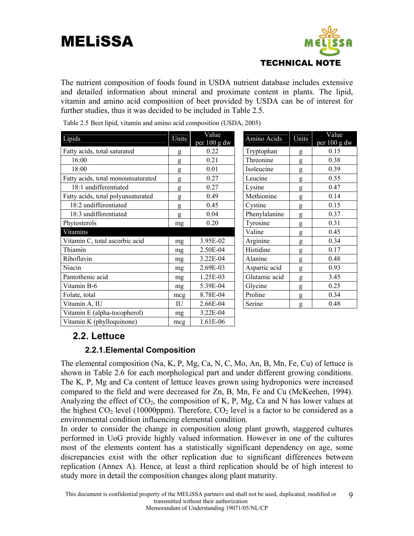

The nutrient composition of foods found in USDA nutrient database includes extensive and detailed information about mineral and proximate content in plants. The lipid, vitamin and amino acid composition of beet provided by USDA can be of interest for further studies, thus it was decided to be included in Table 2.5.

| Lipids                             | Units | Value<br>per 100 g dw | Amino Acids   | Units | Value<br>per $100$ g dw |
|------------------------------------|-------|-----------------------|---------------|-------|-------------------------|
| Fatty acids, total saturated       | g     | 0.22                  | Tryptophan    | g     | 0.15                    |
| 16:00                              | g     | 0.21                  | Threonine     | g     | 0.38                    |
| 18:00                              | g     | 0.01                  | Isoleucine    | g     | 0.39                    |
| Fatty acids, total monounsaturated | g     | 0.27                  | Leucine       | g     | 0.55                    |
| 18:1 undifferentiated              | g     | 0.27                  | Lysine        | g     | 0.47                    |
| Fatty acids, total polyunsaturated | g     | 0.49                  | Methionine    | g     | 0.14                    |
| 18:2 undifferentiated              | g     | 0.45                  | Cystine       | g     | 0.15                    |
| 18:3 undifferentiated              | g     | 0.04                  | Phenylalanine | g     | 0.37                    |
| Phytosterols                       | mg    | 0.20                  | Tyrosine      | g     | 0.31                    |
| Vitamins                           |       |                       | Valine        | g     | 0.45                    |
| Vitamin C, total ascorbic acid     | mg    | 3.95E-02              | Arginine      | g     | 0.34                    |
| Thiamin                            | mg    | 2.50E-04              | Histidine     | g     | 0.17                    |
| Riboflavin                         | mg    | 3.22E-04              | Alanine       | g     | 0.48                    |
| Niacin                             | mg    | 2.69E-03              | Aspartic acid | g     | 0.93                    |
| Pantothenic acid                   | mg    | 1.25E-03              | Glutamic acid | g     | 3.45                    |
| Vitamin B-6                        | mg    | 5.39E-04              | Glycine       | g     | 0.25                    |
| Folate, total                      | mcg   | 8.78E-04              | Proline       | g     | 0.34                    |
| Vitamin A, IU                      | IU    | 2.66E-04              | Serine        | g     | 0.48                    |
| Vitamin E (alpha-tocopherol)       | mg    | 3.22E-04              |               |       |                         |
| Vitamin K (phylloquinone)          | mcg   | 1.61E-06              |               |       |                         |

Table 2.5 Beet lipid, vitamin and amino acid composition (USDA, 2005)

#### **2.2. Lettuce**

#### **2.2.1.Elemental Composition**

The elemental composition (Na, K, P, Mg, Ca, N, C, Mo, An, B, Mn, Fe, Cu) of lettuce is shown in Table 2.6 for each morphological part and under different growing conditions. The K, P, Mg and Ca content of lettuce leaves grown using hydroponics were increased compared to the field and were decreased for Zn, B, Mn, Fe and Cu (McKeehen, 1994). Analyzing the effect of  $CO<sub>2</sub>$ , the composition of K, P, Mg, Ca and N has lower values at the highest  $CO<sub>2</sub>$  level (10000ppm). Therefore,  $CO<sub>2</sub>$  level is a factor to be considered as a environmental condition influencing elemental condition.

In order to consider the change in composition along plant growth, staggered cultures performed in UoG provide highly valued information. However in one of the cultures most of the elements content has a statistically significant dependency on age, some discrepancies exist with the other replication due to significant differences between replication (Annex A). Hence, at least a third replication should be of high interest to study more in detail the composition changes along plant maturity.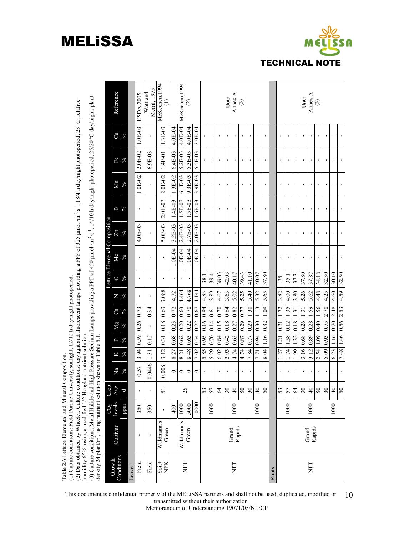# Table 2.6 Lettuce Elemental and Mineral Composition. Table 2.6 Lettuce Elemental and Mineral Composition.

(1) Culture conditions: Field Purdue University, sunlight, 12/12 h day/night photoperiod. (1) Culture conditions: Field Purdue University, sunlight, 12/12 h day/night photoperiod.<br>(1) Culture conditions: Field Purdue University, sunlight, 12/12 h day/night photoperiod.

(2) Data obtained by Wheeler. Culture conditions: daylight and fluorescent lamps providing a PPF of 325 µmol ·m<sup>-2</sup>·s<sup>1</sup>, 18/4 h day/night photoperiod, 23 °C, relative humidity 65%, using a modified 1/2 Hoagland nutrient (2) Data obtained by Wheeler. Culture conditions: daylight and fluorescent lamps providing a PPF of 325 μmol ·m-2·s-1, 18/4 h day/night photoperiod, 23 ºC, relative humidity 65%, using a modified 1/2 Hoagland nutrient solution.

(3) Culture conditions: Metal Halide and High Pressure Sodium Lamps providing a PPF of 450 µmol ·m<sup>-2</sup>·s<sup>-1</sup>, 14/10 h day/night photoperiod, 25/20 °C day/night, plant<br>density 24 plant/m<sup>2</sup>, using nutrient solution shown i (3) Culture conditions: Metal Halide and High Pressure Sodium Lamps providing a PPF of 450 μmol ·m-2·s-1, 14/10 h day/night photoperiod, 25/20 ºC day/night, plant density 24 plant/m<sup>2</sup>, using nutrient solution shown in Table 5.1.

|                      | uvilisity 47 pianu is namig nu ishi sonu on |                           |                | $2110$ will in Table 2.1. |            |            |                     |                   |                |                | Lettuce Elemenal Composition |                |                |            |            |                |                          |
|----------------------|---------------------------------------------|---------------------------|----------------|---------------------------|------------|------------|---------------------|-------------------|----------------|----------------|------------------------------|----------------|----------------|------------|------------|----------------|--------------------------|
| Conditions<br>Growth | Cultivar                                    | CO <sub>2</sub><br>levels | Crop<br>Age    | Na                        | Χ          | P          | Мg                  | Ca                | N              |                | Mо                           | Zn             | Β              | Мn         | Fe         | Cu             | Reference                |
|                      |                                             | ppm                       | P              | $\delta_0$                | $\sqrt{6}$ | $\delta/6$ | R                   | $\delta_{\rm V0}$ | $\frac{6}{6}$  | $\delta/6$     | $\delta_0$                   | $\delta/6$     | $\frac{5}{6}$  | $\sqrt{6}$ | $\sqrt{6}$ | $\delta/6$     |                          |
| Leaves               |                                             |                           |                |                           |            |            |                     |                   |                |                |                              |                |                |            |            |                |                          |
| Field                | $\blacksquare$                              | 350                       | í.             | 0.57                      | 3.94       | 0.59       | $0.26$ 0.73         |                   | $\blacksquare$ | $\blacksquare$ | J.                           | 4.0E-03        | $\blacksquare$ | 1.0E-02    | $2.0E-02$  | $1.0E-03$      | <b>USDA.2005</b>         |
| Field                | ı                                           | 350                       | $\blacksquare$ | 0.0446                    | 1.31       | 0.12       | ï                   | 0.34              | $\blacksquare$ | $\blacksquare$ | ı                            | ı              | ٠              | ı          | $6.9E-03$  | ı              | Merril, 1975<br>Watt and |
| $S$ oil+<br>NPK      | Waldmann's<br>Green                         | ï                         | 51             | 0.008                     | 3.12       | 0.31       | 0.18                | 0.63              | 3.088          | J.             | J.                           | 5.0E-03        | $2.0E-03$      | $2.0E-02$  | $1.4E-01$  | 1.3E-03        | McKeehen, 1994           |
|                      |                                             | 400                       |                | $\circ$                   | 8.27       | 0.68       | 0.23                | 0.72              | 4.72           | f,             | 1.0E-04                      | 3.2E-03        | 1.4E-03        | 1.3E-02    | $6.4E-03$  | 4.0E-04        |                          |
| İΕ                   | Waldmann's                                  | 1000                      | 25             | $\circ$                   | 8.21       | 0.62       | 0.20   0.63         |                   | 4.464          | $\mathbf{r}$   | 1.0E-04                      | 2.4E-03        | 1.5E-03        | 6.1E-03    | 5.2E-03    | 4.0E-04        | McKeehen, 1994           |
|                      | Green                                       | 5000                      |                | 0                         |            | 8.48 0.63  |                     | 0.22   0.70       | 4.768          | $\blacksquare$ | 1.0E-04                      | 2.7E-03        | $1.5E-03$      | 9.3E-03    | 5.3E-03    | 4.0E-04        | $\odot$                  |
|                      |                                             | 10000                     |                | $\circ$                   | 7.02       | 0.54       | 0.22                | 0.67              | 4.144          | $\mathbf{I}$   | 1.0E-04                      | $2.0E-03$      | $1.6E-03$      | 3.9E-03    | 5.5E-03    | 3.0E-04        |                          |
|                      |                                             |                           | 53             |                           | 5.85       | 0.95       | 0.16                | 0.94              | 4.83           | 38.1           | I,                           |                |                |            |            | ı              |                          |
|                      |                                             | 1000                      | 57             | $\blacksquare$            |            |            | 5.29 0.70 0.14 0.61 |                   | 3.89           | 39.4           | ı                            | ı              | ı              | ı          | ı          | ı              |                          |
|                      |                                             |                           | $\mathcal{Z}$  |                           | 6.02       | 0.84       | 0.15                | 0.70              | 4.67           | 38.03          | ı                            | ı              | ı              | ı          | ı          | ı              |                          |
|                      |                                             |                           | $30\,$         |                           | 2.93       | 0.42       | 0.18                | 0.64              | 3.63           | 42.03          |                              |                |                |            |            | f,             |                          |
| EH                   | Grand<br>Rapids                             | 1000                      | $\overline{4}$ | $\blacksquare$            | 4.74       | 0.63       | 0.27                | 0.82              | 5.02           | 40.17          | J.                           | J.             | J.             | J.         | J.         | $\blacksquare$ | UoG<br>Amex A            |
|                      |                                             |                           | $50\,$         | J.                        | 4.74       | 0.87       | 0.29                | 0.77              | 5.25           | 39.43          | J.                           | J.             | J.             | ٠          | ٠          | ٠              | $\odot$                  |
|                      |                                             |                           | $30\,$         |                           | 7.84       | 0.77       | 0.29                | 30                | 5.40           | 41.10          |                              |                | ı              | r          | r          | ı              |                          |
|                      |                                             | 1000                      | $\Theta$       | ٠                         | 7.71       | 0.94       | 0.30                | 1.13              | 5.32           | 40.07          | ı,                           | I,             | I,             | I,         | I,         | ×,             |                          |
|                      |                                             |                           | $\mathcal{S}$  | ı                         | 8.04       | 1.16       | 0.32                | 1.09              | 5.65           | 37.80          | ٠                            | J.             | J.             | J.         | ٠          | $\blacksquare$ |                          |
| Roots                |                                             |                           |                |                           |            |            |                     |                   |                |                |                              |                |                |            |            |                |                          |
|                      |                                             |                           | 53             | ı                         | 27         | 121        | 0.21                | 1.72              | 3.82           | 35             | ı                            | ı              | ı              | ı          | ı          | ı              |                          |
|                      |                                             | 1000                      | 57             |                           | 1.74       | 1.58       | 0.12                | 1.35              | 4.00           | 35.1           |                              |                |                |            |            | I,             |                          |
|                      |                                             |                           | $\mathcal{Z}$  |                           | 1.99       | 32         | 0.18                | $\overline{3}$    | 3.80           | 37.3           | ı                            |                |                |            |            | ı              |                          |
|                      |                                             |                           | $30\,$         | ı,                        | 3.16       | 0.68       | 0.26                | 1.31              | 5.26           | 37.80          | ı,                           | I,             | I,             | I,         | I,         | $\blacksquare$ |                          |
| EH                   | Grand<br>Rapids                             | 1000                      | $\overline{4}$ | $\blacksquare$            | 3.12       | 0.89       | 0.28                | 1.59              | 5.62           | 37.87          | $\blacksquare$               | I,             | I,             | I,         | I,         | ×,             | UoG<br>Amex A            |
|                      |                                             |                           | 50             | I,                        | 2.54       | 1.09       | 0.40                | 1.56              | 4.48           | 34.18          | I,                           | $\blacksquare$ | I,             | ı          | I,         | ×,             | $\odot$                  |
|                      |                                             |                           | $30\,$         |                           | 5.09       | 0.93       | 0.75                | 2.70              | 4.25           | 32.30          | ı                            | ı              | ı              | ï          | ï          | ı              |                          |
|                      |                                             | 1000                      | $\overline{4}$ |                           | 6.23       |            | $1.16$ 0.70 2.48    |                   | 4.60           | 30.10          | J.                           | J,             | J,             | J,         | J.         | $\blacksquare$ |                          |
|                      |                                             |                           | $50\,$         | ı.                        | 7.48       |            | $1.46$ 0.56 2.53    |                   | 4.59           | 32.50          | ı.                           | ı              | ı.             | ı          | ı.         | ĭ.             |                          |

This document is confidential property of the MELiSSA partners and shall not be used, duplicated, modified or transmitted without their authorization 10

#### Memorandum of Understanding 19071/05/NL/CP

## MELiSSA

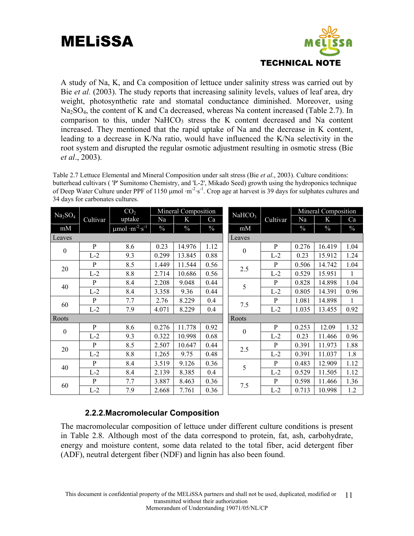

A study of Na, K, and Ca composition of lettuce under salinity stress was carried out by Bie *et al.* (2003). The study reports that increasing salinity levels, values of leaf area, dry weight, photosynthetic rate and stomatal conductance diminished. Moreover, using Na<sub>2</sub>SO<sub>4</sub>, the content of K and Ca decreased, whereas Na content increased (Table 2.7). In comparison to this, under  $NaHCO<sub>3</sub>$  stress the K content decreased and Na content increased. They mentioned that the rapid uptake of Na and the decrease in K content, leading to a decrease in K/Na ratio, would have influenced the K/Na selectivity in the root system and disrupted the regular osmotic adjustment resulting in osmotic stress (Bie *et al*., 2003).

Table 2.7 Lettuce Elemental and Mineral Composition under salt stress (Bie *et al*., 2003). Culture conditions: butterhead cultivars ( 'P' Sumitomo Chemistry, and 'L-2', Mikado Seed) growth using the hydroponics technique of Deep Water Culture under PPF of 1150 μmol ·m<sup>-2</sup>·s<sup>-1</sup>. Crop age at harvest is 39 days for sulphates cultures and 34 days for carbonates cultures.

| Na <sub>2</sub> SO <sub>4</sub> |              | CO <sub>2</sub>                            |               | Mineral Composition |               | NaHCO <sub>3</sub> |              |               | Mineral Composition |               |
|---------------------------------|--------------|--------------------------------------------|---------------|---------------------|---------------|--------------------|--------------|---------------|---------------------|---------------|
|                                 | Cultivar     | uptake                                     | Na            | K                   | Ca            |                    | Cultivar     | Na            | K                   | Ca            |
| mM                              |              | $\mu$ mol·m <sup>-2</sup> ·s <sup>-1</sup> | $\frac{0}{0}$ | $\%$                | $\frac{0}{0}$ | mM                 |              | $\frac{0}{0}$ | $\%$                | $\frac{0}{0}$ |
| Leaves                          |              |                                            |               |                     |               | Leaves             |              |               |                     |               |
| $\boldsymbol{0}$                | P            | 8.6                                        | 0.23          | 14.976              | 1.12          | $\boldsymbol{0}$   | P            | 0.276         | 16.419              | 1.04          |
|                                 | $L-2$        | 9.3                                        | 0.299         | 13.845              | 0.88          |                    | $L-2$        | 0.23          | 15.912              | 1.24          |
| 20                              | $\mathbf{P}$ | 8.5                                        | 1.449         | 11.544              | 0.56          | 2.5                | $\mathbf{P}$ | 0.506         | 14.742              | 1.04          |
|                                 | $L-2$        | 8.8                                        | 2.714         | 10.686              | 0.56          |                    | $L-2$        | 0.529         | 15.951              | 1             |
| 40                              | $\mathbf{P}$ | 8.4                                        | 2.208         | 9.048               | 0.44          | 5                  | P            | 0.828         | 14.898              | 1.04          |
|                                 | $L-2$        | 8.4                                        | 3.358         | 9.36                | 0.44          |                    | $L-2$        | 0.805         | 14.391              | 0.96          |
| 60                              | $\mathbf{P}$ | 7.7                                        | 2.76          | 8.229               | 0.4           | 7.5                | P            | 1.081         | 14.898              |               |
|                                 | $L-2$        | 7.9                                        | 4.071         | 8.229               | 0.4           |                    | $L-2$        | 1.035         | 13.455              | 0.92          |
| Roots                           |              |                                            |               |                     |               | Roots              |              |               |                     |               |
| $\boldsymbol{0}$                | $\mathbf{P}$ | 8.6                                        | 0.276         | 11.778              | 0.92          | $\boldsymbol{0}$   | $\mathbf{P}$ | 0.253         | 12.09               | 1.32          |
|                                 | $L-2$        | 9.3                                        | 0.322         | 10.998              | 0.68          |                    | $L-2$        | 0.23          | 11.466              | 0.96          |
| 20                              | $\mathbf{P}$ | 8.5                                        | 2.507         | 10.647              | 0.44          | 2.5                | P            | 0.391         | 11.973              | 1.88          |
|                                 | $L-2$        | 8.8                                        | 1.265         | 9.75                | 0.48          |                    | $L-2$        | 0.391         | 11.037              | 1.8           |
| 40                              | $\mathbf{P}$ | 8.4                                        | 3.519         | 9.126               | 0.36          | 5                  | P            | 0.483         | 12.909              | 1.12          |
|                                 | $L-2$        | 8.4                                        | 2.139         | 8.385               | 0.4           |                    | $L-2$        | 0.529         | 11.505              | 1.12          |
| 60                              | $\mathbf{P}$ | 7.7                                        | 3.887         | 8.463               | 0.36          |                    | P            | 0.598         | 11.466              | 1.36          |
|                                 | $L-2$        | 7.9                                        | 2.668         | 7.761               | 0.36          | 7.5                | $L-2$        | 0.713         | 10.998              | 1.2           |

#### **2.2.2.Macromolecular Composition**

The macromolecular composition of lettuce under different culture conditions is present in Table 2.8. Although most of the data correspond to protein, fat, ash, carbohydrate, energy and moisture content, some data related to the total fiber, acid detergent fiber (ADF), neutral detergent fiber (NDF) and lignin has also been found.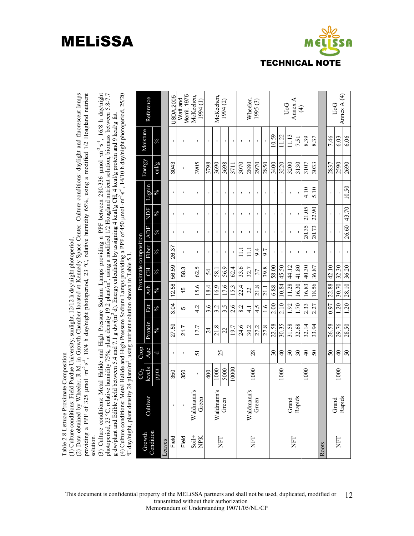## Table 2.8 Lettuce Proximate Composition Table 2.8 Lettuce Proximate Composition

(1) Culture conditions: Field Purdue University, sunlight, 12/12 h day/night photoperiod. (1) Culture conditions: Field Purdue University, sunlight, 12/12 h day/night photoperiod

(2) Data obtained by Wheeler, R.M. in Growth Chamber located at Kennedy Space Center. Culture conditions: daylight and fluorescent lamps μmol ·m-2·s-1, 18/4 h day/night photoperiod, 23 ºC, relative humidity 65%, using a modified 1/2 Hoagland nutrient (2) Data obtained by Wheeler, R.M. in Growth Chamber located at Kennedy Space Center. Culture conditions: daylight and fluorescent lamps providing a PPF of 325 µmol ·m<sup>2</sup>·s<sup>-1</sup>, 18/4 h day/night photoperiod, 23 °C, relative humidity 65%, using a modified 1/2 Hoagland nutrient providing a PPF of 325 solution. solution.

 $\mu$ mol · $m^2 \cdot s^{-1}$ , 16/8 h day/night photoperiod, 23 ºC, relative humidity 75%, plant density 19.2 plant/m2, using a modified 1/2 Hoagland nutrient solution, biomass between 5.8-7.7  $\mu$ mol ·m<sup>-2</sup>·s<sup>-1</sup>, 14/10 h day/night photoperiod, 25/20 (3) Culture conditions: Metal Halide and High Pressure Sodium Lamps providing a PPF between 280-336  $\mu$ mol  $m^2 \cdot s^1$ , 16/8 h day/night photoperiod, 23 °C, relative humidity 75%, plant density 19.2 plant/m<sup>2</sup>, using a mo g dw/plant and Edible yield between 5.4 and 7.1 g dw/(m<sup>2</sup> d). Energy calculated by assigning 4 kcal/g CH, 4 kcal/g protein and 9 kcal/g fat.<br>(4) Culture conditions: Metal Halide and High Pressure Sodium Lamps providing a g dw/plant and Edible yield between 5.4 and 7.1 g dw/(m2 d). Energy calculated by assigning 4 kcal/g CH, 4 kcal/g protein and 9 kcal/g fat. (3) Culture conditions: Metal Halide and High Pressure Sodium Lamps providing a PPF between 280-336 (4) Culture conditions: Metal Halide and High Pressure Sodium Lamps providing a PPF of 450 ºC day/night, plant density 24 plant/m2, using nutrient solution shown in Table 5.1.

|                        | ay mping panit action | - Prance , and a man |                 |                 |                |             |            |                       |                |                |                |        |                |                                  |
|------------------------|-----------------------|----------------------|-----------------|-----------------|----------------|-------------|------------|-----------------------|----------------|----------------|----------------|--------|----------------|----------------------------------|
|                        |                       | $\mathrm{CO}_2$      | Crop            |                 |                |             |            | Proximate composition |                |                |                |        |                |                                  |
| Condition<br>Growth    | Cultivar              | levels               | Age             | Protein         | Fat            | Ash         | <b>CH</b>  | Fiber                 | <b>ADF</b>     | <b>NDF</b>     | Lignin         | Energy | Moisture       | Reference                        |
|                        |                       | ppm                  | b               | $\frac{6}{6}$   | $\sqrt{6}$     | $\sqrt{6}$  | $\sqrt{6}$ | $\sqrt{6}$            | $\phi'_{0}$    | $\frac{6}{6}$  | $\frac{6}{6}$  | cal/g  | $\sqrt{6}$     |                                  |
| Leaves                 |                       |                      |                 |                 |                |             |            |                       |                |                |                |        |                |                                  |
| Field                  | ı                     | 350                  | ı               | 27.59           | 3.04           | 12.58       | 56.59      | 26.37                 | ı              | ı              | $\blacksquare$ | 3043   | $\blacksquare$ | <b>JSDA.2005</b>                 |
| Field                  | ı                     | 350                  | ٠               | 21.7            | Ю              | 15          | 58.3       | 1                     | ×,             | ı              | ٠              | ı      | <b>I</b>       | Merril, 1975<br>Watt and         |
| $S$ oil+<br><b>NPK</b> | Waldmann's<br>Green   | ı                    | 51              | 17.7            | 4.2            | 15.6        | 62.5       | ı                     | f,             |                | f,             | 3905   | f,             | McKeehen,<br>1994(1)             |
|                        |                       | 400                  |                 | $\overline{24}$ | 3.6            | 18.4        | 54         | J.                    | $\blacksquare$ |                |                | 3798   | $\blacksquare$ |                                  |
| <b>NFT</b>             | Waldmann's            | 1000                 | 25              | 21.8            | 3.2            | 16.9        | 58.1       | ı                     | $\blacksquare$ | ı              | $\blacksquare$ | 3690   | $\blacksquare$ | McKeehen,                        |
|                        | Green                 | 5000                 |                 | 22              | 3.5            | 17.6        | 56.9       | ı.                    | f,             | f,             | I.             | 3698   |                | 1994(2)                          |
|                        |                       | 10000                |                 | 197             | 2.6            | 15.3        | 62.4       | ı                     | f,             | I.             |                | 3711   |                |                                  |
|                        |                       |                      |                 | 24.6            | 8.2            | 22.4        | 33.6       | Ξ                     | $\mathbf{I}$   |                |                | 3070   | ı              |                                  |
| <b>NFT</b>             | Waldmann's            | 1000                 | 28              | 30.2            | $\frac{1}{4}$  | 22          | 32.7       | Ξ                     | $\blacksquare$ |                |                | 2880   |                | Wheeler,                         |
|                        | Green                 |                      |                 | 27.2            | 4.5            | 21.8        | 37         | 9.4                   | $\blacksquare$ | $\blacksquare$ | ı              | 2970   | $\mathbf{I}$   | 1995(3)                          |
|                        |                       |                      |                 | 27.8            | $\frac{6}{11}$ | 21.1        | 39.8       | 9.7                   | ı              | Ĭ.             | I.             | 2850   | $\mathbf{I}$   |                                  |
|                        |                       |                      | 30              | 22.58           | 2.00           | 6.88        | 58.00      | $\blacksquare$        | I.             | f,             |                | 3400   | 10.59          |                                  |
|                        |                       | 1000                 | $\frac{1}{4}$   | 30.35           | 2.10           | 10.84       | 45.50      | ı                     |                |                |                | 3220   | 11.22          |                                  |
| <b>THN</b>             | Grand                 |                      | 50              | 31.58           | 1.92           | 11.28       | 44.12      | $\blacksquare$        |                |                |                | 3200   | 11.13          | UoG<br>Annex A                   |
|                        | Rapids                |                      | 30              | 32.68           | 1.70           | 16.30       | 41.80      | ı                     |                |                |                | 3130   | 7.51           | $\bigoplus$                      |
|                        |                       | 1000                 | $\overline{40}$ | 32.14           | 2.33           | 16.83       | 40.30      | I.                    | 20.35          | 21.05          | 4.10           | 3107   | 8.39           |                                  |
|                        |                       |                      | 50              | 33.94           | 2.27           | 18.56       | 36.87      | $\blacksquare$        | 20.73          | 22.90          | 5.10           | 3033   | 8.37           |                                  |
| Roots                  |                       |                      |                 |                 |                |             |            |                       |                |                |                |        |                |                                  |
|                        |                       |                      | $50\,$          | 26.58           | 0.97           | 22.88 42.10 |            | J.                    | $\blacksquare$ | f,             |                | 2837   | 7.46           |                                  |
| ET                     | Rapids<br>Grand       | 1000                 | $\frac{1}{4}$   | 29.76           | 1.20           | 30.70 32.30 |            | $\blacksquare$        |                |                |                | 2590   | 6.03           | Annex $A(4)$<br>U <sub>o</sub> G |
|                        |                       |                      | 50              | 28.50           | 1.20           | 28.10 36.20 |            |                       | 26.60          | 43.70          | 10.50          | 2690   | 6.06           |                                  |

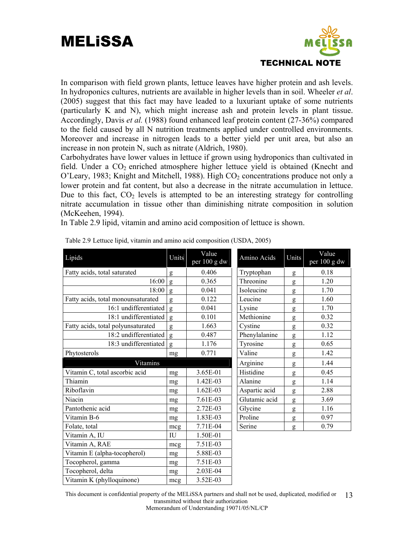

In comparison with field grown plants, lettuce leaves have higher protein and ash levels. In hydroponics cultures, nutrients are available in higher levels than in soil. Wheeler *et al*. (2005) suggest that this fact may have leaded to a luxuriant uptake of some nutrients (particularly K and N), which might increase ash and protein levels in plant tissue. Accordingly, Davis *et al.* (1988) found enhanced leaf protein content (27-36%) compared to the field caused by all N nutrition treatments applied under controlled environments. Moreover and increase in nitrogen leads to a better yield per unit area, but also an increase in non protein N, such as nitrate (Aldrich, 1980).

Carbohydrates have lower values in lettuce if grown using hydroponics than cultivated in field. Under a  $CO<sub>2</sub>$  enriched atmosphere higher lettuce yield is obtained (Knecht and  $O'$ Leary, 1983; Knight and Mitchell, 1988). High  $CO<sub>2</sub>$  concentrations produce not only a lower protein and fat content, but also a decrease in the nitrate accumulation in lettuce. Due to this fact,  $CO<sub>2</sub>$  levels is attempted to be an interesting strategy for controlling nitrate accumulation in tissue other than diminishing nitrate composition in solution (McKeehen, 1994).

In Table 2.9 lipid, vitamin and amino acid composition of lettuce is shown.

| Lipids                             | Units | Value<br>per 100 g dw | Amino Acids   | Units     | Value<br>per 100 g dw |
|------------------------------------|-------|-----------------------|---------------|-----------|-----------------------|
| Fatty acids, total saturated       | g     | 0.406                 | Tryptophan    | g         | 0.18                  |
| 16:00                              | g     | 0.365                 | Threonine     | g         | 1.20                  |
| 18:00                              | g     | 0.041                 | Isoleucine    | g         | 1.70                  |
| Fatty acids, total monounsaturated | g     | 0.122                 | Leucine       | g         | 1.60                  |
| 16:1 undifferentiated              | g     | 0.041                 | Lysine        | g         | 1.70                  |
| 18:1 undifferentiated              | g     | 0.101                 | Methionine    | g         | 0.32                  |
| Fatty acids, total polyunsaturated | g     | 1.663                 | Cystine       | g         | 0.32                  |
| 18:2 undifferentiated              | g     | 0.487                 | Phenylalanine | g         | 1.12                  |
| 18:3 undifferentiated              | g     | 1.176                 | Tyrosine      | g         | 0.65                  |
| Phytosterols                       | mg    | 0.771                 | Valine        | g         | 1.42                  |
| <b>Vitamins</b>                    |       |                       | Arginine      | g         | 1.44                  |
| Vitamin C, total ascorbic acid     | mg    | 3.65E-01              | Histidine     | g         | 0.45                  |
| Thiamin                            | mg    | 1.42E-03              | Alanine       | g         | 1.14                  |
| Riboflavin                         | mg    | 1.62E-03              | Aspartic acid | g         | 2.88                  |
| Niacin                             | mg    | 7.61E-03              | Glutamic acid | g         | 3.69                  |
| Pantothenic acid                   | mg    | 2.72E-03              | Glycine       | ${\sf g}$ | 1.16                  |
| Vitamin B-6                        | mg    | 1.83E-03              | Proline       | g         | 0.97                  |
| Folate, total                      | mcg   | 7.71E-04              | Serine        | g         | 0.79                  |
| Vitamin A, IU                      | IU    | 1.50E-01              |               |           |                       |
| Vitamin A, RAE                     | mcg   | 7.51E-03              |               |           |                       |
| Vitamin E (alpha-tocopherol)       | mg    | 5.88E-03              |               |           |                       |
| Tocopherol, gamma                  | mg    | 7.51E-03              |               |           |                       |
| Tocopherol, delta                  | mg    | 2.03E-04              |               |           |                       |
| Vitamin K (phylloquinone)          | mcg   | 3.52E-03              |               |           |                       |

Table 2.9 Lettuce lipid, vitamin and amino acid composition (USDA, 2005)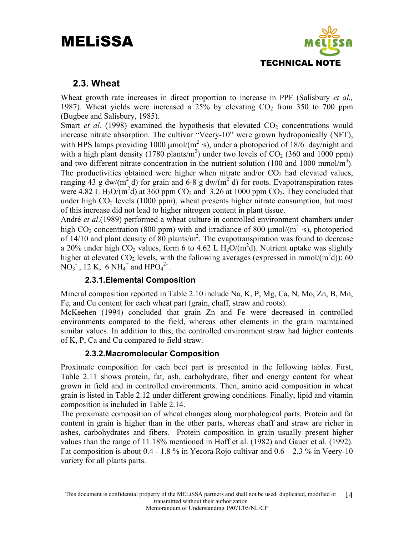

#### **2.3. Wheat**

Wheat growth rate increases in direct proportion to increase in PPF (Salisbury *et al.,* 1987). Wheat yields were increased a  $25\%$  by elevating  $CO<sub>2</sub>$  from 350 to 700 ppm (Bugbee and Salisbury, 1985).

Smart *et al.* (1998) examined the hypothesis that elevated  $CO<sub>2</sub>$  concentrations would increase nitrate absorption. The cultivar "Veery-10" were grown hydroponically (NFT), with HPS lamps providing 1000  $\mu$ mol/(m<sup>2</sup> ·s), under a photoperiod of 18/6 day/night and with a high plant density  $(1780 \text{ plants/m}^2)$  under two levels of  $CO<sub>2</sub>$  (360 and 1000 ppm) and two different nitrate concentration in the nutrient solution (100 and 1000 mmol/m<sup>3</sup>). The productivities obtained were higher when nitrate and/or  $CO<sub>2</sub>$  had elevated values, ranging 43 g dw/(m<sup>2</sup> d) for grain and 6-8 g dw/(m<sup>2</sup> d) for roots. Evapotranspiration rates were 4.82 L  $H_2O/(m^2d)$  at 360 ppm  $CO_2$  and 3.26 at 1000 ppm  $CO_2$ . They concluded that under high  $CO<sub>2</sub>$  levels (1000 ppm), wheat presents higher nitrate consumption, but most of this increase did not lead to higher nitrogen content in plant tissue.

André *et al*.(1989) performed a wheat culture in controlled environment chambers under high CO<sub>2</sub> concentration (800 ppm) with and irradiance of 800  $\mu$ mol/(m<sup>2</sup> ·s), photoperiod of  $14/10$  and plant density of 80 plants/m<sup>2</sup>. The evapotranspiration was found to decrease a 20% under high  $CO_2$  values, form 6 to 4.62 L  $H_2O/(m^2d)$ . Nutrient uptake was slightly higher at elevated CO<sub>2</sub> levels, with the following averages (expressed in mmol/ $(m^2d)$ ): 60  $\overline{NO_3}$ , 12 K, 6  $\overline{NH_4}^+$  and  $\overline{HPO_4}^{2-}$ .

#### **2.3.1.Elemental Composition**

Mineral composition reported in Table 2.10 include Na, K, P, Mg, Ca, N, Mo, Zn, B, Mn, Fe, and Cu content for each wheat part (grain, chaff, straw and roots).

McKeehen (1994) concluded that grain Zn and Fe were decreased in controlled environments compared to the field, whereas other elements in the grain maintained similar values. In addition to this, the controlled environment straw had higher contents of K, P, Ca and Cu compared to field straw.

#### **2.3.2.Macromolecular Composition**

Proximate composition for each beet part is presented in the following tables. First, Table 2.11 shows protein, fat, ash, carbohydrate, fiber and energy content for wheat grown in field and in controlled environments. Then, amino acid composition in wheat grain is listed in Table 2.12 under different growing conditions. Finally, lipid and vitamin composition is included in Table 2.14.

The proximate composition of wheat changes along morphological parts. Protein and fat content in grain is higher than in the other parts, whereas chaff and straw are richer in ashes, carbohydrates and fibers. Protein composition in grain usually present higher values than the range of 11.18% mentioned in Hoff et al. (1982) and Gauer et al. (1992). Fat composition is about 0.4 - 1.8 % in Yecora Rojo cultivar and  $0.6 - 2.3$  % in Veery-10 variety for all plants parts.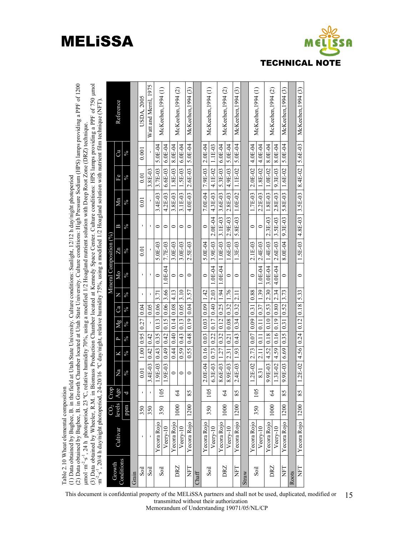

| (3) Data obtained by Wheeler, R.M. in Biomass Production Chamber located at Kennedy Space Center. Culture conditions: HPS lamps providing a PPF of 750 µmol m <sup>2</sup> ·s <sup>-1</sup> , 20/4 h day/night photoperiod, 24-20/16 °C day/night,<br>(2) Data obtained by Bugbee, B. in Growth Chamber located at Utah State University. Culture conditions: High Pressure Sodium (HPS) lamps providing a PPF of 1200 |                         | Reference            |               |       | <b>USDA, 2005</b> | Watt and Merril, 1975 | McKeehen, 1994 (1) |           | McKeehen, 1994 (2) |           | McKeehen.1994 (3) |       | McKeehen, 1994 (1)             |               | McKeehen, 1994 (2) |           | McKeehen, 1994 (3) |       | McKechen, 1994(1) |                | McKeehen, 1994 (2) |           | McKeehen, 1994 (3) |       | McKeehen, 1994 (3)                                        |
|------------------------------------------------------------------------------------------------------------------------------------------------------------------------------------------------------------------------------------------------------------------------------------------------------------------------------------------------------------------------------------------------------------------------|-------------------------|----------------------|---------------|-------|-------------------|-----------------------|--------------------|-----------|--------------------|-----------|-------------------|-------|--------------------------------|---------------|--------------------|-----------|--------------------|-------|-------------------|----------------|--------------------|-----------|--------------------|-------|-----------------------------------------------------------|
|                                                                                                                                                                                                                                                                                                                                                                                                                        |                         | J                    | $\sqrt{6}$    |       | 0.001             |                       | 5.0E-04            | $6.0E-04$ | 8.0E-04            | $6.0E-04$ | 5.0E-04           |       | $2.0E-04$                      | <b>L1E-03</b> | $6.0E-04$          | 5.0E-04   | 5.0E-04            |       | 4.0E-04           | 4.0E-04        | 8.0E-04            | 8.0E-04   | 5.0E-04            |       |                                                           |
|                                                                                                                                                                                                                                                                                                                                                                                                                        |                         | Fe                   | $\frac{6}{6}$ |       | 0.01              | 3.8E-03               | 3.7E-03            | $6.6E-03$ | $1.8E-03$          | $1.5E-03$ | $2.6E-03$         |       | $7.9E-03$                      | 4.1E-02       | 5.3E-03            | 4.9E-03   | $1.1E-02$          |       | $2.0E - 02$       | 1.8E-02        | $1.0E-02$          | $9.3E-03$ | $1.6E-02$          |       |                                                           |
|                                                                                                                                                                                                                                                                                                                                                                                                                        |                         | Мn                   | $^{0/6}$      |       | 0.01              |                       | 3.4E-03            | $4.2E-03$ | 3.8E-03            | 3.1E-03   | 4.0E-03           |       | $7.0E-04$                      | 4.3E-03       | $3.6E-03$          | $2.8E-03$ | $1.0E-02$          |       | 1.7E-03           | $2.2E-03$      | 1.8E-03            | $2.8E-03$ | 5.8E-03            |       |                                                           |
|                                                                                                                                                                                                                                                                                                                                                                                                                        |                         | Ε                    | $\frac{6}{6}$ |       | $\mathbf I$       | ı                     | 0                  | $\circ$   | $\circ$            | $\circ$   | $\circ$           |       | $\circ$                        | 2.0E-04       | $3.1E-03$          | $2.9E-03$ | 5.8E-03            |       | 0                 | $\circ$        | $2.3E-03$          | 3.5E-03   | 9.3E-03            |       | $1.5E-03$   $4.8E-03$   $3.5E-03$   $8.4E-02$   $5.6E-03$ |
|                                                                                                                                                                                                                                                                                                                                                                                                                        | Mineral Composition (%) | Zn                   | $^{0/6}$      |       | 0.01              |                       | 5.0E-03            | 7.7E-03   | $3.0E-03$          | 3.0E-03   | 2.5E-03           |       | $5.0E-04$                      | 3.9E-03       | $1.0E-03$          | $.6E-03$  | $1.3E-03$          |       | $2.1E-03$         | $2.4E-03$      | 1.4E-03            | $2.6E-03$ | 8.0E-04            |       |                                                           |
|                                                                                                                                                                                                                                                                                                                                                                                                                        |                         | Mо                   | $^{9/6}$      |       | ı,                |                       | $\circ$            | $0.0E-04$ | $\circ$            | $\circ$   | $\circ$           |       | $\circ$                        | $-0E-04$      | $0.01-04$          | $\circ$   | $\circ$            |       | $\circ$           | $1.0E-04$      | 3.0E-04            | 4.0E-04   | $\circ$            |       | $\circ$                                                   |
|                                                                                                                                                                                                                                                                                                                                                                                                                        |                         | Z                    | $^{0/6}$      |       | $\blacksquare$    | ı                     | $\overline{3.71}$  | 3.66      | 4.13               | 3.10      | 3.57              |       | $\frac{142}{1}$                | 2.03          | 1.94               | 1.76      | 2.11               |       | 0.88              | 1.39           | 2.30               | 2.34      | 3.73               |       |                                                           |
|                                                                                                                                                                                                                                                                                                                                                                                                                        |                         | Ca                   | $\frac{6}{6}$ |       | 0.04              | 0.05                  | 0.06               | 0.06      | 0.08               | 0.05      | 0.04              |       |                                | 0.40          | 0.25               | 0.32      | 0.32               |       | 0.31              | 0.37           | 0.53               | 0.80      | 0.52               |       |                                                           |
|                                                                                                                                                                                                                                                                                                                                                                                                                        |                         | Мg                   | $\frac{6}{6}$ |       | 0.27              |                       | 0.13               | 0.15      | 0.14               | 0.13      | 0.19              |       |                                | 0.17          | 0.12               | 0.08      | 0.34               |       | 0.09              | $\frac{11}{2}$ | 0.10               | 0.19      | 0.31               |       |                                                           |
|                                                                                                                                                                                                                                                                                                                                                                                                                        |                         | $\mathbf{r}$         | $\frac{6}{6}$ |       | 0.95              | 0.42                  | 0.35               | 0.42      | 0.40               | 0.43      | 0.48              |       |                                | 0.22          | 0.32               | 0.21      | 0.43               |       | 0.07              | $\frac{1}{2}$  | 0.18               | 0.16      | 0.35               |       |                                                           |
|                                                                                                                                                                                                                                                                                                                                                                                                                        |                         | N                    | $\frac{6}{6}$ |       | 1.00              | 0.42                  | 0.43               | 0.49      | 0.44               | 0.59      | 0.55              |       |                                | 0.73          | 1.27               | 2.31      | 1.93               |       | 2.73              | 2.11           | 4.52               | 4.59      | 6.69               |       |                                                           |
|                                                                                                                                                                                                                                                                                                                                                                                                                        |                         | Na                   | $^{9/9}$      |       | 0.01              | $4E-03$<br>ِس         | $.9E-03$           | $1.9E-03$ | $\circ$            | $\circ$   | $\circ$           |       | $2.0E-04$   0.03   0.03   0.09 | $6.3E-03$     | $8.6E-03$          | 8.9E-03   | 2.4E-03            |       | 1.2E-02           | 8.31           | 9.9E-03            | 1.3E-02   | 9.9E-03            |       | $1.2E-02$   4.56   0.24   0.12   0.18   5.33              |
|                                                                                                                                                                                                                                                                                                                                                                                                                        | Crop                    | Age                  | b             |       | $\mathbf I$       |                       | 105                |           | $\overline{6}$     |           | 85                |       | 105                            |               | $\mathcal{L}$      |           | 85                 |       | 105               |                | 2                  |           | 85                 |       | 85                                                        |
|                                                                                                                                                                                                                                                                                                                                                                                                                        | CO <sub>2</sub>         | levels               | uudd          |       | 350               | 350                   | 350                |           | 1000               |           | 1200              |       | 350                            |               | 1000               |           | 1200               |       | 350               |                | 1000               |           | 1200               |       | 1200                                                      |
| umol ·m <sup>2</sup> ·s <sup>1</sup> , 24 h photoperiod, 23 °C, relative humidity 70%, using a modified 1/2 Hoagland nutrient solution with Deep Root Zone (DRZ) technique.<br>(1) Data obtained by Bugbee, B. in the field at Utah State University. Culture conditions: Sunlight, $12/12$ h day/night photoperiod<br>Table 2.10 Wheat elemental composition                                                          |                         | Cultivar             |               |       |                   |                       | Yecora Rojo        | Veery-10  | Yecora Rojo        | Veery-10  | Yecora Rojo       |       | Yecora Rojo                    | Veery-10      | Yecora Rojo        | Veery-10  | Yecora Rojo        |       | Yecora Rojo       | Veery-10       | Yecora Rojo        | Veery-10  | Yecora Rojo        |       | Yecora Rojo                                               |
|                                                                                                                                                                                                                                                                                                                                                                                                                        |                         | Conditions<br>Growth |               | Grain | Soil              | Soil                  | Soil               |           | DRZ                |           | EH                | Chaff | Soil                           |               | DRZ                |           | EH                 | Straw | Soil              |                | DRZ                |           | <b>THN</b>         | Roots | <b>THN</b>                                                |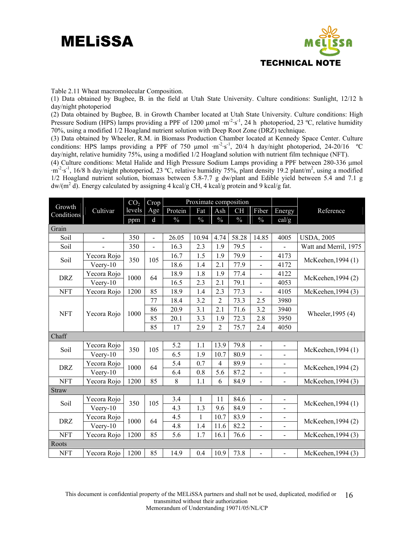

Table 2.11 Wheat macromolecular Composition.

(1) Data obtained by Bugbee, B. in the field at Utah State University. Culture conditions: Sunlight, 12/12 h day/night photoperiod

(2) Data obtained by Bugbee, B. in Growth Chamber located at Utah State University. Culture conditions: High Pressure Sodium (HPS) lamps providing a PPF of 1200  $\mu$ mol ·m<sup>-2</sup>·s<sup>-1</sup>, 24 h photoperiod, 23 °C, relative humidity 70%, using a modified 1/2 Hoagland nutrient solution with Deep Root Zone (DRZ) technique.

(3) Data obtained by Wheeler, R.M. in Biomass Production Chamber located at Kennedy Space Center. Culture conditions: HPS lamps providing a PPF of 750 μmol ·m-2·s-1, 20/4 h day/night photoperiod, 24-20/16 ºC day/night, relative humidity 75%, using a modified 1/2 Hoagland solution with nutrient film technique (NFT).

(4) Culture conditions: Metal Halide and High Pressure Sodium Lamps providing a PPF between 280-336 μmol  $\cdot$ m<sup>-2</sup>·s<sup>-1</sup>, 16/8 h day/night photoperiod, 23 °C, relative humidity 75%, plant density 19.2 plant/m<sup>2</sup>, using a modified 1/2 Hoagland nutrient solution, biomass between 5.8-7.7 g dw/plant and Edible yield between 5.4 and 7.1 g  $dw/(m^2 d)$ . Energy calculated by assigning 4 kcal/g CH, 4 kcal/g protein and 9 kcal/g fat.

|                      |                | CO <sub>2</sub> | Crop           |         | Proximate composition |                |               |                              |                          |                       |
|----------------------|----------------|-----------------|----------------|---------|-----------------------|----------------|---------------|------------------------------|--------------------------|-----------------------|
| Growth<br>Conditions | Cultivar       | levels          | Age            | Protein | Fat                   | Ash            | <b>CH</b>     | Fiber                        | Energy                   | Reference             |
|                      |                | ppm             | d              | $\%$    | $\%$                  | $\frac{0}{0}$  | $\frac{0}{0}$ | $\%$                         | cal/g                    |                       |
| Grain                |                |                 |                |         |                       |                |               |                              |                          |                       |
| Soil                 | $\overline{a}$ | 350             | $\overline{a}$ | 26.05   | 10.94                 | 4.74           | 58.28         | 14.85                        | 4005                     | <b>USDA, 2005</b>     |
| Soil                 |                | 350             |                | 16.3    | 2.3                   | 1.9            | 79.5          |                              |                          | Watt and Merril, 1975 |
| Soil                 | Yecora Rojo    | 350             | 105            | 16.7    | 1.5                   | 1.9            | 79.9          | $\overline{\phantom{a}}$     | 4173                     | McKeehen, 1994 (1)    |
|                      | $Veery-10$     |                 |                | 18.6    | 1.4                   | 2.1            | 77.9          | $\frac{1}{2}$                | 4172                     |                       |
| <b>DRZ</b>           | Yecora Rojo    | 1000            | 64             | 18.9    | 1.8                   | 1.9            | 77.4          | $\overline{a}$               | 4122                     | McKeehen, 1994 (2)    |
|                      | $Veery-10$     |                 |                | 16.5    | 2.3                   | 2.1            | 79.1          | $\blacksquare$               | 4053                     |                       |
| <b>NFT</b>           | Yecora Rojo    | 1200            | 85             | 18.9    | 1.4                   | 2.3            | 77.3          | $\overline{\phantom{0}}$     | 4105                     | McKeehen, 1994 (3)    |
|                      |                |                 | 77             | 18.4    | 3.2                   | $\overline{2}$ | 73.3          | 2.5                          | 3980                     |                       |
| <b>NFT</b>           |                | 1000            | 86             | 20.9    | 3.1                   | 2.1            | 71.6          | 3.2                          | 3940                     |                       |
|                      | Yecora Rojo    |                 | 85             | 20.1    | 3.3                   | 1.9            | 72.3          | 2.8                          | 3950                     | Wheeler, 1995 (4)     |
|                      |                |                 | 85             | 17      | 2.9                   | $\overline{2}$ | 75.7          | 2.4                          | 4050                     |                       |
| Chaff                |                |                 |                |         |                       |                |               |                              |                          |                       |
| Soil                 | Yecora Rojo    | 350             | 105            | 5.2     | 1.1                   | 13.9           | 79.8          | $\blacksquare$               | $\blacksquare$           | McKeehen, 1994 (1)    |
|                      | $Vee$ ry-10    |                 |                | 6.5     | 1.9                   | 10.7           | 80.9          | $\overline{a}$               |                          |                       |
| <b>DRZ</b>           | Yecora Rojo    | 1000            | 64             | 5.4     | 0.7                   | $\overline{4}$ | 89.9          | $\blacksquare$               |                          | McKeehen, 1994 (2)    |
|                      | Veery-10       |                 |                | 6.4     | 0.8                   | 5.6            | 87.2          | -                            |                          |                       |
| <b>NFT</b>           | Yecora Rojo    | 1200            | 85             | 8       | 1.1                   | 6              | 84.9          | $\blacksquare$               | $\blacksquare$           | McKeehen, 1994 (3)    |
| <b>Straw</b>         |                |                 |                |         |                       |                |               |                              |                          |                       |
| Soil                 | Yecora Rojo    | 350             | 105            | 3.4     | $\mathbf{1}$          | 11             | 84.6          | $\overline{\phantom{a}}$     |                          | McKeehen, 1994 (1)    |
|                      | $Veery-10$     |                 |                | 4.3     | 1.3                   | 9.6            | 84.9          | $\overline{a}$               |                          |                       |
| <b>DRZ</b>           | Yecora Rojo    | 1000            | 64             | 4.5     | $\mathbf{1}$          | 10.7           | 83.9          | $\overline{\phantom{a}}$     |                          | McKeehen, 1994 (2)    |
|                      | Veery-10       |                 |                | 4.8     | 1.4                   | 11.6           | 82.2          | $\overline{\phantom{m}}$     |                          |                       |
| <b>NFT</b>           | Yecora Rojo    | 1200            | 85             | 5.6     | 1.7                   | 16.1           | 76.6          | $\qquad \qquad \blacksquare$ | $\blacksquare$           | McKeehen, 1994 (3)    |
| Roots                |                |                 |                |         |                       |                |               |                              |                          |                       |
| <b>NFT</b>           | Yecora Rojo    | 1200            | 85             | 14.9    | 0.4                   | 10.9           | 73.8          | $\qquad \qquad \blacksquare$ | $\overline{\phantom{a}}$ | McKeehen, 1994 (3)    |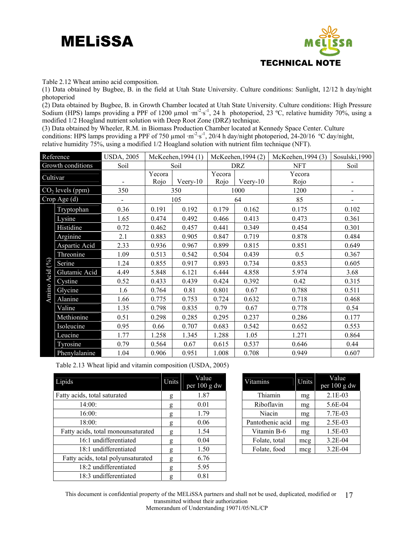



Table 2.12 Wheat amino acid composition.

(1) Data obtained by Bugbee, B. in the field at Utah State University. Culture conditions: Sunlight, 12/12 h day/night photoperiod

(2) Data obtained by Bugbee, B. in Growth Chamber located at Utah State University. Culture conditions: High Pressure Sodium (HPS) lamps providing a PPF of 1200 µmol ·m<sup>-2</sup>·s<sup>-1</sup>, 24 h photoperiod, 23 °C, relative humidity 70%, using a modified 1/2 Hoagland nutrient solution with Deep Root Zone (DRZ) technique.

(3) Data obtained by Wheeler, R.M. in Biomass Production Chamber located at Kennedy Space Center. Culture conditions: HPS lamps providing a PPF of 750 µmol ·m<sup>-2</sup>·s<sup>-1</sup>, 20/4 h day/night photoperiod, 24-20/16 °C day/night, relative humidity 75%, using a modified 1/2 Hoagland solution with nutrient film technique (NFT).

|          | Reference          | <b>USDA, 2005</b>        |        | McKeehen, 1994 (1) |        | McKeehen, 1994 (2)              | McKeehen, 1994 (3) | Sosulski, 1990               |
|----------|--------------------|--------------------------|--------|--------------------|--------|---------------------------------|--------------------|------------------------------|
|          | Growth conditions  | Soil                     |        | Soil               |        | <b>DRZ</b>                      | <b>NFT</b>         | Soil                         |
| Cultivar |                    |                          | Yecora |                    | Yecora |                                 | Yecora             |                              |
|          |                    | $\overline{\phantom{a}}$ | Rojo   | Veery-10           | Rojo   | V <sub>ee</sub> <sub>T</sub> 10 | Rojo               |                              |
|          | $CO2$ levels (ppm) | 350                      |        | 350                |        | 1000                            | 1200               | $\qquad \qquad \blacksquare$ |
|          | Crop Age (d)       | 105                      |        |                    |        | 64                              | 85                 |                              |
|          | Tryptophan         | 0.36                     | 0.191  | 0.192              | 0.179  | 0.162                           | 0.175              | 0.102                        |
|          | Lysine             | 1.65                     | 0.474  | 0.492              | 0.466  | 0.413                           | 0.473              | 0.361                        |
|          | Histidine          | 0.72                     | 0.462  | 0.457              | 0.441  | 0.349                           | 0.454              | 0.301                        |
|          | Arginine           | 2.1                      | 0.883  | 0.905              | 0.847  | 0.719                           | 0.878              | 0.484                        |
|          | Aspartic Acid      | 2.33                     | 0.936  | 0.967              | 0.899  | 0.815                           | 0.851              | 0.649                        |
|          | Threonine          | 1.09                     | 0.513  | 0.542              | 0.504  | 0.439                           | 0.5                | 0.367                        |
| $(\%)$   | Serine             | 1.24                     | 0.855  | 0.917              | 0.893  | 0.734                           | 0.853              | 0.605                        |
| Acid     | Glutamic Acid      | 4.49                     | 5.848  | 6.121              | 6.444  | 4.858                           | 5.974              | 3.68                         |
|          | Cystine            | 0.52                     | 0.433  | 0.439              | 0.424  | 0.392                           | 0.42               | 0.315                        |
| Amino    | Glycine            | 1.6                      | 0.764  | 0.81               | 0.801  | 0.67                            | 0.788              | 0.511                        |
|          | Alanine            | 1.66                     | 0.775  | 0.753              | 0.724  | 0.632                           | 0.718              | 0.468                        |
|          | Valine             | 1.35                     | 0.798  | 0.835              | 0.79   | 0.67                            | 0.778              | 0.54                         |
|          | Methionine         | 0.51                     | 0.298  | 0.285              | 0.295  | 0.237                           | 0.286              | 0.177                        |
|          | Isoleucine         | 0.95                     | 0.66   | 0.707              | 0.683  | 0.542                           | 0.652              | 0.553                        |
|          | Leucine            | 1.77                     | 1.258  | 1.345              | 1.288  | 1.05                            | 1.271              | 0.864                        |
|          | Tyrosine           | 0.79                     | 0.564  | 0.67               | 0.615  | 0.537                           | 0.646              | 0.44                         |
|          | Phenylalanine      | 1.04                     | 0.906  | 0.951              | 1.008  | 0.708                           | 0.949              | 0.607                        |

Table 2.13 Wheat lipid and vitamin composition (USDA, 2005)

| Lipids                             | Units | Value<br>per $100$ g dw | Vitamins         | Units | Value<br>per 100 g c |
|------------------------------------|-------|-------------------------|------------------|-------|----------------------|
| Fatty acids, total saturated       | g     | 1.87                    | Thiamin          | mg    | $2.1E-03$            |
| 14:00:                             | g     | 0.01                    | Riboflavin       | mg    | 5.6E-04              |
| 16:00:                             | g     | 1.79                    | Niacin           | mg    | 7.7E-03              |
| 18:00:                             | g     | 0.06                    | Pantothenic acid | mg    | $2.5E-03$            |
| Fatty acids, total monounsaturated | g     | 1.54                    | Vitamin B-6      | mg    | 1.5E-03              |
| 16:1 undifferentiated              | g     | 0.04                    | Folate, total    | mcg   | $3.2E - 04$          |
| 18:1 undifferentiated              | g     | 1.50                    | Folate, food     | mcg   | $3.2E - 04$          |
| Fatty acids, total polyunsaturated | g     | 6.76                    |                  |       |                      |
| 18:2 undifferentiated              | g     | 5.95                    |                  |       |                      |
| 18:3 undifferentiated              | g     | 0.81                    |                  |       |                      |

| Value<br>per $100$ g dw | Vitamins         | Units | Value<br>per 100 g dw |
|-------------------------|------------------|-------|-----------------------|
| 1.87                    | Thiamin          | mg    | $2.1E-03$             |
| 0.01                    | Riboflavin       | mg    | 5.6E-04               |
| 1.79                    | Niacin           | mg    | 7.7E-03               |
| 0.06                    | Pantothenic acid | mg    | 2.5E-03               |
| 1.54                    | Vitamin B-6      | mg    | 1.5E-03               |
| 0.04                    | Folate, total    | mcg   | $3.2E-04$             |
| 1.50                    | Folate, food     | mcg   | $3.2E - 04$           |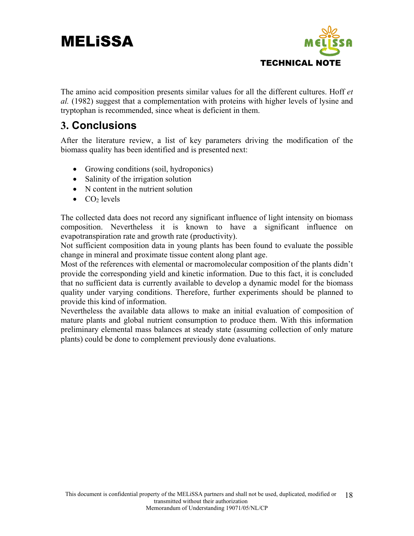

The amino acid composition presents similar values for all the different cultures. Hoff *et al.* (1982) suggest that a complementation with proteins with higher levels of lysine and tryptophan is recommended, since wheat is deficient in them.

#### **3. Conclusions**

After the literature review, a list of key parameters driving the modification of the biomass quality has been identified and is presented next:

- Growing conditions (soil, hydroponics)
- Salinity of the irrigation solution
- N content in the nutrient solution
- $\bullet$  CO<sub>2</sub> levels

The collected data does not record any significant influence of light intensity on biomass composition. Nevertheless it is known to have a significant influence on evapotranspiration rate and growth rate (productivity).

Not sufficient composition data in young plants has been found to evaluate the possible change in mineral and proximate tissue content along plant age.

Most of the references with elemental or macromolecular composition of the plants didn't provide the corresponding yield and kinetic information. Due to this fact, it is concluded that no sufficient data is currently available to develop a dynamic model for the biomass quality under varying conditions. Therefore, further experiments should be planned to provide this kind of information.

Nevertheless the available data allows to make an initial evaluation of composition of mature plants and global nutrient consumption to produce them. With this information preliminary elemental mass balances at steady state (assuming collection of only mature plants) could be done to complement previously done evaluations.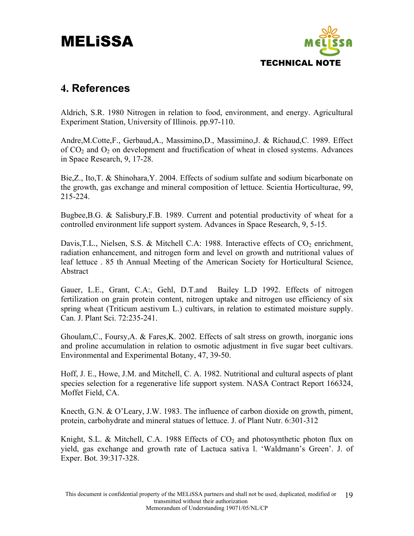

#### **4. References**

Aldrich, S.R. 1980 Nitrogen in relation to food, environment, and energy. Agricultural Experiment Station, University of Illinois. pp.97-110.

Andre,M.Cotte,F., Gerbaud,A., Massimino,D., Massimino,J. & Richaud,C. 1989. Effect of  $CO<sub>2</sub>$  and  $O<sub>2</sub>$  on development and fructification of wheat in closed systems. Advances in Space Research, 9, 17-28.

Bie,Z., Ito,T. & Shinohara,Y. 2004. Effects of sodium sulfate and sodium bicarbonate on the growth, gas exchange and mineral composition of lettuce. Scientia Horticulturae, 99, 215-224.

Bugbee,B.G. & Salisbury,F.B. 1989. Current and potential productivity of wheat for a controlled environment life support system. Advances in Space Research, 9, 5-15.

Davis, T.L., Nielsen, S.S. & Mitchell C.A: 1988. Interactive effects of  $CO<sub>2</sub>$  enrichment, radiation enhancement, and nitrogen form and level on growth and nutritional values of leaf lettuce . 85 th Annual Meeting of the American Society for Horticultural Science, Abstract

Gauer, L.E., Grant, C.A:, Gehl, D.T.and Bailey L.D 1992. Effects of nitrogen fertilization on grain protein content, nitrogen uptake and nitrogen use efficiency of six spring wheat (Triticum aestivum L.) cultivars, in relation to estimated moisture supply. Can. J. Plant Sci. 72:235-241.

Ghoulam,C., Foursy,A. & Fares,K. 2002. Effects of salt stress on growth, inorganic ions and proline accumulation in relation to osmotic adjustment in five sugar beet cultivars. Environmental and Experimental Botany, 47, 39-50.

Hoff, J. E., Howe, J.M. and Mitchell, C. A. 1982. Nutritional and cultural aspects of plant species selection for a regenerative life support system. NASA Contract Report 166324, Moffet Field, CA.

Knecth, G.N. & O'Leary, J.W. 1983. The influence of carbon dioxide on growth, piment, protein, carbohydrate and mineral statues of lettuce. J. of Plant Nutr. 6:301-312

Knight, S.L. & Mitchell, C.A. 1988 Effects of  $CO<sub>2</sub>$  and photosynthetic photon flux on yield, gas exchange and growth rate of Lactuca sativa l. 'Waldmann's Green'. J. of Exper. Bot. 39:317-328.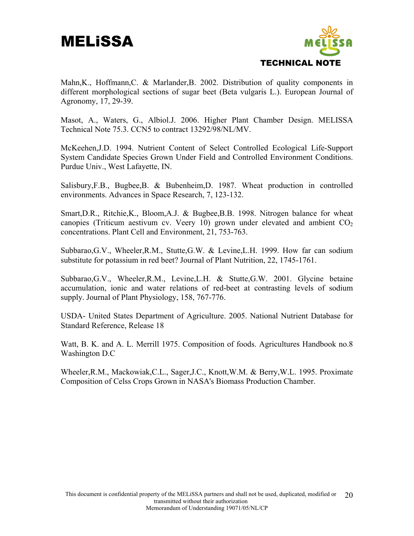

Mahn,K., Hoffmann,C. & Marlander,B. 2002. Distribution of quality components in different morphological sections of sugar beet (Beta vulgaris L.). European Journal of Agronomy, 17, 29-39.

Masot, A., Waters, G., Albiol.J. 2006. Higher Plant Chamber Design. MELISSA Technical Note 75.3. CCN5 to contract 13292/98/NL/MV.

McKeehen,J.D. 1994. Nutrient Content of Select Controlled Ecological Life-Support System Candidate Species Grown Under Field and Controlled Environment Conditions. Purdue Univ., West Lafayette, IN.

Salisbury,F.B., Bugbee,B. & Bubenheim,D. 1987. Wheat production in controlled environments. Advances in Space Research, 7, 123-132.

Smart,D.R., Ritchie,K., Bloom,A.J. & Bugbee,B.B. 1998. Nitrogen balance for wheat canopies (Triticum aestivum cv. Veery 10) grown under elevated and ambient  $CO<sub>2</sub>$ concentrations. Plant Cell and Environment, 21, 753-763.

Subbarao,G.V., Wheeler,R.M., Stutte,G.W. & Levine,L.H. 1999. How far can sodium substitute for potassium in red beet? Journal of Plant Nutrition, 22, 1745-1761.

Subbarao,G.V., Wheeler,R.M., Levine,L.H. & Stutte,G.W. 2001. Glycine betaine accumulation, ionic and water relations of red-beet at contrasting levels of sodium supply. Journal of Plant Physiology, 158, 767-776.

USDA- United States Department of Agriculture. 2005. National Nutrient Database for Standard Reference, Release 18

Watt, B. K. and A. L. Merrill 1975. Composition of foods. Agricultures Handbook no.8 Washington D.C

Wheeler,R.M., Mackowiak,C.L., Sager,J.C., Knott,W.M. & Berry,W.L. 1995. Proximate Composition of Celss Crops Grown in NASA's Biomass Production Chamber.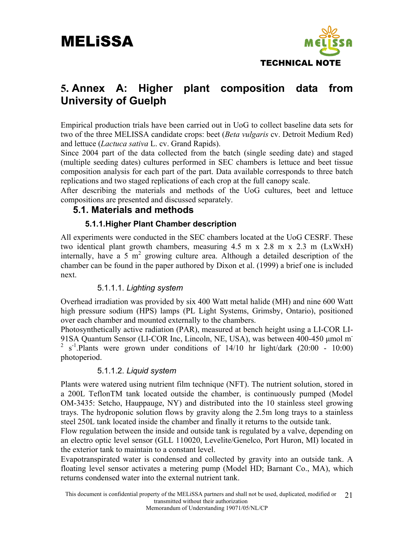

#### **5. Annex A: Higher plant composition data from University of Guelph**

Empirical production trials have been carried out in UoG to collect baseline data sets for two of the three MELISSA candidate crops: beet (*Beta vulgaris* cv. Detroit Medium Red) and lettuce (*Lactuca sativa* L. cv. Grand Rapids).

Since 2004 part of the data collected from the batch (single seeding date) and staged (multiple seeding dates) cultures performed in SEC chambers is lettuce and beet tissue composition analysis for each part of the part. Data available corresponds to three batch replications and two staged replications of each crop at the full canopy scale.

After describing the materials and methods of the UoG cultures, beet and lettuce compositions are presented and discussed separately.

#### **5.1. Materials and methods**

#### **5.1.1.Higher Plant Chamber description**

All experiments were conducted in the SEC chambers located at the UoG CESRF. These two identical plant growth chambers, measuring 4.5 m x 2.8 m x 2.3 m (LxWxH) internally, have a  $5 \text{ m}^2$  growing culture area. Although a detailed description of the chamber can be found in the paper authored by Dixon et al. (1999) a brief one is included next.

#### 5.1.1.1. *Lighting system*

Overhead irradiation was provided by six 400 Watt metal halide (MH) and nine 600 Watt high pressure sodium (HPS) lamps (PL Light Systems, Grimsby, Ontario), positioned over each chamber and mounted externally to the chambers.

Photosynthetically active radiation (PAR), measured at bench height using a LI-COR LI-91SA Quantum Sensor (LI-COR Inc, Lincoln, NE, USA), was between 400-450 μmol m-2 s<sup>-1</sup>.Plants were grown under conditions of 14/10 hr light/dark (20:00 - 10:00) photoperiod.

#### 5.1.1.2. *Liquid system*

Plants were watered using nutrient film technique (NFT). The nutrient solution, stored in a 200L TeflonTM tank located outside the chamber, is continuously pumped (Model OM-3435: Setcho, Hauppauge, NY) and distributed into the 10 stainless steel growing trays. The hydroponic solution flows by gravity along the 2.5m long trays to a stainless steel 250L tank located inside the chamber and finally it returns to the outside tank.

Flow regulation between the inside and outside tank is regulated by a valve, depending on an electro optic level sensor (GLL 110020, Levelite/Genelco, Port Huron, MI) located in the exterior tank to maintain to a constant level.

Evapotranspirated water is condensed and collected by gravity into an outside tank. A floating level sensor activates a metering pump (Model HD; Barnant Co., MA), which returns condensed water into the external nutrient tank.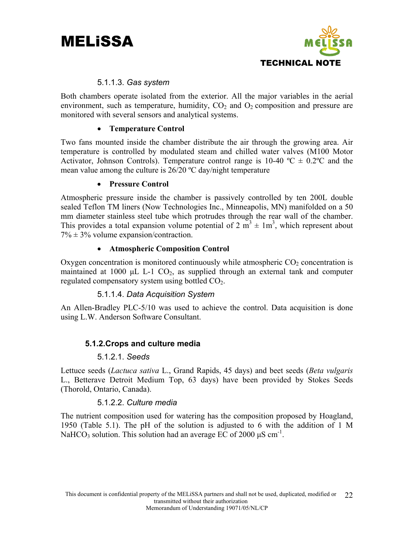



#### 5.1.1.3. *Gas system*

Both chambers operate isolated from the exterior. All the major variables in the aerial environment, such as temperature, humidity,  $CO<sub>2</sub>$  and  $O<sub>2</sub>$  composition and pressure are monitored with several sensors and analytical systems.

#### • **Temperature Control**

Two fans mounted inside the chamber distribute the air through the growing area. Air temperature is controlled by modulated steam and chilled water valves (M100 Motor Activator, Johnson Controls). Temperature control range is 10-40  $^{\circ}C \pm 0.2^{\circ}C$  and the mean value among the culture is  $26/20$  °C day/night temperature

#### • **Pressure Control**

Atmospheric pressure inside the chamber is passively controlled by ten 200L double sealed Teflon TM liners (Now Technologies Inc., Minneapolis, MN) manifolded on a 50 mm diameter stainless steel tube which protrudes through the rear wall of the chamber. This provides a total expansion volume potential of 2  $\text{m}^3 \pm 1 \text{m}^3$ , which represent about  $7\% \pm 3\%$  volume expansion/contraction.

#### • **Atmospheric Composition Control**

Oxygen concentration is monitored continuously while atmospheric  $CO<sub>2</sub>$  concentration is maintained at 1000  $\mu$ L L-1 CO<sub>2</sub>, as supplied through an external tank and computer regulated compensatory system using bottled  $CO<sub>2</sub>$ .

#### 5.1.1.4. *Data Acquisition System*

An Allen-Bradley PLC-5/10 was used to achieve the control. Data acquisition is done using L.W. Anderson Software Consultant.

#### **5.1.2.Crops and culture media**

#### 5.1.2.1. *Seeds*

Lettuce seeds (*Lactuca sativa* L., Grand Rapids, 45 days) and beet seeds (*Beta vulgaris* L., Betterave Detroit Medium Top, 63 days) have been provided by Stokes Seeds (Thorold, Ontario, Canada).

#### 5.1.2.2. *Culture media*

The nutrient composition used for watering has the composition proposed by Hoagland, 1950 (Table 5.1). The pH of the solution is adjusted to 6 with the addition of 1 M NaHCO<sub>3</sub> solution. This solution had an average EC of 2000  $\mu$ S cm<sup>-1</sup>.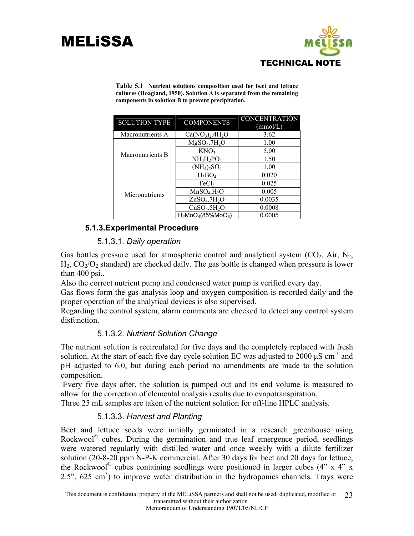

| <b>SOLUTION TYPE</b> | <b>COMPONENTS</b>                    | <b>CONCENTRATIÓN</b><br>(mmol/L) |
|----------------------|--------------------------------------|----------------------------------|
| Macronutrients A     | $Ca(NO3)2.4H2O$                      | 3.62                             |
|                      | MgSO <sub>4</sub> .7H <sub>2</sub> O | 1.00                             |
| Macronutrients B     | KNO <sub>3</sub>                     | 5.00                             |
|                      | $NH_4H_2PO_4$                        | 1.50                             |
|                      | $(NH_4)_2SO_4$                       | 1.00                             |
|                      | $H_3BO_4$                            | 0.020                            |
|                      | FeCl <sub>3</sub>                    | 0.025                            |
| Micronutrients       | MnSO <sub>4</sub> .H <sub>2</sub> O  | 0.005                            |
|                      | ZnSO <sub>4</sub> .7H <sub>2</sub> O | 0.0035                           |
|                      | CuSO <sub>4</sub> .5H <sub>2</sub> O | 0.0008                           |
|                      | $H_2MOO_4(85\%MOO_3)$                | 0.0005                           |

**Table 5.1 Nutrient solutions composition used for beet and lettuce cultures (Hoagland, 1950). Solution A is separated from the remaining components in solution B to prevent precipitation.** 

#### **5.1.3.Experimental Procedure**

#### 5.1.3.1. *Daily operation*

Gas bottles pressure used for atmospheric control and analytical system  $(CO<sub>2</sub>, Air, N<sub>2</sub>)$ ,  $H_2$ ,  $CO<sub>2</sub>/O<sub>2</sub>$  standard) are checked daily. The gas bottle is changed when pressure is lower than 400 psi..

Also the correct nutrient pump and condensed water pump is verified every day.

Gas flows form the gas analysis loop and oxygen composition is recorded daily and the proper operation of the analytical devices is also supervised.

Regarding the control system, alarm comments are checked to detect any control system disfunction.

#### 5.1.3.2. *Nutrient Solution Change*

The nutrient solution is recirculated for five days and the completely replaced with fresh solution. At the start of each five day cycle solution EC was adjusted to 2000  $\mu$ S cm<sup>-1</sup> and pH adjusted to 6.0, but during each period no amendments are made to the solution composition.

 Every five days after, the solution is pumped out and its end volume is measured to allow for the correction of elemental analysis results due to evapotranspiration.

Three 25 mL samples are taken of the nutrient solution for off-line HPLC analysis.

#### 5.1.3.3. *Harvest and Planting*

Beet and lettuce seeds were initially germinated in a research greenhouse using Rockwool $^{\circ}$  cubes. During the germination and true leaf emergence period, seedlings were watered regularly with distilled water and once weekly with a dilute fertilizer solution (20-8-20 ppm N-P-K commercial. After 30 days for beet and 20 days for lettuce, the Rockwool<sup>©</sup> cubes containing seedlings were positioned in larger cubes  $(4" \times 4" \times$  $2.5$ ",  $625 \text{ cm}^3$ ) to improve water distribution in the hydroponics channels. Trays were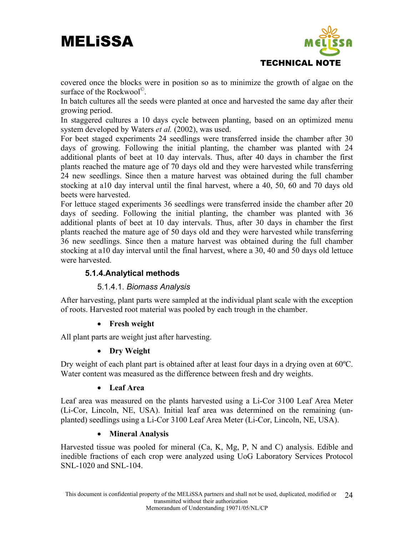

covered once the blocks were in position so as to minimize the growth of algae on the surface of the Rockwool<sup>©</sup>.

In batch cultures all the seeds were planted at once and harvested the same day after their growing period.

In staggered cultures a 10 days cycle between planting, based on an optimized menu system developed by Waters *et al.* (2002), was used.

For beet staged experiments 24 seedlings were transferred inside the chamber after 30 days of growing. Following the initial planting, the chamber was planted with 24 additional plants of beet at 10 day intervals. Thus, after 40 days in chamber the first plants reached the mature age of 70 days old and they were harvested while transferring 24 new seedlings. Since then a mature harvest was obtained during the full chamber stocking at a10 day interval until the final harvest, where a 40, 50, 60 and 70 days old beets were harvested.

For lettuce staged experiments 36 seedlings were transferred inside the chamber after 20 days of seeding. Following the initial planting, the chamber was planted with 36 additional plants of beet at 10 day intervals. Thus, after 30 days in chamber the first plants reached the mature age of 50 days old and they were harvested while transferring 36 new seedlings. Since then a mature harvest was obtained during the full chamber stocking at a10 day interval until the final harvest, where a 30, 40 and 50 days old lettuce were harvested.

#### **5.1.4.Analytical methods**

#### 5.1.4.1. *Biomass Analysis*

After harvesting, plant parts were sampled at the individual plant scale with the exception of roots. Harvested root material was pooled by each trough in the chamber.

#### • **Fresh weight**

All plant parts are weight just after harvesting.

#### • **Dry Weight**

Dry weight of each plant part is obtained after at least four days in a drying oven at 60ºC. Water content was measured as the difference between fresh and dry weights.

#### • **Leaf Area**

Leaf area was measured on the plants harvested using a Li-Cor 3100 Leaf Area Meter (Li-Cor, Lincoln, NE, USA). Initial leaf area was determined on the remaining (unplanted) seedlings using a Li-Cor 3100 Leaf Area Meter (Li-Cor, Lincoln, NE, USA).

#### • **Mineral Analysis**

Harvested tissue was pooled for mineral (Ca, K, Mg, P, N and C) analysis. Edible and inedible fractions of each crop were analyzed using UoG Laboratory Services Protocol SNL-1020 and SNL-104.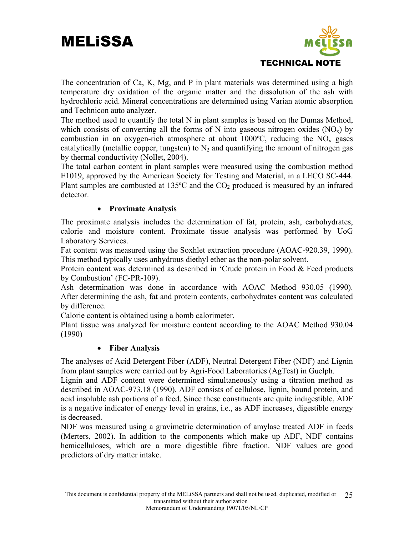

The concentration of Ca, K, Mg, and P in plant materials was determined using a high temperature dry oxidation of the organic matter and the dissolution of the ash with hydrochloric acid. Mineral concentrations are determined using Varian atomic absorption and Technicon auto analyzer.

The method used to quantify the total N in plant samples is based on the Dumas Method, which consists of converting all the forms of N into gaseous nitrogen oxides  $(NO_x)$  by combustion in an oxygen-rich atmosphere at about  $1000^{\circ}$ C, reducing the NO<sub>x</sub> gases catalytically (metallic copper, tungsten) to  $N_2$  and quantifying the amount of nitrogen gas by thermal conductivity (Nollet, 2004).

The total carbon content in plant samples were measured using the combustion method E1019, approved by the American Society for Testing and Material, in a LECO SC-444. Plant samples are combusted at  $135^{\circ}$ C and the  $CO_2$  produced is measured by an infrared detector.

#### • **Proximate Analysis**

The proximate analysis includes the determination of fat, protein, ash, carbohydrates, calorie and moisture content. Proximate tissue analysis was performed by UoG Laboratory Services.

Fat content was measured using the Soxhlet extraction procedure (AOAC-920.39, 1990). This method typically uses anhydrous diethyl ether as the non-polar solvent.

Protein content was determined as described in 'Crude protein in Food & Feed products by Combustion' (FC-PR-109).

Ash determination was done in accordance with AOAC Method 930.05 (1990). After determining the ash, fat and protein contents, carbohydrates content was calculated by difference.

Calorie content is obtained using a bomb calorimeter.

Plant tissue was analyzed for moisture content according to the AOAC Method 930.04 (1990)

#### • **Fiber Analysis**

The analyses of Acid Detergent Fiber (ADF), Neutral Detergent Fiber (NDF) and Lignin from plant samples were carried out by Agri-Food Laboratories (AgTest) in Guelph.

Lignin and ADF content were determined simultaneously using a titration method as described in AOAC-973.18 (1990). ADF consists of cellulose, lignin, bound protein, and acid insoluble ash portions of a feed. Since these constituents are quite indigestible, ADF is a negative indicator of energy level in grains, i.e., as ADF increases, digestible energy is decreased.

NDF was measured using a gravimetric determination of amylase treated ADF in feeds (Merters, 2002). In addition to the components which make up ADF, NDF contains hemicelluloses, which are a more digestible fibre fraction. NDF values are good predictors of dry matter intake.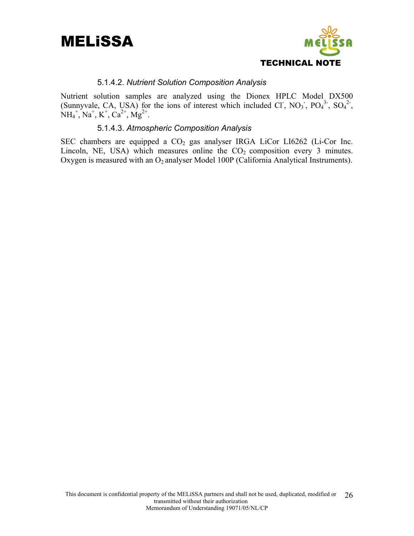



#### 5.1.4.2. *Nutrient Solution Composition Analysis*

Nutrient solution samples are analyzed using the Dionex HPLC Model DX500 (Sunnyvale, CA, USA) for the ions of interest which included Cl,  $NO_3$ ,  $PO_4^3$ ,  $SO_4^2$ ,  $NH_4^+$ ,  $Na^+$ ,  $K^+$ ,  $Ca^{2+}$ ,  $Mg^{2+}$ .

#### 5.1.4.3. *Atmospheric Composition Analysis*

SEC chambers are equipped a  $CO<sub>2</sub>$  gas analyser IRGA LiCor LI6262 (Li-Cor Inc. Lincoln, NE, USA) which measures online the  $CO<sub>2</sub>$  composition every 3 minutes. Oxygen is measured with an  $O_2$  analyser Model 100P (California Analytical Instruments).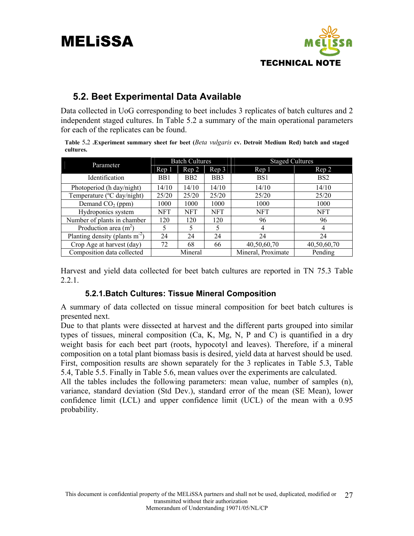

#### **5.2. Beet Experimental Data Available**

Data collected in UoG corresponding to beet includes 3 replicates of batch cultures and 2 independent staged cultures. In Table 5.2 a summary of the main operational parameters for each of the replicates can be found.

**Table** 5**.**2 **.Experiment summary sheet for beet (***Beta vulgaris* **cv. Detroit Medium Red) batch and staged cultures.**

| Parameter                        |                  | <b>Batch Cultures</b> |                  | <b>Staged Cultures</b> |                 |
|----------------------------------|------------------|-----------------------|------------------|------------------------|-----------------|
|                                  | Rep 1            | Rep 2                 | Rep <sub>3</sub> | Rep <sub>1</sub>       | Rep 2           |
| Identification                   | B <sub>B</sub> 1 | B <sub>B2</sub>       | B <sub>B</sub> 3 | BS <sub>1</sub>        | B <sub>S2</sub> |
| Photoperiod (h day/night)        | 14/10            | 14/10                 | 14/10            | 14/10                  | 14/10           |
| Temperature (°C day/night)       | 25/20            | 25/20                 | 25/20            | 25/20                  | 25/20           |
| Demand $CO2$ (ppm)               | 1000             | 1000                  | 1000             | 1000                   | 1000            |
| Hydroponics system               | <b>NFT</b>       | <b>NFT</b>            | <b>NFT</b>       | <b>NFT</b>             | <b>NFT</b>      |
| Number of plants in chamber      | 120              | 120                   | 120              | 96                     | 96              |
| Production area $(m^2)$          | 5                | 5                     | 5                | 4                      | 4               |
| Planting density (plants $m-2$ ) | 24               | 24                    | 24               | 24                     | 24              |
| Crop Age at harvest (day)        | 72               | 68                    | 66               | 40,50,60,70            | 40,50,60,70     |
| Composition data collected       |                  | Mineral               |                  | Mineral, Proximate     | Pending         |

Harvest and yield data collected for beet batch cultures are reported in TN 75.3 Table 2.2.1.

#### **5.2.1.Batch Cultures: Tissue Mineral Composition**

A summary of data collected on tissue mineral composition for beet batch cultures is presented next.

Due to that plants were dissected at harvest and the different parts grouped into similar types of tissues, mineral composition (Ca, K, Mg, N, P and C) is quantified in a dry weight basis for each beet part (roots, hypocotyl and leaves). Therefore, if a mineral composition on a total plant biomass basis is desired, yield data at harvest should be used. First, composition results are shown separately for the 3 replicates in Table 5.3, Table 5.4, Table 5.5. Finally in Table 5.6, mean values over the experiments are calculated.

All the tables includes the following parameters: mean value, number of samples (n), variance, standard deviation (Std Dev.), standard error of the mean (SE Mean), lower confidence limit (LCL) and upper confidence limit (UCL) of the mean with a 0.95 probability.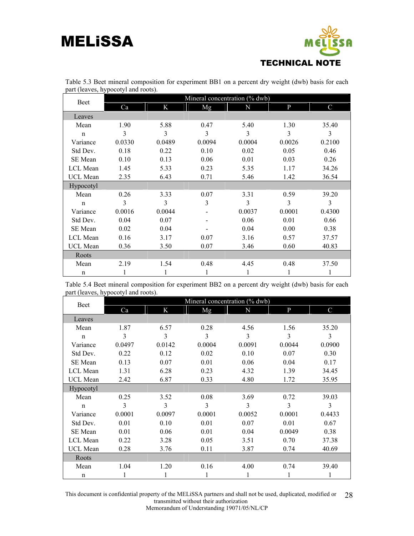

| $\mathfrak{m}$ , $\mathfrak{t}$ , $\mathfrak{t}$ , $\mathfrak{t}$ , $\mathfrak{t}$ , $\mathfrak{t}$ , $\mathfrak{t}$ , $\mathfrak{t}$ , $\mathfrak{t}$ , $\mathfrak{t}$ , $\mathfrak{t}$ , $\mathfrak{t}$ , $\mathfrak{t}$ , $\mathfrak{t}$ , $\mathfrak{t}$ , $\mathfrak{t}$ , $\mathfrak{t}$ , $\mathfrak{t}$ , $\mathfrak{t}$ , $\mathfrak{t}$ , | Mineral concentration (% dwb) |        |        |        |        |        |  |  |  |  |  |  |  |  |
|-----------------------------------------------------------------------------------------------------------------------------------------------------------------------------------------------------------------------------------------------------------------------------------------------------------------------------------------------------|-------------------------------|--------|--------|--------|--------|--------|--|--|--|--|--|--|--|--|
| <b>Beet</b>                                                                                                                                                                                                                                                                                                                                         | Ca                            | K      | Mg     | N      | P      | C      |  |  |  |  |  |  |  |  |
| Leaves                                                                                                                                                                                                                                                                                                                                              |                               |        |        |        |        |        |  |  |  |  |  |  |  |  |
| Mean                                                                                                                                                                                                                                                                                                                                                | 1.90                          | 5.88   | 0.47   | 5.40   | 1.30   | 35.40  |  |  |  |  |  |  |  |  |
| $\mathbf n$                                                                                                                                                                                                                                                                                                                                         | 3                             | 3      | 3      | 3      | 3      | 3      |  |  |  |  |  |  |  |  |
| Variance                                                                                                                                                                                                                                                                                                                                            | 0.0330                        | 0.0489 | 0.0094 | 0.0004 | 0.0026 | 0.2100 |  |  |  |  |  |  |  |  |
| Std Dev.                                                                                                                                                                                                                                                                                                                                            | 0.18                          | 0.22   | 0.10   | 0.02   | 0.05   | 0.46   |  |  |  |  |  |  |  |  |
| <b>SE</b> Mean                                                                                                                                                                                                                                                                                                                                      | 0.10                          | 0.13   | 0.06   | 0.01   | 0.03   | 0.26   |  |  |  |  |  |  |  |  |
| LCL Mean                                                                                                                                                                                                                                                                                                                                            | 1.45                          | 5.33   | 0.23   | 5.35   | 1.17   | 34.26  |  |  |  |  |  |  |  |  |
| UCL Mean                                                                                                                                                                                                                                                                                                                                            | 2.35                          | 6.43   | 0.71   | 5.46   | 1.42   | 36.54  |  |  |  |  |  |  |  |  |
| Hypocotyl                                                                                                                                                                                                                                                                                                                                           |                               |        |        |        |        |        |  |  |  |  |  |  |  |  |
| Mean                                                                                                                                                                                                                                                                                                                                                | 0.26                          | 3.33   | 0.07   | 3.31   | 0.59   | 39.20  |  |  |  |  |  |  |  |  |
| $\mathbf n$                                                                                                                                                                                                                                                                                                                                         | 3                             | 3      | 3      | 3      | 3      | 3      |  |  |  |  |  |  |  |  |
| Variance                                                                                                                                                                                                                                                                                                                                            | 0.0016                        | 0.0044 |        | 0.0037 | 0.0001 | 0.4300 |  |  |  |  |  |  |  |  |
| Std Dev.                                                                                                                                                                                                                                                                                                                                            | 0.04                          | 0.07   |        | 0.06   | 0.01   | 0.66   |  |  |  |  |  |  |  |  |
| <b>SE</b> Mean                                                                                                                                                                                                                                                                                                                                      | 0.02                          | 0.04   |        | 0.04   | 0.00   | 0.38   |  |  |  |  |  |  |  |  |
| LCL Mean                                                                                                                                                                                                                                                                                                                                            | 0.16                          | 3.17   | 0.07   | 3.16   | 0.57   | 37.57  |  |  |  |  |  |  |  |  |
| UCL Mean                                                                                                                                                                                                                                                                                                                                            | 0.36                          | 3.50   | 0.07   | 3.46   | 0.60   | 40.83  |  |  |  |  |  |  |  |  |
| Roots                                                                                                                                                                                                                                                                                                                                               |                               |        |        |        |        |        |  |  |  |  |  |  |  |  |
| Mean                                                                                                                                                                                                                                                                                                                                                | 2.19                          | 1.54   | 0.48   | 4.45   | 0.48   | 37.50  |  |  |  |  |  |  |  |  |
| $\mathbf n$                                                                                                                                                                                                                                                                                                                                         |                               |        |        | 1      |        | 1      |  |  |  |  |  |  |  |  |

Table 5.3 Beet mineral composition for experiment BB1 on a percent dry weight (dwb) basis for each part (leaves, hypocotyl and roots).

Table 5.4 Beet mineral composition for experiment BB2 on a percent dry weight (dwb) basis for each part (leaves, hypocotyl and roots).

| Beet         | Mineral concentration (% dwb) |        |        |        |        |               |  |  |  |  |  |  |
|--------------|-------------------------------|--------|--------|--------|--------|---------------|--|--|--|--|--|--|
|              | Ca                            | K      | Mg     | N      | P      | $\mathcal{C}$ |  |  |  |  |  |  |
| Leaves       |                               |        |        |        |        |               |  |  |  |  |  |  |
| Mean         | 1.87                          | 6.57   | 0.28   | 4.56   | 1.56   | 35.20         |  |  |  |  |  |  |
| $\mathbf n$  | 3                             | 3      | 3      | 3      | 3      | 3             |  |  |  |  |  |  |
| Variance     | 0.0497                        | 0.0142 | 0.0004 | 0.0091 | 0.0044 | 0.0900        |  |  |  |  |  |  |
| Std Dev.     | 0.22                          | 0.12   | 0.02   | 0.10   | 0.07   | 0.30          |  |  |  |  |  |  |
| SE Mean      | 0.13                          | 0.07   | 0.01   | 0.06   | 0.04   | 0.17          |  |  |  |  |  |  |
| LCL Mean     | 1.31                          | 6.28   | 0.23   | 4.32   | 1.39   | 34.45         |  |  |  |  |  |  |
| UCL Mean     | 2.42                          | 6.87   | 0.33   | 4.80   | 1.72   | 35.95         |  |  |  |  |  |  |
| Hypocotyl    |                               |        |        |        |        |               |  |  |  |  |  |  |
| Mean         | 0.25                          | 3.52   | 0.08   | 3.69   | 0.72   | 39.03         |  |  |  |  |  |  |
| $\mathsf{n}$ | 3                             | 3      | 3      | 3      | 3      | 3             |  |  |  |  |  |  |
| Variance     | 0.0001                        | 0.0097 | 0.0001 | 0.0052 | 0.0001 | 0.4433        |  |  |  |  |  |  |
| Std Dev.     | 0.01                          | 0.10   | 0.01   | 0.07   | 0.01   | 0.67          |  |  |  |  |  |  |
| SE Mean      | 0.01                          | 0.06   | 0.01   | 0.04   | 0.0049 | 0.38          |  |  |  |  |  |  |
| LCL Mean     | 0.22                          | 3.28   | 0.05   | 3.51   | 0.70   | 37.38         |  |  |  |  |  |  |
| UCL Mean     | 0.28                          | 3.76   | 0.11   | 3.87   | 0.74   | 40.69         |  |  |  |  |  |  |
| Roots        |                               |        |        |        |        |               |  |  |  |  |  |  |
| Mean         | 1.04                          | 1.20   | 0.16   | 4.00   | 0.74   | 39.40         |  |  |  |  |  |  |
| $\mathbf n$  |                               | 1      |        |        |        | 1             |  |  |  |  |  |  |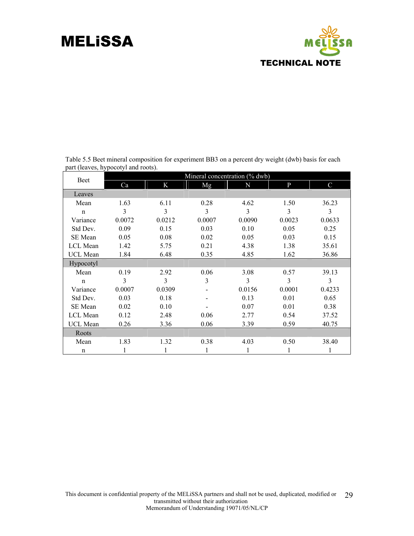

| <b>Beet</b>    | Mineral concentration (% dwb) |        |        |        |        |               |  |  |  |  |  |  |
|----------------|-------------------------------|--------|--------|--------|--------|---------------|--|--|--|--|--|--|
|                | Ca                            | K      | Mg     | N      | P      | $\mathcal{C}$ |  |  |  |  |  |  |
| Leaves         |                               |        |        |        |        |               |  |  |  |  |  |  |
| Mean           | 1.63                          | 6.11   | 0.28   | 4.62   | 1.50   | 36.23         |  |  |  |  |  |  |
| $\mathbf n$    | 3                             | 3      | 3      | 3      | 3      | 3             |  |  |  |  |  |  |
| Variance       | 0.0072                        | 0.0212 | 0.0007 | 0.0090 | 0.0023 | 0.0633        |  |  |  |  |  |  |
| Std Dev.       | 0.09                          | 0.15   | 0.03   | 0.10   | 0.05   | 0.25          |  |  |  |  |  |  |
| <b>SE</b> Mean | 0.05                          | 0.08   | 0.02   | 0.05   | 0.03   | 0.15          |  |  |  |  |  |  |
| LCL Mean       | 1.42                          | 5.75   | 0.21   | 4.38   | 1.38   | 35.61         |  |  |  |  |  |  |
| UCL Mean       | 1.84                          | 6.48   | 0.35   | 4.85   | 1.62   | 36.86         |  |  |  |  |  |  |
| Hypocotyl      |                               |        |        |        |        |               |  |  |  |  |  |  |
| Mean           | 0.19                          | 2.92   | 0.06   | 3.08   | 0.57   | 39.13         |  |  |  |  |  |  |
| $\mathbf n$    | 3                             | 3      | 3      | 3      | 3      | 3             |  |  |  |  |  |  |
| Variance       | 0.0007                        | 0.0309 |        | 0.0156 | 0.0001 | 0.4233        |  |  |  |  |  |  |
| Std Dev.       | 0.03                          | 0.18   |        | 0.13   | 0.01   | 0.65          |  |  |  |  |  |  |
| <b>SE</b> Mean | 0.02                          | 0.10   |        | 0.07   | 0.01   | 0.38          |  |  |  |  |  |  |
| LCL Mean       | 0.12                          | 2.48   | 0.06   | 2.77   | 0.54   | 37.52         |  |  |  |  |  |  |
| UCL Mean       | 0.26                          | 3.36   | 0.06   | 3.39   | 0.59   | 40.75         |  |  |  |  |  |  |
| Roots          |                               |        |        |        |        |               |  |  |  |  |  |  |
| Mean           | 1.83                          | 1.32   | 0.38   | 4.03   | 0.50   | 38.40         |  |  |  |  |  |  |
| n              | 1                             |        |        | 1      |        |               |  |  |  |  |  |  |

Table 5.5 Beet mineral composition for experiment BB3 on a percent dry weight (dwb) basis for each part (leaves, hypocotyl and roots).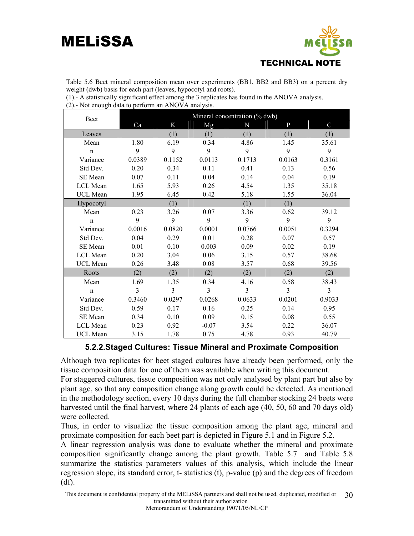

Table 5.6 Beet mineral composition mean over experiments (BB1, BB2 and BB3) on a percent dry weight (dwb) basis for each part (leaves, hypocotyl and roots).

| (1). A statistically significant effect among the 3 replicates has found in the ANOVA analysis. |  |  |  |
|-------------------------------------------------------------------------------------------------|--|--|--|
| (2). Not enough data to perform an ANOVA analysis.                                              |  |  |  |

| <b>Beet</b>     |        |        |         | Mineral concentration (% dwb) |              |               |
|-----------------|--------|--------|---------|-------------------------------|--------------|---------------|
|                 | Ca     | K      | Mg      | N                             | $\mathbf{P}$ | $\mathcal{C}$ |
| Leaves          |        | (1)    | (1)     | (1)                           | (1)          | (1)           |
| Mean            | 1.80   | 6.19   | 0.34    | 4.86                          | 1.45         | 35.61         |
| $\mathbf n$     | 9      | 9      | 9       | 9                             | 9            | 9             |
| Variance        | 0.0389 | 0.1152 | 0.0113  | 0.1713                        | 0.0163       | 0.3161        |
| Std Dev.        | 0.20   | 0.34   | 0.11    | 0.41                          | 0.13         | 0.56          |
| SE Mean         | 0.07   | 0.11   | 0.04    | 0.14                          | 0.04         | 0.19          |
| LCL Mean        | 1.65   | 5.93   | 0.26    | 4.54                          | 1.35         | 35.18         |
| <b>UCL</b> Mean | 1.95   | 6.45   | 0.42    | 5.18                          | 1.55         | 36.04         |
| Hypocotyl       |        | (1)    |         | (1)                           | (1)          |               |
| Mean            | 0.23   | 3.26   | 0.07    | 3.36                          | 0.62         | 39.12         |
| $\mathbf n$     | 9      | 9      | 9       | 9                             | 9            | 9             |
| Variance        | 0.0016 | 0.0820 | 0.0001  | 0.0766                        | 0.0051       | 0.3294        |
| Std Dev.        | 0.04   | 0.29   | 0.01    | 0.28                          | 0.07         | 0.57          |
| SE Mean         | 0.01   | 0.10   | 0.003   | 0.09                          | 0.02         | 0.19          |
| LCL Mean        | 0.20   | 3.04   | 0.06    | 3.15                          | 0.57         | 38.68         |
| <b>UCL</b> Mean | 0.26   | 3.48   | 0.08    | 3.57                          | 0.68         | 39.56         |
| Roots           | (2)    | (2)    | (2)     | (2)                           | (2)          | (2)           |
| Mean            | 1.69   | 1.35   | 0.34    | 4.16                          | 0.58         | 38.43         |
| $\mathbf n$     | 3      | 3      | 3       | 3                             | 3            | 3             |
| Variance        | 0.3460 | 0.0297 | 0.0268  | 0.0633                        | 0.0201       | 0.9033        |
| Std Dev.        | 0.59   | 0.17   | 0.16    | 0.25                          | 0.14         | 0.95          |
| SE Mean         | 0.34   | 0.10   | 0.09    | 0.15                          | 0.08         | 0.55          |
| LCL Mean        | 0.23   | 0.92   | $-0.07$ | 3.54                          | 0.22         | 36.07         |
| <b>UCL</b> Mean | 3.15   | 1.78   | 0.75    | 4.78                          | 0.93         | 40.79         |

#### **5.2.2.Staged Cultures: Tissue Mineral and Proximate Composition**

Although two replicates for beet staged cultures have already been performed, only the tissue composition data for one of them was available when writing this document.

For staggered cultures, tissue composition was not only analysed by plant part but also by plant age, so that any composition change along growth could be detected. As mentioned in the methodology section, every 10 days during the full chamber stocking 24 beets were harvested until the final harvest, where 24 plants of each age (40, 50, 60 and 70 days old) were collected.

Thus, in order to visualize the tissue composition among the plant age, mineral and proximate composition for each beet part is depi**c**ted in Figure 5.1 and in Figure 5.2.

A linear regression analysis was done to evaluate whether the mineral and proximate composition significantly change among the plant growth. Table 5.7 and Table 5.8 summarize the statistics parameters values of this analysis, which include the linear regression slope, its standard error, t- statistics (t), p-value (p) and the degrees of freedom (df).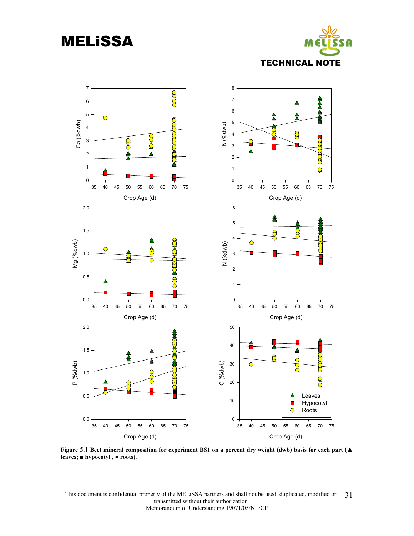



**Figure** 5**.**1 **Beet mineral composition for experiment BS1 on a percent dry weight (dwb) basis for each part (▲ leaves; ■ hypocotyl , ● roots).**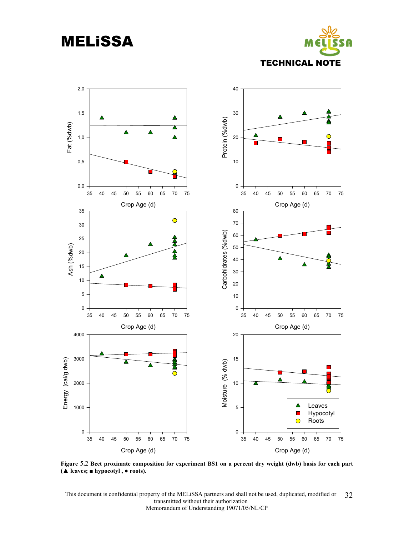MELiSSA





**Figure** 5**.**2 **Beet proximate composition for experiment BS1 on a percent dry weight (dwb) basis for each part (▲ leaves; ■ hypocotyl , ● roots).**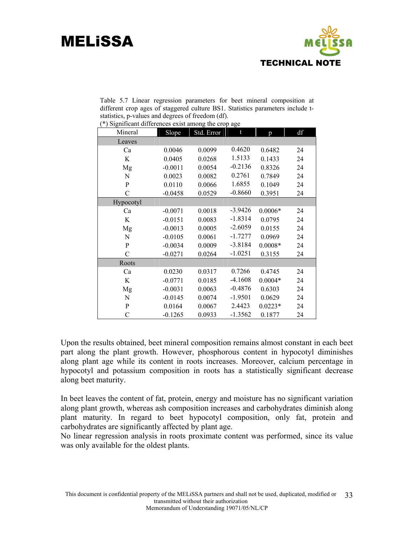

Table 5.7 Linear regression parameters for beet mineral composition at different crop ages of staggered culture BS1. Statistics parameters include tstatistics, p-values and degrees of freedom (df). (\*) Significant differences exist among the crop age

|               |           |            | - סיי     |           |    |
|---------------|-----------|------------|-----------|-----------|----|
| Mineral       | Slope     | Std. Error | t         | p         | df |
| Leaves        |           |            |           |           |    |
| Ca            | 0.0046    | 0.0099     | 0.4620    | 0.6482    | 24 |
| K             | 0.0405    | 0.0268     | 1.5133    | 0.1433    | 24 |
| Mg            | $-0.0011$ | 0.0054     | $-0.2136$ | 0.8326    | 24 |
| N             | 0.0023    | 0.0082     | 0.2761    | 0.7849    | 24 |
| ${\bf P}$     | 0.0110    | 0.0066     | 1.6855    | 0.1049    | 24 |
| $\mathcal{C}$ | $-0.0458$ | 0.0529     | $-0.8660$ | 0.3951    | 24 |
| Hypocotyl     |           |            |           |           |    |
| Ca            | $-0.0071$ | 0.0018     | $-3.9426$ | $0.0006*$ | 24 |
| K             | $-0.0151$ | 0.0083     | $-1.8314$ | 0.0795    | 24 |
| Mg            | $-0.0013$ | 0.0005     | $-2.6059$ | 0.0155    | 24 |
| ${\bf N}$     | $-0.0105$ | 0.0061     | $-1.7277$ | 0.0969    | 24 |
| ${\bf P}$     | $-0.0034$ | 0.0009     | $-3.8184$ | $0.0008*$ | 24 |
| $\mathcal{C}$ | $-0.0271$ | 0.0264     | $-1.0251$ | 0.3155    | 24 |
| Roots         |           |            |           |           |    |
| Ca            | 0.0230    | 0.0317     | 0.7266    | 0.4745    | 24 |
| K             | $-0.0771$ | 0.0185     | $-4.1608$ | $0.0004*$ | 24 |
| Mg            | $-0.0031$ | 0.0063     | $-0.4876$ | 0.6303    | 24 |
| N             | $-0.0145$ | 0.0074     | $-1.9501$ | 0.0629    | 24 |
| ${\bf P}$     | 0.0164    | 0.0067     | 2.4423    | $0.0223*$ | 24 |
| $\mathcal{C}$ | $-0.1265$ | 0.0933     | $-1.3562$ | 0.1877    | 24 |

Upon the results obtained, beet mineral composition remains almost constant in each beet part along the plant growth. However, phosphorous content in hypocotyl diminishes along plant age while its content in roots increases. Moreover, calcium percentage in hypocotyl and potassium composition in roots has a statistically significant decrease along beet maturity.

In beet leaves the content of fat, protein, energy and moisture has no significant variation along plant growth, whereas ash composition increases and carbohydrates diminish along plant maturity. In regard to beet hypocotyl composition, only fat, protein and carbohydrates are significantly affected by plant age.

No linear regression analysis in roots proximate content was performed, since its value was only available for the oldest plants.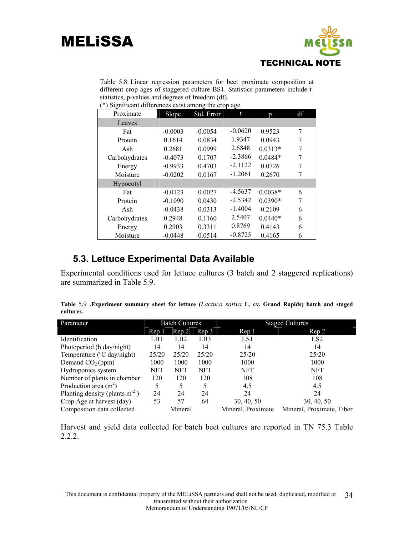

Table 5.8 Linear regression parameters for beet proximate composition at different crop ages of staggered culture BS1. Statistics parameters include tstatistics, p-values and degrees of freedom (df).

(\*) Significant differences exist among the crop age

| Proximate     | Slope     | Std. Error | t         | p         | df |
|---------------|-----------|------------|-----------|-----------|----|
| Leaves        |           |            |           |           |    |
| Fat           | $-0.0003$ | 0.0054     | $-0.0620$ | 0.9523    | 7  |
| Protein       | 0.1614    | 0.0834     | 1.9347    | 0.0943    | 7  |
| Ash           | 0.2681    | 0.0999     | 2.6848    | $0.0313*$ | 7  |
| Carbohydrates | $-0.4073$ | 0.1707     | $-2.3866$ | $0.0484*$ | 7  |
| Energy        | $-0.9933$ | 0.4703     | $-2.1122$ | 0.0726    | 7  |
| Moisture      | $-0.0202$ | 0.0167     | $-1.2061$ | 0.2670    | 7  |
| Hypocotyl     |           |            |           |           |    |
| Fat           | $-0.0123$ | 0.0027     | $-4.5637$ | $0.0038*$ | 6  |
| Protein       | $-0.1090$ | 0.0430     | $-2.5342$ | $0.0390*$ | 7  |
| Ash           | $-0.0438$ | 0.0313     | $-1.4004$ | 0.2109    | 6  |
| Carbohydrates | 0.2948    | 0.1160     | 2.5407    | $0.0440*$ | 6  |
| Energy        | 0.2903    | 0.3311     | 0.8769    | 0.4143    | 6  |
| Moisture      | $-0.0448$ | 0.0514     | $-0.8725$ | 0.4165    | 6  |

#### **5.3. Lettuce Experimental Data Available**

Experimental conditions used for lettuce cultures (3 batch and 2 staggered replications) are summarized in Table 5.9.

|           | Table 5.9 .Experiment summary sheet for lettuce (Lactuca sativa L. cv. Grand Rapids) batch and staged |  |  |  |  |  |  |  |
|-----------|-------------------------------------------------------------------------------------------------------|--|--|--|--|--|--|--|
| cultures. |                                                                                                       |  |  |  |  |  |  |  |

| Parameter                        |                  | <b>Batch Cultures</b> |            |                    | <b>Staged Cultures</b>    |
|----------------------------------|------------------|-----------------------|------------|--------------------|---------------------------|
|                                  | Rep <sub>1</sub> | Rep 2                 | Rep 3      | Rep 1              | Rep 2                     |
| Identification                   | LB1              | LB2                   | LB3        | LS1                | LS <sub>2</sub>           |
| Photoperiod (h day/night)        | 14               | 14                    | 14         | 14                 | 14                        |
| Temperature (°C day/night)       | 25/20            | 25/20                 | 25/20      | 25/20              | 25/20                     |
| Demand $CO2(ppm)$                | 1000             | 1000                  | 1000       | 1000               | 1000                      |
| Hydroponics system               | <b>NFT</b>       | <b>NFT</b>            | <b>NFT</b> | NFT                | <b>NFT</b>                |
| Number of plants in chamber      | 120              | 120                   | 120        | 108                | 108                       |
| Production area $(m2)$           | 5                | 5                     | 5          | 4.5                | 4.5                       |
| Planting density (plants $m-2$ ) | 24               | 24                    | 24         | 24                 | 24                        |
| Crop Age at harvest (day)        | 53               | 57                    | 64         | 30, 40, 50         | 30, 40, 50                |
| Composition data collected       |                  | Mineral               |            | Mineral, Proximate | Mineral, Proximate, Fiber |

Harvest and yield data collected for batch beet cultures are reported in TN 75.3 Table 2.2.2.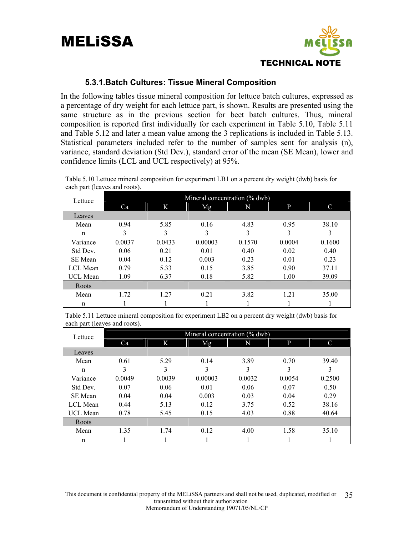

#### **5.3.1.Batch Cultures: Tissue Mineral Composition**

In the following tables tissue mineral composition for lettuce batch cultures, expressed as a percentage of dry weight for each lettuce part, is shown. Results are presented using the same structure as in the previous section for beet batch cultures. Thus, mineral composition is reported first individually for each experiment in Table 5.10, Table 5.11 and Table 5.12 and later a mean value among the 3 replications is included in Table 5.13. Statistical parameters included refer to the number of samples sent for analysis (n), variance, standard deviation (Std Dev.), standard error of the mean (SE Mean), lower and confidence limits (LCL and UCL respectively) at 95%.

| Lettuce     |        |        |         | Mineral concentration (% dwb) |        |        |
|-------------|--------|--------|---------|-------------------------------|--------|--------|
|             | Ca     | K      | Mg      | N                             | P      | C      |
| Leaves      |        |        |         |                               |        |        |
| Mean        | 0.94   | 5.85   | 0.16    | 4.83                          | 0.95   | 38.10  |
| $\mathbf n$ | 3      | 3      | 3       | 3                             | 3      | 3      |
| Variance    | 0.0037 | 0.0433 | 0.00003 | 0.1570                        | 0.0004 | 0.1600 |
| Std Dev.    | 0.06   | 0.21   | 0.01    | 0.40                          | 0.02   | 0.40   |
| SE Mean     | 0.04   | 0.12   | 0.003   | 0.23                          | 0.01   | 0.23   |
| LCL Mean    | 0.79   | 5.33   | 0.15    | 3.85                          | 0.90   | 37.11  |
| UCL Mean    | 1.09   | 6.37   | 0.18    | 5.82                          | 1.00   | 39.09  |
| Roots       |        |        |         |                               |        |        |
| Mean        | 1.72   | 1.27   | 0.21    | 3.82                          | 1.21   | 35.00  |
| n           |        |        |         |                               |        |        |

Table 5.10 Lettuce mineral composition for experiment LB1 on a percent dry weight (dwb) basis for each part (leaves and roots).

Table 5.11 Lettuce mineral composition for experiment LB2 on a percent dry weight (dwb) basis for each part (leaves and roots).

| Lettuce  |        |        |         | Mineral concentration (% dwb) |        |               |
|----------|--------|--------|---------|-------------------------------|--------|---------------|
|          | Ca     | K      | Mg      | N                             | P      | $\mathcal{C}$ |
| Leaves   |        |        |         |                               |        |               |
| Mean     | 0.61   | 5.29   | 0.14    | 3.89                          | 0.70   | 39.40         |
| n        | 3      | 3      | 3       | 3                             | 3      | 3             |
| Variance | 0.0049 | 0.0039 | 0.00003 | 0.0032                        | 0.0054 | 0.2500        |
| Std Dev. | 0.07   | 0.06   | 0.01    | 0.06                          | 0.07   | 0.50          |
| SE Mean  | 0.04   | 0.04   | 0.003   | 0.03                          | 0.04   | 0.29          |
| LCL Mean | 0.44   | 5.13   | 0.12    | 3.75                          | 0.52   | 38.16         |
| UCL Mean | 0.78   | 5.45   | 0.15    | 4.03                          | 0.88   | 40.64         |
| Roots    |        |        |         |                               |        |               |
| Mean     | 1.35   | 1.74   | 0.12    | 4.00                          | 1.58   | 35.10         |
| n        |        |        |         |                               |        |               |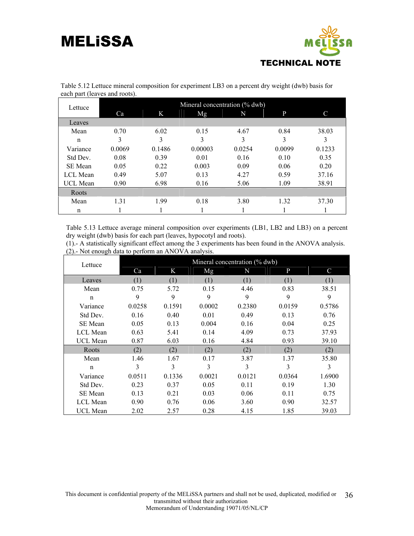

| Lettuce         |        |        |         | Mineral concentration (% dwb) |        |        |
|-----------------|--------|--------|---------|-------------------------------|--------|--------|
|                 | Ca     | K      | Mg      | N                             | P      | C      |
| Leaves          |        |        |         |                               |        |        |
| Mean            | 0.70   | 6.02   | 0.15    | 4.67                          | 0.84   | 38.03  |
| n               | 3      | 3      | 3       | 3                             | 3      |        |
| Variance        | 0.0069 | 0.1486 | 0.00003 | 0.0254                        | 0.0099 | 0.1233 |
| Std Dev.        | 0.08   | 0.39   | 0.01    | 0.16                          | 0.10   | 0.35   |
| SE Mean         | 0.05   | 0.22   | 0.003   | 0.09                          | 0.06   | 0.20   |
| LCL Mean        | 0.49   | 5.07   | 0.13    | 4.27                          | 0.59   | 37.16  |
| <b>UCL Mean</b> | 0.90   | 6.98   | 0.16    | 5.06                          | 1.09   | 38.91  |
| Roots           |        |        |         |                               |        |        |
| Mean            | 1.31   | 1.99   | 0.18    | 3.80                          | 1.32   | 37.30  |
| n               |        |        |         |                               |        |        |

Table 5.12 Lettuce mineral composition for experiment LB3 on a percent dry weight (dwb) basis for each part (leaves and roots).

Table 5.13 Lettuce average mineral composition over experiments (LB1, LB2 and LB3) on a percent dry weight (dwb) basis for each part (leaves, hypocotyl and roots).

(1).- A statistically significant effect among the 3 experiments has been found in the ANOVA analysis. (2).- Not enough data to perform an ANOVA analysis.

| Lettuce         |        |        |        | Mineral concentration (% dwb) |        |             |
|-----------------|--------|--------|--------|-------------------------------|--------|-------------|
|                 | Ca     | K      | Mg     | N                             | P      | $\mathbf C$ |
| Leaves          | (1)    | (1)    | (1)    | (1)                           | (1)    | (1)         |
| Mean            | 0.75   | 5.72   | 0.15   | 4.46                          | 0.83   | 38.51       |
| $\mathbf n$     | 9      | 9      | 9      | 9                             | 9      | 9           |
| Variance        | 0.0258 | 0.1591 | 0.0002 | 0.2380                        | 0.0159 | 0.5786      |
| Std Dev.        | 0.16   | 0.40   | 0.01   | 0.49                          | 0.13   | 0.76        |
| <b>SE</b> Mean  | 0.05   | 0.13   | 0.004  | 0.16                          | 0.04   | 0.25        |
| LCL Mean        | 0.63   | 5.41   | 0.14   | 4.09                          | 0.73   | 37.93       |
| <b>UCL Mean</b> | 0.87   | 6.03   | 0.16   | 4.84                          | 0.93   | 39.10       |
| Roots           | (2)    | (2)    | (2)    | (2)                           | (2)    | (2)         |
| Mean            | 1.46   | 1.67   | 0.17   | 3.87                          | 1.37   | 35.80       |
| $\mathbf n$     | 3      | 3      | 3      | 3                             | 3      | 3           |
| Variance        | 0.0511 | 0.1336 | 0.0021 | 0.0121                        | 0.0364 | 1.6900      |
| Std Dev.        | 0.23   | 0.37   | 0.05   | 0.11                          | 0.19   | 1.30        |
| SE Mean         | 0.13   | 0.21   | 0.03   | 0.06                          | 0.11   | 0.75        |
| LCL Mean        | 0.90   | 0.76   | 0.06   | 3.60                          | 0.90   | 32.57       |
| <b>UCL Mean</b> | 2.02   | 2.57   | 0.28   | 4.15                          | 1.85   | 39.03       |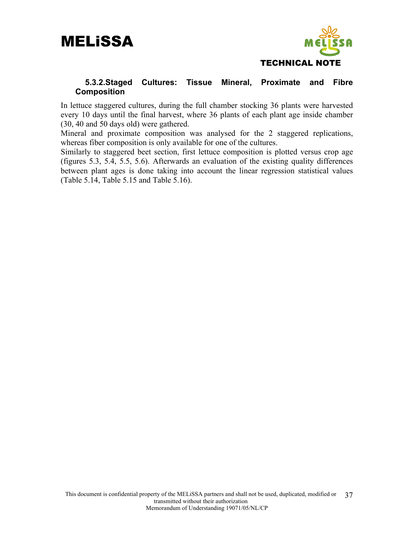



#### **5.3.2.Staged Cultures: Tissue Mineral, Proximate and Fibre Composition**

In lettuce staggered cultures, during the full chamber stocking 36 plants were harvested every 10 days until the final harvest, where 36 plants of each plant age inside chamber (30, 40 and 50 days old) were gathered.

Mineral and proximate composition was analysed for the 2 staggered replications, whereas fiber composition is only available for one of the cultures.

Similarly to staggered beet section, first lettuce composition is plotted versus crop age (figures 5.3, 5.4, 5.5, 5.6). Afterwards an evaluation of the existing quality differences between plant ages is done taking into account the linear regression statistical values (Table 5.14, Table 5.15 and Table 5.16).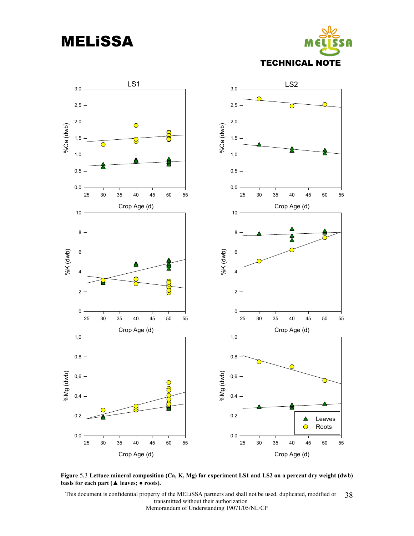MELiSSA





**Figure** 5**.**3 **Lettuce mineral composition (Ca, K, Mg) for experiment LS1 and LS2 on a percent dry weight (dwb) basis for each part (▲ leaves; ● roots).**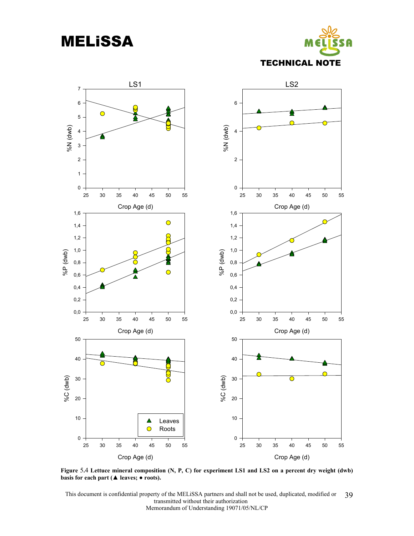MELiSSA





**Figure** 5**.**4 **Lettuce mineral composition (N, P, C) for experiment LS1 and LS2 on a percent dry weight (dwb) basis for each part (▲ leaves; ● roots).**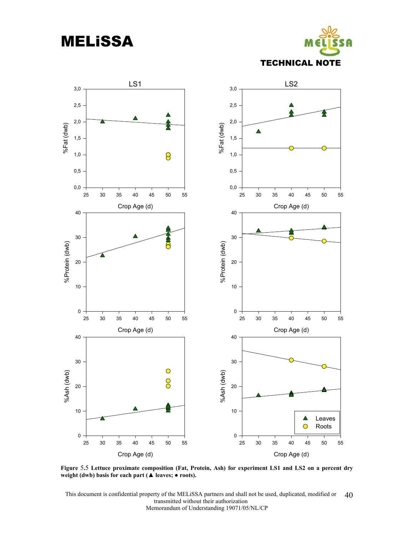MELiSSA





**Figure** 5**.**5 **Lettuce proximate composition (Fat, Protein, Ash) for experiment LS1 and LS2 on a percent dry weight (dwb) basis for each part (▲ leaves; ● roots).**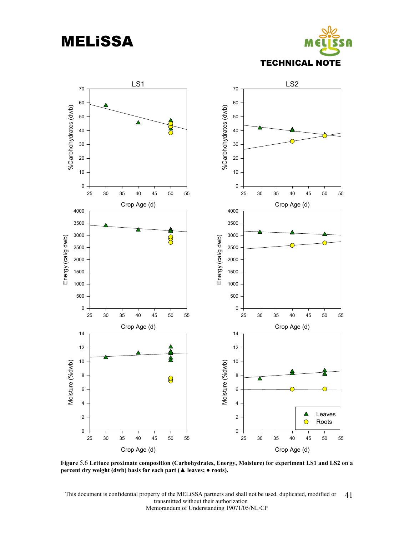MELiSSA





**Figure** 5**.**6 **Lettuce proximate composition (Carbohydrates, Energy, Moisture) for experiment LS1 and LS2 on a percent dry weight (dwb) basis for each part (▲ leaves; ● roots).**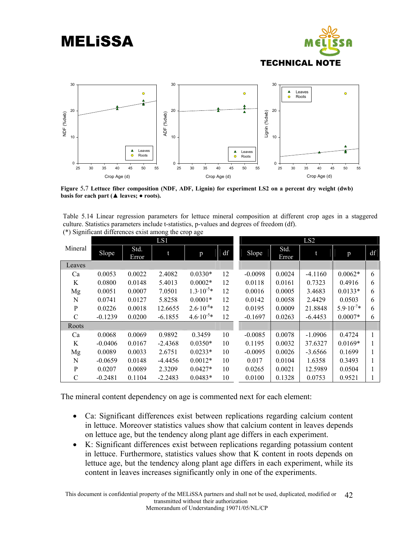

**Figure** 5**.**7 **Lettuce fiber composition (NDF, ADF, Lignin) for experiment LS2 on a percent dry weight (dwb) basis for each part (▲ leaves; ● roots).** 

Table 5.14 Linear regression parameters for lettuce mineral composition at different crop ages in a staggered culture. Statistics parameters include t-statistics, p-values and degrees of freedom (df). (\*) Significant differences exist among the crop age

|               |           |               | LS1       |                      |    |           |               | LS2       |                      |    |
|---------------|-----------|---------------|-----------|----------------------|----|-----------|---------------|-----------|----------------------|----|
| Mineral       | Slope     | Std.<br>Error |           | p                    | df | Slope     | Std.<br>Error |           | p                    | df |
| Leaves        |           |               |           |                      |    |           |               |           |                      |    |
| Ca            | 0.0053    | 0.0022        | 2.4082    | $0.0330*$            | 12 | $-0.0098$ | 0.0024        | $-4.1160$ | $0.0062*$            | 6  |
| K             | 0.0800    | 0.0148        | 5.4013    | $0.0002*$            | 12 | 0.0118    | 0.0161        | 0.7323    | 0.4916               | 6  |
| Mg            | 0.0051    | 0.0007        | 7.0501    | $1.3 \cdot 10^{-5*}$ | 12 | 0.0016    | 0.0005        | 3.4683    | $0.0133*$            | 6  |
| N             | 0.0741    | 0.0127        | 5.8258    | $0.0001*$            | 12 | 0.0142    | 0.0058        | 2.4429    | 0.0503               | 6  |
| $\mathbf{P}$  | 0.0226    | 0.0018        | 12.6655   | $2.6 \cdot 10^{-8*}$ | 12 | 0.0195    | 0.0009        | 21.8848   | $5.9 \cdot 10^{-7*}$ | 6  |
| $\mathcal{C}$ | $-0.1239$ | 0.0200        | $-6.1855$ | $4.6 \cdot 10^{-5*}$ | 12 | $-0.1697$ | 0.0263        | $-6.4453$ | $0.0007*$            | 6  |
| Roots         |           |               |           |                      |    |           |               |           |                      |    |
| Ca            | 0.0068    | 0.0069        | 0.9892    | 0.3459               | 10 | $-0.0085$ | 0.0078        | $-1.0906$ | 0.4724               |    |
| K             | $-0.0406$ | 0.0167        | $-2.4368$ | $0.0350*$            | 10 | 0.1195    | 0.0032        | 37.6327   | $0.0169*$            |    |
| Mg            | 0.0089    | 0.0033        | 2.6751    | $0.0233*$            | 10 | $-0.0095$ | 0.0026        | $-3.6566$ | 0.1699               |    |
| N             | $-0.0659$ | 0.0148        | $-4.4456$ | $0.0012*$            | 10 | 0.017     | 0.0104        | 1.6358    | 0.3493               |    |
| $\mathbf{P}$  | 0.0207    | 0.0089        | 2.3209    | $0.0427*$            | 10 | 0.0265    | 0.0021        | 12.5989   | 0.0504               |    |
| C             | $-0.2481$ | 0.1104        | $-2.2483$ | $0.0483*$            | 10 | 0.0100    | 0.1328        | 0.0753    | 0.9521               |    |

The mineral content dependency on age is commented next for each element:

- Ca: Significant differences exist between replications regarding calcium content in lettuce. Moreover statistics values show that calcium content in leaves depends on lettuce age, but the tendency along plant age differs in each experiment.
- K: Significant differences exist between replications regarding potassium content in lettuce. Furthermore, statistics values show that K content in roots depends on lettuce age, but the tendency along plant age differs in each experiment, while its content in leaves increases significantly only in one of the experiments.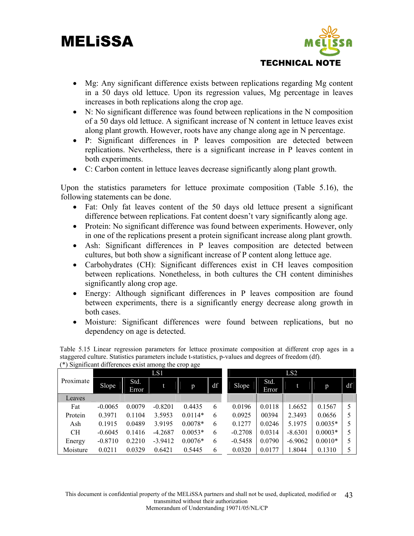

- Mg: Any significant difference exists between replications regarding Mg content in a 50 days old lettuce. Upon its regression values, Mg percentage in leaves increases in both replications along the crop age.
- N: No significant difference was found between replications in the N composition of a 50 days old lettuce. A significant increase of N content in lettuce leaves exist along plant growth. However, roots have any change along age in N percentage.
- P: Significant differences in P leaves composition are detected between replications. Nevertheless, there is a significant increase in P leaves content in both experiments.
- C: Carbon content in lettuce leaves decrease significantly along plant growth.

Upon the statistics parameters for lettuce proximate composition (Table 5.16), the following statements can be done.

- Fat: Only fat leaves content of the 50 days old lettuce present a significant difference between replications. Fat content doesn't vary significantly along age.
- Protein: No significant difference was found between experiments. However, only in one of the replications present a protein significant increase along plant growth.
- Ash: Significant differences in P leaves composition are detected between cultures, but both show a significant increase of P content along lettuce age.
- Carbohydrates (CH): Significant differences exist in CH leaves composition between replications. Nonetheless, in both cultures the CH content diminishes significantly along crop age.
- Energy: Although significant differences in P leaves composition are found between experiments, there is a significantly energy decrease along growth in both cases.
- Moisture: Significant differences were found between replications, but no dependency on age is detected.

| ັ         |           |               | LS1       |           |    |           |               | LS <sub>2</sub> |           |    |
|-----------|-----------|---------------|-----------|-----------|----|-----------|---------------|-----------------|-----------|----|
| Proximate | Slope     | Std.<br>Error |           | p         | df | Slope     | Std.<br>Error | t               | p         | df |
| Leaves    |           |               |           |           |    |           |               |                 |           |    |
| Fat       | $-0.0065$ | 0.0079        | $-0.8201$ | 0.4435    | 6  | 0.0196    | 0.0118        | 1.6652          | 0.1567    |    |
| Protein   | 0.3971    | 0.1104        | 3.5953    | $0.0114*$ | 6  | 0.0925    | 00394         | 2.3493          | 0.0656    |    |
| Ash       | 0.1915    | 0.0489        | 3.9195    | $0.0078*$ | 6  | 0.1277    | 0.0246        | 5.1975          | $0.0035*$ |    |
| <b>CH</b> | $-0.6045$ | 0.1416        | $-4.2687$ | $0.0053*$ | 6  | $-0.2708$ | 0.0314        | $-8.6301$       | $0.0003*$ |    |
| Energy    | $-0.8710$ | 0.2210        | $-3.9412$ | $0.0076*$ | 6  | $-0.5458$ | 0.0790        | $-6.9062$       | $0.0010*$ |    |
| Moisture  | 0.0211    | 0.0329        | 0.6421    | 0.5445    | 6  | 0.0320    | 0.0177        | 1.8044          | 0.1310    |    |

Table 5.15 Linear regression parameters for lettuce proximate composition at different crop ages in a staggered culture. Statistics parameters include t-statistics, p-values and degrees of freedom (df). (\*) Significant differences exist among the crop age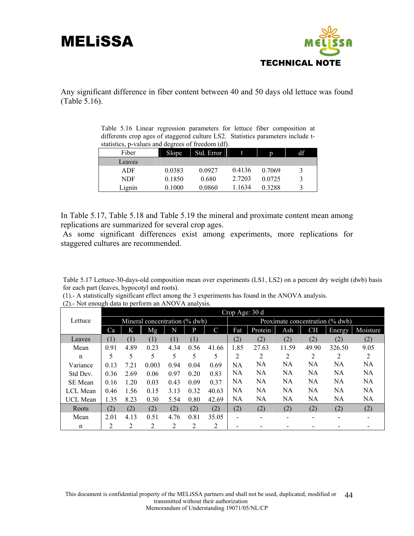

Any significant difference in fiber content between 40 and 50 days old lettuce was found (Table 5.16).

|  |  |                                                   |  | Table 5.16 Linear regression parameters for lettuce fiber composition at        |  |
|--|--|---------------------------------------------------|--|---------------------------------------------------------------------------------|--|
|  |  |                                                   |  | differents crop ages of staggered culture LS2. Statistics parameters include t- |  |
|  |  | statistics, p-values and degrees of freedom (df). |  |                                                                                 |  |

| Fiber  | Slope  | Std. Error |        | D      | df |
|--------|--------|------------|--------|--------|----|
| Leaves |        |            |        |        |    |
| ADF    | 0.0383 | 0.0927     | 0.4136 | 0.7069 | 3  |
| NDF    | 0.1850 | 0.680      | 2.7203 | 0.0725 | 3  |
| Lignin | 0.1000 | 0.0860     | 1.1634 | 0.3288 | 3  |

In Table 5.17, Table 5.18 and Table 5.19 the mineral and proximate content mean among replications are summarized for several crop ages.

 As some significant differences exist among experiments, more replications for staggered cultures are recommended.

Table 5.17 Lettuce-30-days-old composition mean over experiments (LS1, LS2) on a percent dry weight (dwb) basis for each part (leaves, hypocotyl and roots).

(1).- A statistically significant effect among the 3 experiments has found in the ANOVA analysis.

|                 | Crop Age: 30 d |      |                               |      |      |       |                                 |           |                |           |               |           |  |  |
|-----------------|----------------|------|-------------------------------|------|------|-------|---------------------------------|-----------|----------------|-----------|---------------|-----------|--|--|
| Lettuce         |                |      | Mineral concentration (% dwb) |      |      |       | Proximate concentration (% dwb) |           |                |           |               |           |  |  |
|                 | Ca             | K    | Mg                            | N    | P    | C     | Fat                             | Protein   | Ash            | <b>CH</b> | <b>Energy</b> | Moisture  |  |  |
| Leaves          | (1)            | (1)  | (1)                           | (1)  | (1)  |       | (2)                             | (2)       | (2)            | (2)       | (2)           | (2)       |  |  |
| Mean            | 0.91           | 4.89 | 0.23                          | 4.34 | 0.56 | 41.66 | 1.85                            | 27.63     | 11.59          | 49.90     | 326.50        | 9.05      |  |  |
| n               | 5              | 5    |                               | 5    | 5    | 5     | 2                               | 2         | $\overline{2}$ | 2         | 2             | 2         |  |  |
| Variance        | 0.13           | 7.21 | 0.003                         | 0.94 | 0.04 | 0.69  | NA                              | NA        | NA             | NA        | NА            | NА        |  |  |
| Std Dev.        | 0.36           | 2.69 | 0.06                          | 0.97 | 0.20 | 0.83  | NA                              | <b>NA</b> | <b>NA</b>      | <b>NA</b> | NA            | NA.       |  |  |
| SE Mean         | 0.16           | 1.20 | 0.03                          | 0.43 | 0.09 | 0.37  | NA                              | NA        | NA             | <b>NA</b> | NA            | NA        |  |  |
| <b>LCL</b> Mean | 0.46           | 1.56 | 0.15                          | 3.13 | 0.32 | 40.63 | NA                              | NA        | NA             | NA        | NA            | <b>NA</b> |  |  |
| <b>UCL</b> Mean | 1.35           | 8.23 | 0.30                          | 5.54 | 0.80 | 42.69 | NA                              | NA        | NA             | NA        | NA            | NA        |  |  |
| Roots           | (2)            | (2)  | (2)                           | (2)  | (2)  | (2)   | (2)                             | (2)       | (2)            | (2)       | (2)           | (2)       |  |  |
| Mean            | 2.01           | 4.13 | 0.51                          | 4.76 | 0.81 | 35.05 |                                 |           |                |           |               |           |  |  |
| n               | 2              | 2    | $\overline{c}$                | 2    | 2    | 2     |                                 |           |                |           |               |           |  |  |

(2).- Not enough data to perform an ANOVA analysis.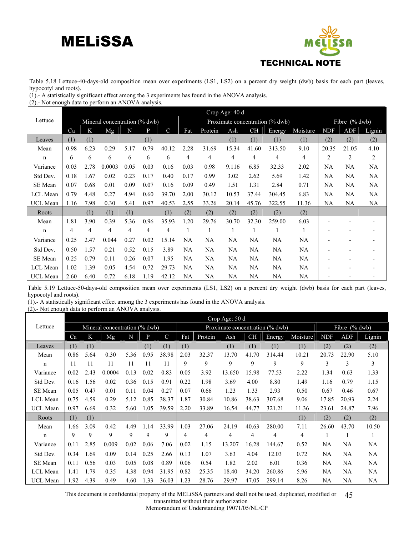

Table 5.18 Lettuce-40-days-old composition mean over experiments (LS1, LS2) on a percent dry weight (dwb) basis for each part (leaves, hypocotyl and roots).

(1).- A statistically significant effect among the 3 experiments has found in the ANOVA analysis.

(2).- Not enough data to perform an ANOVA analysis.

|                 |                               |      |        |      |      |               |      |           | Crop Age: 40 d                  |                  |        |                |            |       |        |
|-----------------|-------------------------------|------|--------|------|------|---------------|------|-----------|---------------------------------|------------------|--------|----------------|------------|-------|--------|
| Lettuce         | Mineral concentration (% dwb) |      |        |      |      |               |      |           | Proximate concentration (% dwb) | Fibre $(\%$ dwb) |        |                |            |       |        |
|                 | Ca                            | K    | Mg     | N    | P    | $\mathcal{C}$ | Fat  | Protein   | Ash                             | <b>CH</b>        | Energy | Moisture       | <b>NDF</b> | ADF   | Lignin |
| Leaves          | (1)                           | (1)  |        |      | (1)  |               |      |           | (1)                             | (1)              | (1)    | (1)            | (2)        | (2)   | (2)    |
| Mean            | 0.98                          | 6.23 | 0.29   | 5.17 | 0.79 | 40.12         | 2.28 | 31.69     | 15.34                           | 41.60            | 313.50 | 9.10           | 20.35      | 21.05 | 4.10   |
| n               | 6                             | 6    | 6      | 6    | 6    | 6             | 4    | 4         | 4                               | 4                | 4      | $\overline{4}$ | 2          | 2     | 2      |
| Variance        | 0.03                          | 2.78 | 0.0003 | 0.05 | 0.03 | 0.16          | 0.03 | 0.98      | 9.116                           | 6.85             | 32.33  | 2.02           | NA         | NA    | NA     |
| Std Dev.        | 0.18                          | 1.67 | 0.02   | 0.23 | 0.17 | 0.40          | 0.17 | 0.99      | 3.02                            | 2.62             | 5.69   | 1.42           | <b>NA</b>  | NA    | NA     |
| SE Mean         | 0.07                          | 0.68 | 0.01   | 0.09 | 0.07 | 0.16          | 0.09 | 0.49      | 1.51                            | 1.31             | 2.84   | 0.71           | <b>NA</b>  | NA    | NA     |
| LCL Mean        | 0.79                          | 4.48 | 0.27   | 4.94 | 0.60 | 39.70         | 2.00 | 30.12     | 10.53                           | 37.44            | 304.45 | 6.83           | NA         | NA    | NA     |
| <b>UCL Mean</b> | 1.16                          | 7.98 | 0.30   | 5.41 | 0.97 | 40.53         | 2.55 | 33.26     | 20.14                           | 45.76            | 322.55 | 11.36          | <b>NA</b>  | NA    | NA     |
| Roots           |                               | (1)  | (1)    | (1)  |      | (1)           | (2)  | (2)       | (2)                             | (2)              | (2)    | (2)            |            |       |        |
| Mean            | 1.81                          | 3.90 | 0.39   | 5.36 | 0.96 | 35.93         | 1.20 | 29.76     | 30.70                           | 32.30            | 259.00 | 6.03           |            |       |        |
| n               | 4                             | 4    | 4      | 4    | 4    | 4             |      |           |                                 |                  |        |                |            |       |        |
| Variance        | 0.25                          | 2.47 | 0.044  | 0.27 | 0.02 | 15.14         | NA   | <b>NA</b> | NA.                             | NA               | NA     | NA             |            |       |        |
| Std Dev.        | 0.50                          | 1.57 | 0.21   | 0.52 | 0.15 | 3.89          | NA   | NA        | NA.                             | NA.              | NA     | NA             |            |       |        |
| SE Mean         | 0.25                          | 0.79 | 0.11   | 0.26 | 0.07 | 1.95          | NA   | <b>NA</b> | NA                              | NA               | NA     | <b>NA</b>      |            |       |        |
| LCL Mean        | 1.02                          | 1.39 | 0.05   | 4.54 | 0.72 | 29.73         | NA   | NA        | NA                              | NA               | NA     | NA             |            |       |        |
| UCL Mean        | 2.60                          | 6.40 | 0.72   | 6.18 | 1.19 | 42.12         | NA   | NA        | NA.                             | NA               | NA     | NA             |            |       |        |

Table 5.19 Lettuce-50-days-old composition mean over experiments (LS1, LS2) on a percent dry weight (dwb) basis for each part (leaves, hypocotyl and roots).

(1).- A statistically significant effect among the 3 experiments has found in the ANOVA analysis.

(2).- Not enough data to perform an ANOVA analysis.

|                 | Crop Age: 50 d |      |                               |      |      |               |                |         |                                 |                  |                |          |            |       |        |
|-----------------|----------------|------|-------------------------------|------|------|---------------|----------------|---------|---------------------------------|------------------|----------------|----------|------------|-------|--------|
| Lettuce         |                |      | Mineral concentration (% dwb) |      |      |               |                |         | Proximate concentration (% dwb) | Fibre $(\%$ dwb) |                |          |            |       |        |
|                 | Ca             | K    | Mg                            | N    | P    | $\mathcal{C}$ | Fat            | Protein | Ash                             | <b>CH</b>        | Energy         | Moisture | <b>NDF</b> | ADF   | Lignin |
| Leaves          | (1)            | (1)  |                               |      | (1)  | (1)           | (1)            |         | (1)                             | (1)              | (1)            | (1)      | (2)        | (2)   | (2)    |
| Mean            | 0.86           | 5.64 | 0.30                          | 5.36 | 0.95 | 38.98         | 2.03           | 32.37   | 13.70                           | 41.70            | 314.44         | 10.21    | 20.73      | 22.90 | 5.10   |
| n               | 11             | 11   | 11                            | 11   | 11   | 11            | 9              | 9       | 9                               | 9                | 9              | 9        | 3          | 3     | 3      |
| Variance        | 0.02           | 2.43 | 0.0004                        | 0.13 | 0.02 | 0.83          | 0.05           | 3.92    | 13.650                          | 15.98            | 77.53          | 2.22     | 1.34       | 0.63  | 1.33   |
| Std Dev.        | 0.16           | 1.56 | 0.02                          | 0.36 | 0.15 | 0.91          | 0.22           | 1.98    | 3.69                            | 4.00             | 8.80           | 1.49     | 1.16       | 0.79  | 1.15   |
| SE Mean         | 0.05           | 0.47 | 0.01                          | 0.11 | 0.04 | 0.27          | 0.07           | 0.66    | 1.23                            | 1.33             | 2.93           | 0.50     | 0.67       | 0.46  | 0.67   |
| LCL Mean        | 0.75           | 4.59 | 0.29                          | 5.12 | 0.85 | 38.37         | 1.87           | 30.84   | 10.86                           | 38.63            | 307.68         | 9.06     | 17.85      | 20.93 | 2.24   |
| <b>UCL</b> Mean | 0.97           | 6.69 | 0.32                          | 5.60 | 1.05 | 39.59         | 2.20           | 33.89   | 16.54                           | 44.77            | 321.21         | 11.36    | 23.61      | 24.87 | 7.96   |
| Roots           | (1)            | (1)  |                               |      |      |               |                |         |                                 |                  |                | (1)      | (2)        | (2)   | (2)    |
| Mean            | 1.66           | 3.09 | 0.42                          | 4.49 | 1.14 | 33.99         | 1.03           | 27.06   | 24.19                           | 40.63            | 280.00         | 7.11     | 26.60      | 43.70 | 10.50  |
| n               | 9              | 9    | 9                             | 9    | 9    | 9             | $\overline{4}$ | 4       | 4                               | 4                | $\overline{4}$ | 4        |            |       |        |
| Variance        | 0.11           | 2.85 | 0.009                         | 0.02 | 0.06 | 7.06          | 0.02           | 1.15    | 13.207                          | 16.28            | 144.67         | 0.52     | NA         | NA    | NA     |
| Std Dev.        | 0.34           | 1.69 | 0.09                          | 0.14 | 0.25 | 2.66          | 0.13           | 1.07    | 3.63                            | 4.04             | 12.03          | 0.72     | NA         | NA    | NA     |
| SE Mean         | 0.11           | 0.56 | 0.03                          | 0.05 | 0.08 | 0.89          | 0.06           | 0.54    | 1.82                            | 2.02             | 6.01           | 0.36     | NA         | NA    | NA     |
| <b>LCL</b> Mean | 1.41           | 1.79 | 0.35                          | 4.38 | 0.94 | 31.95         | 0.82           | 25.35   | 18.40                           | 34.20            | 260.86         | 5.96     | NA         | NA    | NA     |
| <b>UCL</b> Mean | 1.92           | 4.39 | 0.49                          | 4.60 | 1.33 | 36.03         | 1.23           | 28.76   | 29.97                           | 47.05            | 299.14         | 8.26     | <b>NA</b>  | NA    | NA     |

This document is confidential property of the MELiSSA partners and shall not be used, duplicated, modified or transmitted without their authorization 45

Memorandum of Understanding 19071/05/NL/CP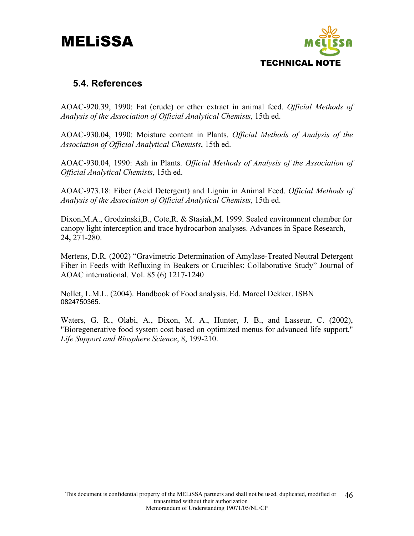

#### **5.4. References**

AOAC-920.39, 1990: Fat (crude) or ether extract in animal feed. *Official Methods of Analysis of the Association of Official Analytical Chemists*, 15th ed.

AOAC-930.04, 1990: Moisture content in Plants. *Official Methods of Analysis of the Association of Official Analytical Chemists*, 15th ed.

AOAC-930.04, 1990: Ash in Plants. *Official Methods of Analysis of the Association of Official Analytical Chemists*, 15th ed.

AOAC-973.18: Fiber (Acid Detergent) and Lignin in Animal Feed. *Official Methods of Analysis of the Association of Official Analytical Chemists*, 15th ed.

Dixon,M.A., Grodzinski,B., Cote,R. & Stasiak,M. 1999. Sealed environment chamber for canopy light interception and trace hydrocarbon analyses. Advances in Space Research, 24**,** 271-280.

Mertens, D.R. (2002) "Gravimetric Determination of Amylase-Treated Neutral Detergent Fiber in Feeds with Refluxing in Beakers or Crucibles: Collaborative Study" Journal of AOAC international. Vol. 85 (6) 1217-1240

Nollet, L.M.L. (2004). Handbook of Food analysis. Ed. Marcel Dekker. ISBN 0824750365.

Waters, G. R., Olabi, A., Dixon, M. A., Hunter, J. B., and Lasseur, C. (2002), "Bioregenerative food system cost based on optimized menus for advanced life support," *Life Support and Biosphere Science*, 8, 199-210.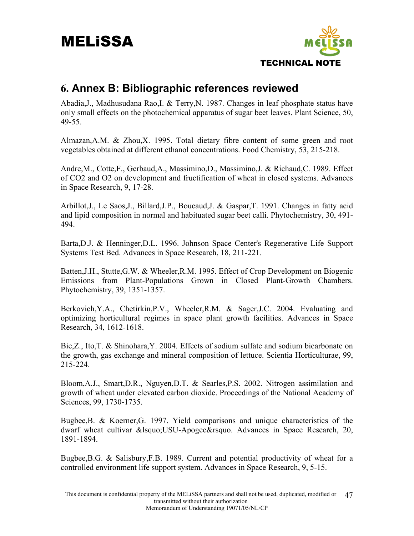

#### **6. Annex B: Bibliographic references reviewed**

Abadia,J., Madhusudana Rao,I. & Terry,N. 1987. Changes in leaf phosphate status have only small effects on the photochemical apparatus of sugar beet leaves. Plant Science, 50, 49-55.

Almazan,A.M. & Zhou,X. 1995. Total dietary fibre content of some green and root vegetables obtained at different ethanol concentrations. Food Chemistry, 53, 215-218.

Andre,M., Cotte,F., Gerbaud,A., Massimino,D., Massimino,J. & Richaud,C. 1989. Effect of CO2 and O2 on development and fructification of wheat in closed systems. Advances in Space Research, 9, 17-28.

Arbillot,J., Le Saos,J., Billard,J.P., Boucaud,J. & Gaspar,T. 1991. Changes in fatty acid and lipid composition in normal and habituated sugar beet calli. Phytochemistry, 30, 491- 494.

Barta,D.J. & Henninger,D.L. 1996. Johnson Space Center's Regenerative Life Support Systems Test Bed. Advances in Space Research, 18, 211-221.

Batten,J.H., Stutte,G.W. & Wheeler,R.M. 1995. Effect of Crop Development on Biogenic Emissions from Plant-Populations Grown in Closed Plant-Growth Chambers. Phytochemistry, 39, 1351-1357.

Berkovich,Y.A., Chetirkin,P.V., Wheeler,R.M. & Sager,J.C. 2004. Evaluating and optimizing horticultural regimes in space plant growth facilities. Advances in Space Research, 34, 1612-1618.

Bie,Z., Ito,T. & Shinohara,Y. 2004. Effects of sodium sulfate and sodium bicarbonate on the growth, gas exchange and mineral composition of lettuce. Scientia Horticulturae, 99, 215-224.

Bloom,A.J., Smart,D.R., Nguyen,D.T. & Searles,P.S. 2002. Nitrogen assimilation and growth of wheat under elevated carbon dioxide. Proceedings of the National Academy of Sciences, 99, 1730-1735.

Bugbee,B. & Koerner,G. 1997. Yield comparisons and unique characteristics of the dwarf wheat cultivar & lsquo: USU-Apogee&rsquo. Advances in Space Research, 20, 1891-1894.

Bugbee,B.G. & Salisbury,F.B. 1989. Current and potential productivity of wheat for a controlled environment life support system. Advances in Space Research, 9, 5-15.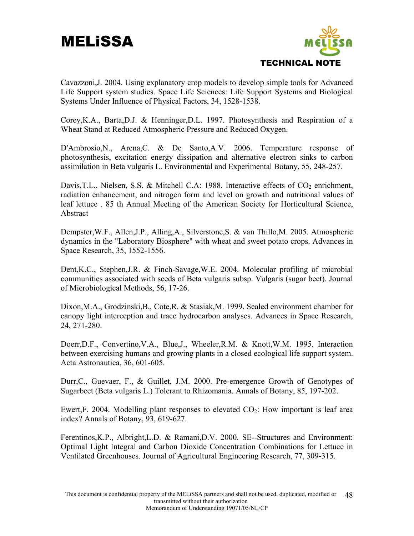

Cavazzoni,J. 2004. Using explanatory crop models to develop simple tools for Advanced Life Support system studies. Space Life Sciences: Life Support Systems and Biological Systems Under Influence of Physical Factors, 34, 1528-1538.

Corey,K.A., Barta,D.J. & Henninger,D.L. 1997. Photosynthesis and Respiration of a Wheat Stand at Reduced Atmospheric Pressure and Reduced Oxygen.

D'Ambrosio,N., Arena,C. & De Santo,A.V. 2006. Temperature response of photosynthesis, excitation energy dissipation and alternative electron sinks to carbon assimilation in Beta vulgaris L. Environmental and Experimental Botany, 55, 248-257.

Davis, T.L., Nielsen, S.S. & Mitchell C.A: 1988. Interactive effects of  $CO<sub>2</sub>$  enrichment, radiation enhancement, and nitrogen form and level on growth and nutritional values of leaf lettuce . 85 th Annual Meeting of the American Society for Horticultural Science, Abstract

Dempster,W.F., Allen,J.P., Alling,A., Silverstone,S. & van Thillo,M. 2005. Atmospheric dynamics in the "Laboratory Biosphere" with wheat and sweet potato crops. Advances in Space Research, 35, 1552-1556.

Dent,K.C., Stephen,J.R. & Finch-Savage,W.E. 2004. Molecular profiling of microbial communities associated with seeds of Beta vulgaris subsp. Vulgaris (sugar beet). Journal of Microbiological Methods, 56, 17-26.

Dixon,M.A., Grodzinski,B., Cote,R. & Stasiak,M. 1999. Sealed environment chamber for canopy light interception and trace hydrocarbon analyses. Advances in Space Research, 24, 271-280.

Doerr,D.F., Convertino,V.A., Blue,J., Wheeler,R.M. & Knott,W.M. 1995. Interaction between exercising humans and growing plants in a closed ecological life support system. Acta Astronautica, 36, 601-605.

Durr,C., Guevaer, F., & Guillet, J.M. 2000. Pre-emergence Growth of Genotypes of Sugarbeet (Beta vulgaris L.) Tolerant to Rhizomania. Annals of Botany, 85, 197-202.

Ewert, F. 2004. Modelling plant responses to elevated  $CO<sub>2</sub>$ : How important is leaf area index? Annals of Botany, 93, 619-627.

Ferentinos,K.P., Albright,L.D. & Ramani,D.V. 2000. SE--Structures and Environment: Optimal Light Integral and Carbon Dioxide Concentration Combinations for Lettuce in Ventilated Greenhouses. Journal of Agricultural Engineering Research, 77, 309-315.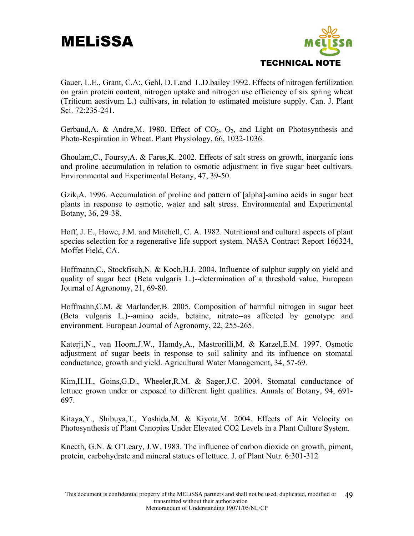

Gauer, L.E., Grant, C.A:, Gehl, D.T.and L.D.bailey 1992. Effects of nitrogen fertilization on grain protein content, nitrogen uptake and nitrogen use efficiency of six spring wheat (Triticum aestivum L.) cultivars, in relation to estimated moisture supply. Can. J. Plant Sci. 72:235-241.

Gerbaud, A. & Andre, M. 1980. Effect of  $CO<sub>2</sub>$ ,  $O<sub>2</sub>$ , and Light on Photosynthesis and Photo-Respiration in Wheat. Plant Physiology, 66, 1032-1036.

Ghoulam,C., Foursy,A. & Fares,K. 2002. Effects of salt stress on growth, inorganic ions and proline accumulation in relation to osmotic adjustment in five sugar beet cultivars. Environmental and Experimental Botany, 47, 39-50.

Gzik,A. 1996. Accumulation of proline and pattern of [alpha]-amino acids in sugar beet plants in response to osmotic, water and salt stress. Environmental and Experimental Botany, 36, 29-38.

Hoff, J. E., Howe, J.M. and Mitchell, C. A. 1982. Nutritional and cultural aspects of plant species selection for a regenerative life support system. NASA Contract Report 166324, Moffet Field, CA.

Hoffmann,C., Stockfisch,N. & Koch,H.J. 2004. Influence of sulphur supply on yield and quality of sugar beet (Beta vulgaris L.)--determination of a threshold value. European Journal of Agronomy, 21, 69-80.

Hoffmann,C.M. & Marlander,B. 2005. Composition of harmful nitrogen in sugar beet (Beta vulgaris L.)--amino acids, betaine, nitrate--as affected by genotype and environment. European Journal of Agronomy, 22, 255-265.

Katerji,N., van Hoorn,J.W., Hamdy,A., Mastrorilli,M. & Karzel,E.M. 1997. Osmotic adjustment of sugar beets in response to soil salinity and its influence on stomatal conductance, growth and yield. Agricultural Water Management, 34, 57-69.

Kim,H.H., Goins,G.D., Wheeler,R.M. & Sager,J.C. 2004. Stomatal conductance of lettuce grown under or exposed to different light qualities. Annals of Botany, 94, 691- 697.

Kitaya,Y., Shibuya,T., Yoshida,M. & Kiyota,M. 2004. Effects of Air Velocity on Photosynthesis of Plant Canopies Under Elevated CO2 Levels in a Plant Culture System.

Knecth, G.N. & O'Leary, J.W. 1983. The influence of carbon dioxide on growth, piment, protein, carbohydrate and mineral statues of lettuce. J. of Plant Nutr. 6:301-312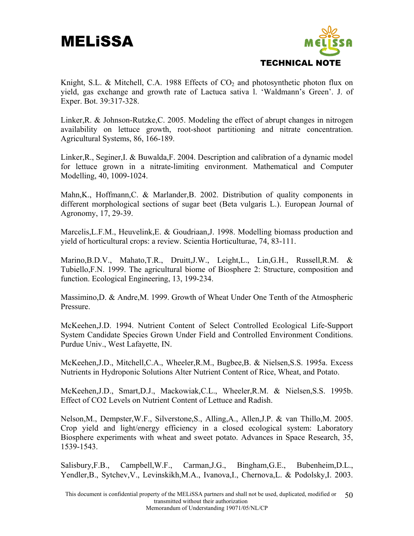

Knight, S.L. & Mitchell, C.A. 1988 Effects of  $CO<sub>2</sub>$  and photosynthetic photon flux on yield, gas exchange and growth rate of Lactuca sativa l. 'Waldmann's Green'. J. of Exper. Bot. 39:317-328.

Linker,R. & Johnson-Rutzke,C. 2005. Modeling the effect of abrupt changes in nitrogen availability on lettuce growth, root-shoot partitioning and nitrate concentration. Agricultural Systems, 86, 166-189.

Linker,R., Seginer,I. & Buwalda,F. 2004. Description and calibration of a dynamic model for lettuce grown in a nitrate-limiting environment. Mathematical and Computer Modelling, 40, 1009-1024.

Mahn,K., Hoffmann,C. & Marlander,B. 2002. Distribution of quality components in different morphological sections of sugar beet (Beta vulgaris L.). European Journal of Agronomy, 17, 29-39.

Marcelis,L.F.M., Heuvelink,E. & Goudriaan,J. 1998. Modelling biomass production and yield of horticultural crops: a review. Scientia Horticulturae, 74, 83-111.

Marino,B.D.V., Mahato,T.R., Druitt,J.W., Leight,L., Lin,G.H., Russell,R.M. & Tubiello,F.N. 1999. The agricultural biome of Biosphere 2: Structure, composition and function. Ecological Engineering, 13, 199-234.

Massimino,D. & Andre,M. 1999. Growth of Wheat Under One Tenth of the Atmospheric Pressure.

McKeehen,J.D. 1994. Nutrient Content of Select Controlled Ecological Life-Support System Candidate Species Grown Under Field and Controlled Environment Conditions. Purdue Univ., West Lafayette, IN.

McKeehen,J.D., Mitchell,C.A., Wheeler,R.M., Bugbee,B. & Nielsen,S.S. 1995a. Excess Nutrients in Hydroponic Solutions Alter Nutrient Content of Rice, Wheat, and Potato.

McKeehen,J.D., Smart,D.J., Mackowiak,C.L., Wheeler,R.M. & Nielsen,S.S. 1995b. Effect of CO2 Levels on Nutrient Content of Lettuce and Radish.

Nelson,M., Dempster,W.F., Silverstone,S., Alling,A., Allen,J.P. & van Thillo,M. 2005. Crop yield and light/energy efficiency in a closed ecological system: Laboratory Biosphere experiments with wheat and sweet potato. Advances in Space Research, 35, 1539-1543.

Salisbury,F.B., Campbell,W.F., Carman,J.G., Bingham,G.E., Bubenheim,D.L., Yendler,B., Sytchev,V., Levinskikh,M.A., Ivanova,I., Chernova,L. & Podolsky,I. 2003.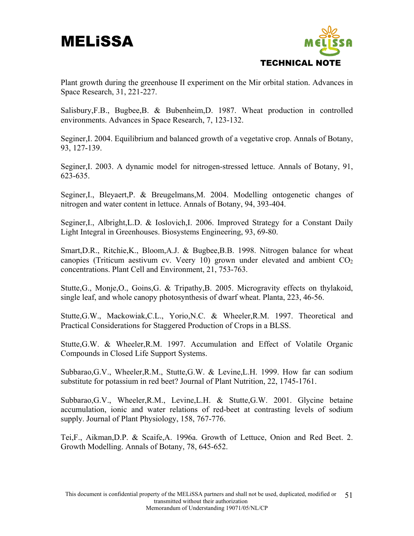

Plant growth during the greenhouse II experiment on the Mir orbital station. Advances in Space Research, 31, 221-227.

Salisbury,F.B., Bugbee,B. & Bubenheim,D. 1987. Wheat production in controlled environments. Advances in Space Research, 7, 123-132.

Seginer,I. 2004. Equilibrium and balanced growth of a vegetative crop. Annals of Botany, 93, 127-139.

Seginer,I. 2003. A dynamic model for nitrogen-stressed lettuce. Annals of Botany, 91, 623-635.

Seginer,I., Bleyaert,P. & Breugelmans,M. 2004. Modelling ontogenetic changes of nitrogen and water content in lettuce. Annals of Botany, 94, 393-404.

Seginer,I., Albright,L.D. & Ioslovich,I. 2006. Improved Strategy for a Constant Daily Light Integral in Greenhouses. Biosystems Engineering, 93, 69-80.

Smart,D.R., Ritchie,K., Bloom,A.J. & Bugbee,B.B. 1998. Nitrogen balance for wheat canopies (Triticum aestivum cv. Veery 10) grown under elevated and ambient  $CO<sub>2</sub>$ concentrations. Plant Cell and Environment, 21, 753-763.

Stutte,G., Monje,O., Goins,G. & Tripathy,B. 2005. Microgravity effects on thylakoid, single leaf, and whole canopy photosynthesis of dwarf wheat. Planta, 223, 46-56.

Stutte,G.W., Mackowiak,C.L., Yorio,N.C. & Wheeler,R.M. 1997. Theoretical and Practical Considerations for Staggered Production of Crops in a BLSS.

Stutte,G.W. & Wheeler,R.M. 1997. Accumulation and Effect of Volatile Organic Compounds in Closed Life Support Systems.

Subbarao,G.V., Wheeler,R.M., Stutte,G.W. & Levine,L.H. 1999. How far can sodium substitute for potassium in red beet? Journal of Plant Nutrition, 22, 1745-1761.

Subbarao,G.V., Wheeler,R.M., Levine,L.H. & Stutte,G.W. 2001. Glycine betaine accumulation, ionic and water relations of red-beet at contrasting levels of sodium supply. Journal of Plant Physiology, 158, 767-776.

Tei,F., Aikman,D.P. & Scaife,A. 1996a. Growth of Lettuce, Onion and Red Beet. 2. Growth Modelling. Annals of Botany, 78, 645-652.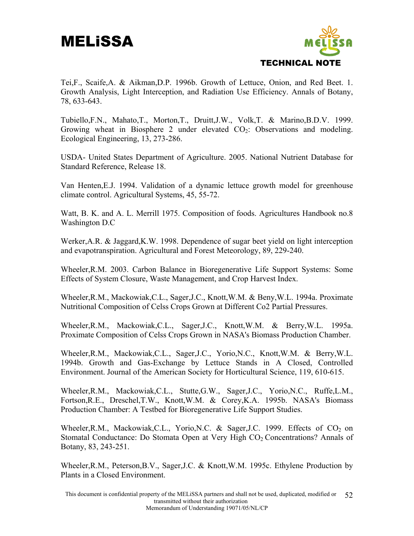

Tei,F., Scaife,A. & Aikman,D.P. 1996b. Growth of Lettuce, Onion, and Red Beet. 1. Growth Analysis, Light Interception, and Radiation Use Efficiency. Annals of Botany, 78, 633-643.

Tubiello,F.N., Mahato,T., Morton,T., Druitt,J.W., Volk,T. & Marino,B.D.V. 1999. Growing wheat in Biosphere 2 under elevated  $CO<sub>2</sub>$ : Observations and modeling. Ecological Engineering, 13, 273-286.

USDA- United States Department of Agriculture. 2005. National Nutrient Database for Standard Reference, Release 18.

Van Henten,E.J. 1994. Validation of a dynamic lettuce growth model for greenhouse climate control. Agricultural Systems, 45, 55-72.

Watt, B. K. and A. L. Merrill 1975. Composition of foods. Agricultures Handbook no.8 Washington D.C

Werker,A.R. & Jaggard,K.W. 1998. Dependence of sugar beet yield on light interception and evapotranspiration. Agricultural and Forest Meteorology, 89, 229-240.

Wheeler,R.M. 2003. Carbon Balance in Bioregenerative Life Support Systems: Some Effects of System Closure, Waste Management, and Crop Harvest Index.

Wheeler,R.M., Mackowiak,C.L., Sager,J.C., Knott,W.M. & Beny,W.L. 1994a. Proximate Nutritional Composition of Celss Crops Grown at Different Co2 Partial Pressures.

Wheeler,R.M., Mackowiak,C.L., Sager,J.C., Knott,W.M. & Berry,W.L. 1995a. Proximate Composition of Celss Crops Grown in NASA's Biomass Production Chamber.

Wheeler,R.M., Mackowiak,C.L., Sager,J.C., Yorio,N.C., Knott,W.M. & Berry,W.L. 1994b. Growth and Gas-Exchange by Lettuce Stands in A Closed, Controlled Environment. Journal of the American Society for Horticultural Science, 119, 610-615.

Wheeler,R.M., Mackowiak,C.L., Stutte,G.W., Sager,J.C., Yorio,N.C., Ruffe,L.M., Fortson,R.E., Dreschel,T.W., Knott,W.M. & Corey,K.A. 1995b. NASA's Biomass Production Chamber: A Testbed for Bioregenerative Life Support Studies.

Wheeler, R.M., Mackowiak, C.L., Yorio, N.C. & Sager, J.C. 1999. Effects of  $CO<sub>2</sub>$  on Stomatal Conductance: Do Stomata Open at Very High  $CO<sub>2</sub>$  Concentrations? Annals of Botany, 83, 243-251.

Wheeler,R.M., Peterson,B.V., Sager,J.C. & Knott,W.M. 1995c. Ethylene Production by Plants in a Closed Environment.